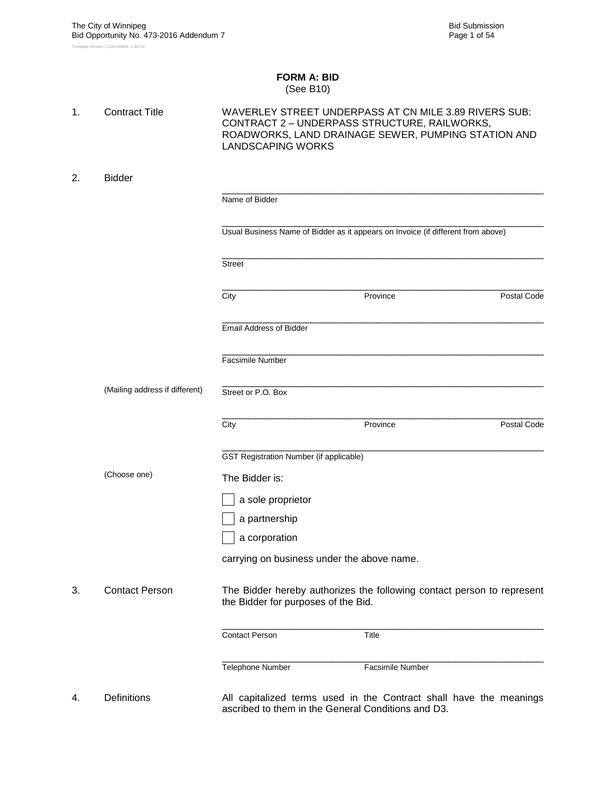#### **FORM A: BID** (See B10)

| 1. | <b>Contract Title</b>          | <b>LANDSCAPING WORKS</b>                       | WAVERLEY STREET UNDERPASS AT CN MILE 3.89 RIVERS SUB:<br>CONTRACT 2 - UNDERPASS STRUCTURE, RAILWORKS,<br>ROADWORKS, LAND DRAINAGE SEWER, PUMPING STATION AND |             |  |  |  |
|----|--------------------------------|------------------------------------------------|--------------------------------------------------------------------------------------------------------------------------------------------------------------|-------------|--|--|--|
| 2. | <b>Bidder</b>                  |                                                |                                                                                                                                                              |             |  |  |  |
|    |                                | Name of Bidder                                 |                                                                                                                                                              |             |  |  |  |
|    |                                |                                                | Usual Business Name of Bidder as it appears on Invoice (if different from above)                                                                             |             |  |  |  |
|    |                                | <b>Street</b>                                  |                                                                                                                                                              |             |  |  |  |
|    |                                | City                                           | Province                                                                                                                                                     | Postal Code |  |  |  |
|    |                                | <b>Email Address of Bidder</b>                 |                                                                                                                                                              |             |  |  |  |
|    |                                | <b>Facsimile Number</b>                        |                                                                                                                                                              |             |  |  |  |
|    | (Mailing address if different) | Street or P.O. Box                             |                                                                                                                                                              |             |  |  |  |
|    |                                | City                                           | Province                                                                                                                                                     | Postal Code |  |  |  |
|    |                                | <b>GST Registration Number (if applicable)</b> |                                                                                                                                                              |             |  |  |  |
|    | (Choose one)                   | The Bidder is:                                 |                                                                                                                                                              |             |  |  |  |
|    |                                | a sole proprietor                              |                                                                                                                                                              |             |  |  |  |
|    |                                | a partnership                                  |                                                                                                                                                              |             |  |  |  |
|    |                                | a corporation                                  |                                                                                                                                                              |             |  |  |  |
|    |                                | carrying on business under the above name.     |                                                                                                                                                              |             |  |  |  |
| 3. | <b>Contact Person</b>          | the Bidder for purposes of the Bid.            | The Bidder hereby authorizes the following contact person to represent                                                                                       |             |  |  |  |
|    |                                | <b>Contact Person</b>                          | Title                                                                                                                                                        |             |  |  |  |
|    |                                | Telephone Number                               | Facsimile Number                                                                                                                                             |             |  |  |  |
| 4. | Definitions                    |                                                | All capitalized terms used in the Contract shall have the meanings<br>ascribed to them in the General Conditions and D3.                                     |             |  |  |  |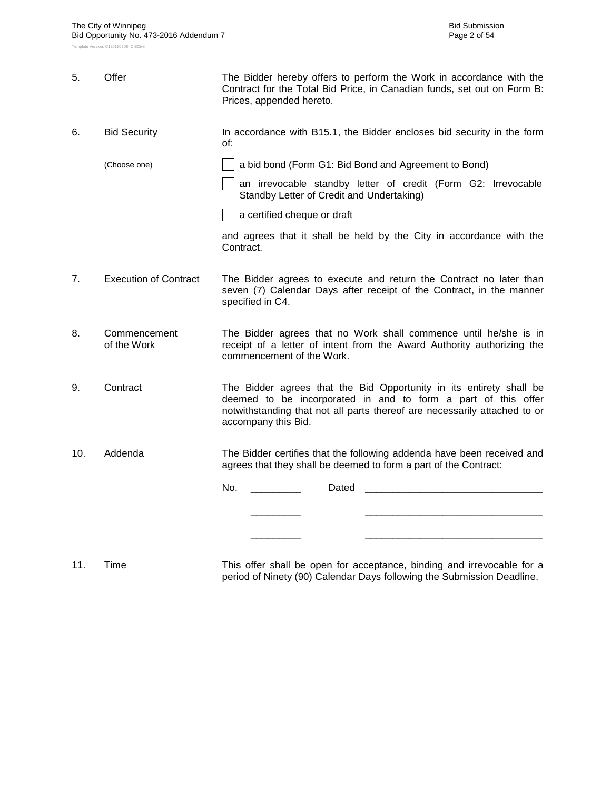| 5.  | Offer                        | The Bidder hereby offers to perform the Work in accordance with the<br>Contract for the Total Bid Price, in Canadian funds, set out on Form B:<br>Prices, appended hereto.                                                               |  |  |  |  |  |  |
|-----|------------------------------|------------------------------------------------------------------------------------------------------------------------------------------------------------------------------------------------------------------------------------------|--|--|--|--|--|--|
| 6.  | <b>Bid Security</b>          | In accordance with B15.1, the Bidder encloses bid security in the form<br>of:                                                                                                                                                            |  |  |  |  |  |  |
|     | (Choose one)                 | a bid bond (Form G1: Bid Bond and Agreement to Bond)                                                                                                                                                                                     |  |  |  |  |  |  |
|     |                              | an irrevocable standby letter of credit (Form G2: Irrevocable<br>Standby Letter of Credit and Undertaking)                                                                                                                               |  |  |  |  |  |  |
|     |                              | a certified cheque or draft                                                                                                                                                                                                              |  |  |  |  |  |  |
|     |                              | and agrees that it shall be held by the City in accordance with the<br>Contract.                                                                                                                                                         |  |  |  |  |  |  |
| 7.  | <b>Execution of Contract</b> | The Bidder agrees to execute and return the Contract no later than<br>seven (7) Calendar Days after receipt of the Contract, in the manner<br>specified in C4.                                                                           |  |  |  |  |  |  |
| 8.  | Commencement<br>of the Work  | The Bidder agrees that no Work shall commence until he/she is in<br>receipt of a letter of intent from the Award Authority authorizing the<br>commencement of the Work.                                                                  |  |  |  |  |  |  |
| 9.  | Contract                     | The Bidder agrees that the Bid Opportunity in its entirety shall be<br>deemed to be incorporated in and to form a part of this offer<br>notwithstanding that not all parts thereof are necessarily attached to or<br>accompany this Bid. |  |  |  |  |  |  |
| 10. | Addenda                      | The Bidder certifies that the following addenda have been received and<br>agrees that they shall be deemed to form a part of the Contract:                                                                                               |  |  |  |  |  |  |
|     |                              | No.<br>Dated                                                                                                                                                                                                                             |  |  |  |  |  |  |
|     |                              |                                                                                                                                                                                                                                          |  |  |  |  |  |  |
|     |                              |                                                                                                                                                                                                                                          |  |  |  |  |  |  |
|     |                              | $\cdots$                                                                                                                                                                                                                                 |  |  |  |  |  |  |

11. Time This offer shall be open for acceptance, binding and irrevocable for a period of Ninety (90) Calendar Days following the Submission Deadline.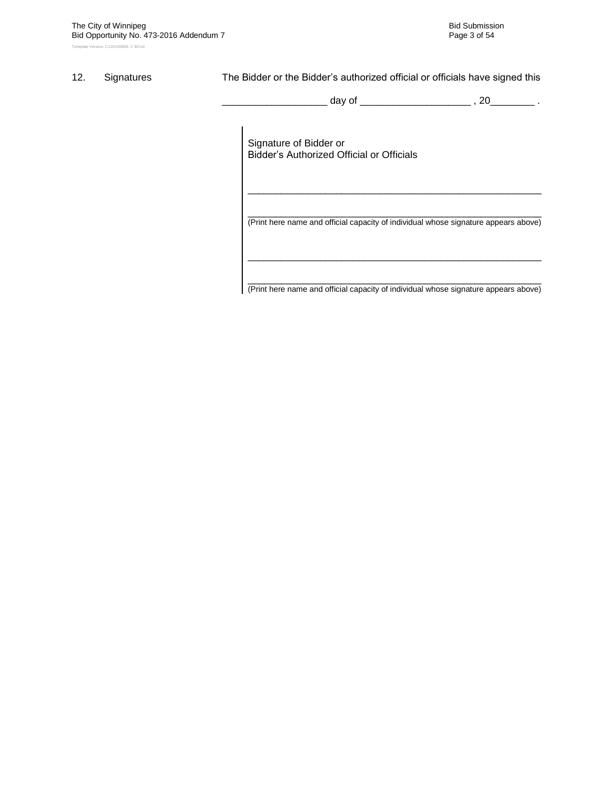#### 12. Signatures The Bidder or the Bidder's authorized official or officials have signed this

\_ day of \_\_\_\_\_\_\_\_\_\_\_\_\_\_\_\_\_\_\_\_\_\_\_ , 20\_\_\_\_\_\_\_\_ .

Signature of Bidder or Bidder"s Authorized Official or Officials

\_\_\_\_\_\_\_\_\_\_\_\_\_\_\_\_\_\_\_\_\_\_\_\_\_\_\_\_\_\_\_\_\_\_\_\_\_\_\_\_\_\_\_\_\_\_\_\_\_\_\_\_\_ (Print here name and official capacity of individual whose signature appears above)

\_\_\_\_\_\_\_\_\_\_\_\_\_\_\_\_\_\_\_\_\_\_\_\_\_\_\_\_\_\_\_\_\_\_\_\_\_\_\_\_\_\_\_\_\_\_\_\_\_\_\_\_\_

\_\_\_\_\_\_\_\_\_\_\_\_\_\_\_\_\_\_\_\_\_\_\_\_\_\_\_\_\_\_\_\_\_\_\_\_\_\_\_\_\_\_\_\_\_\_\_\_\_\_\_\_\_ (Print here name and official capacity of individual whose signature appears above)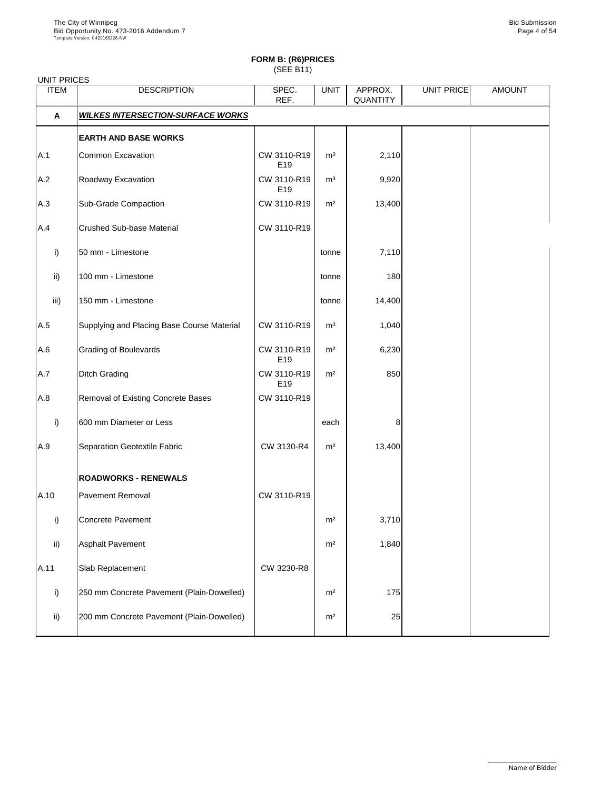| <b>UNIT PRICES</b> |                                            |                                |                |                     |                   |               |
|--------------------|--------------------------------------------|--------------------------------|----------------|---------------------|-------------------|---------------|
| <b>ITEM</b>        | <b>DESCRIPTION</b>                         | SPEC.<br>REF.                  | <b>UNIT</b>    | APPROX.<br>QUANTITY | <b>UNIT PRICE</b> | <b>AMOUNT</b> |
| $\mathsf{A}$       | <b>WILKES INTERSECTION-SURFACE WORKS</b>   |                                |                |                     |                   |               |
|                    | <b>EARTH AND BASE WORKS</b>                |                                |                |                     |                   |               |
| A.1                | <b>Common Excavation</b>                   | CW 3110-R19<br>E <sub>19</sub> | m <sup>3</sup> | 2,110               |                   |               |
| A.2                | Roadway Excavation                         | CW 3110-R19<br>E <sub>19</sub> | m <sup>3</sup> | 9,920               |                   |               |
| A.3                | <b>Sub-Grade Compaction</b>                | CW 3110-R19                    | m <sup>2</sup> | 13,400              |                   |               |
| A.4                | <b>Crushed Sub-base Material</b>           | CW 3110-R19                    |                |                     |                   |               |
| i)                 | 50 mm - Limestone                          |                                | tonne          | 7,110               |                   |               |
| $\mathsf{ii}$      | 100 mm - Limestone                         |                                | tonne          | 180                 |                   |               |
| iii)               | 150 mm - Limestone                         |                                | tonne          | 14,400              |                   |               |
| A.5                | Supplying and Placing Base Course Material | CW 3110-R19                    | m <sup>3</sup> | 1,040               |                   |               |
| A.6                | <b>Grading of Boulevards</b>               | CW 3110-R19<br>E <sub>19</sub> | m <sup>2</sup> | 6,230               |                   |               |
| A.7                | <b>Ditch Grading</b>                       | CW 3110-R19<br>E19             | m <sup>2</sup> | 850                 |                   |               |
| A.8                | Removal of Existing Concrete Bases         | CW 3110-R19                    |                |                     |                   |               |
| i)                 | 600 mm Diameter or Less                    |                                | each           | 8                   |                   |               |
| A.9                | Separation Geotextile Fabric               | CW 3130-R4                     | m <sup>2</sup> | 13,400              |                   |               |
|                    | <b>ROADWORKS - RENEWALS</b>                |                                |                |                     |                   |               |
| A.10               | <b>Pavement Removal</b>                    | CW 3110-R19                    |                |                     |                   |               |
| i)                 | Concrete Pavement                          |                                | m <sup>2</sup> | 3,710               |                   |               |
| $\mathsf{ii}$ )    | <b>Asphalt Pavement</b>                    |                                | m <sup>2</sup> | 1,840               |                   |               |
| A.11               | Slab Replacement                           | CW 3230-R8                     |                |                     |                   |               |
| i)                 | 250 mm Concrete Pavement (Plain-Dowelled)  |                                | m <sup>2</sup> | 175                 |                   |               |
|                    |                                            |                                |                |                     |                   |               |

| -::\ | 200 mm Concrete Pavement (Plain-Dowelled) | m <sup>2</sup> |  |  |
|------|-------------------------------------------|----------------|--|--|
|      |                                           |                |  |  |

\_\_\_\_\_\_\_\_\_\_\_\_\_\_\_\_\_\_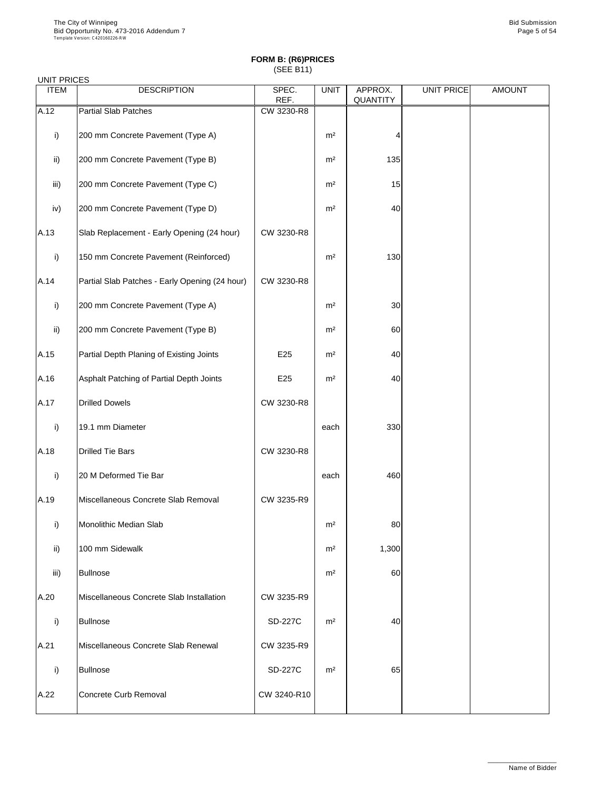#### UNIT PRICES

| <b>ITEM</b>   | <b>DESCRIPTION</b>                             | SPEC.<br>REF. | <b>UNIT</b>    | APPROX.<br><b>QUANTITY</b> | UNIT PRICE | <b>AMOUNT</b> |
|---------------|------------------------------------------------|---------------|----------------|----------------------------|------------|---------------|
| A.12          | <b>Partial Slab Patches</b>                    | CW 3230-R8    |                |                            |            |               |
| i)            | 200 mm Concrete Pavement (Type A)              |               | m <sup>2</sup> | 4                          |            |               |
| $\mathsf{ii}$ | 200 mm Concrete Pavement (Type B)              |               | m <sup>2</sup> | 135                        |            |               |
| iii)          | 200 mm Concrete Pavement (Type C)              |               | m <sup>2</sup> | 15                         |            |               |
| iv)           | 200 mm Concrete Pavement (Type D)              |               | m <sup>2</sup> | 40                         |            |               |
| A.13          | Slab Replacement - Early Opening (24 hour)     | CW 3230-R8    |                |                            |            |               |
| i)            | 150 mm Concrete Pavement (Reinforced)          |               | m <sup>2</sup> | 130                        |            |               |
| A.14          | Partial Slab Patches - Early Opening (24 hour) | CW 3230-R8    |                |                            |            |               |
| i)            | 200 mm Concrete Pavement (Type A)              |               | m <sup>2</sup> | 30                         |            |               |
| $\mathsf{ii}$ | 200 mm Concrete Pavement (Type B)              |               | m <sup>2</sup> | 60                         |            |               |
| A.15          | Partial Depth Planing of Existing Joints       | E25           | m <sup>2</sup> | 40                         |            |               |
| A.16          | Asphalt Patching of Partial Depth Joints       | E25           | m <sup>2</sup> | 40                         |            |               |
| A.17          | <b>Drilled Dowels</b>                          | CW 3230-R8    |                |                            |            |               |
| i)            | 19.1 mm Diameter                               |               | each           | 330                        |            |               |
| A.18          | <b>Drilled Tie Bars</b>                        | CW 3230-R8    |                |                            |            |               |
| i)            | 20 M Deformed Tie Bar                          |               | each           | 460                        |            |               |
| A.19          | Miscellaneous Concrete Slab Removal            | CW 3235-R9    |                |                            |            |               |
| i)            | Monolithic Median Slab                         |               | m <sup>2</sup> | 80                         |            |               |
| $\mathsf{ii}$ | 100 mm Sidewalk                                |               | m <sup>2</sup> | 1,300                      |            |               |
| iii)          | <b>Bullnose</b>                                |               | m <sup>2</sup> | 60                         |            |               |
| A.20          | Miscellaneous Concrete Slab Installation       | CW 3235-R9    |                |                            |            |               |

|      | Bullnose                            | <b>SD-227C</b> | m <sup>2</sup> | 40 |  |
|------|-------------------------------------|----------------|----------------|----|--|
| A.21 | Miscellaneous Concrete Slab Renewal | CW 3235-R9     |                |    |  |
|      | Bullnose                            | <b>SD-227C</b> | m <sup>2</sup> | 65 |  |
| A.22 | Concrete Curb Removal               | CW 3240-R10    |                |    |  |

\_\_\_\_\_\_\_\_\_\_\_\_\_\_\_\_\_\_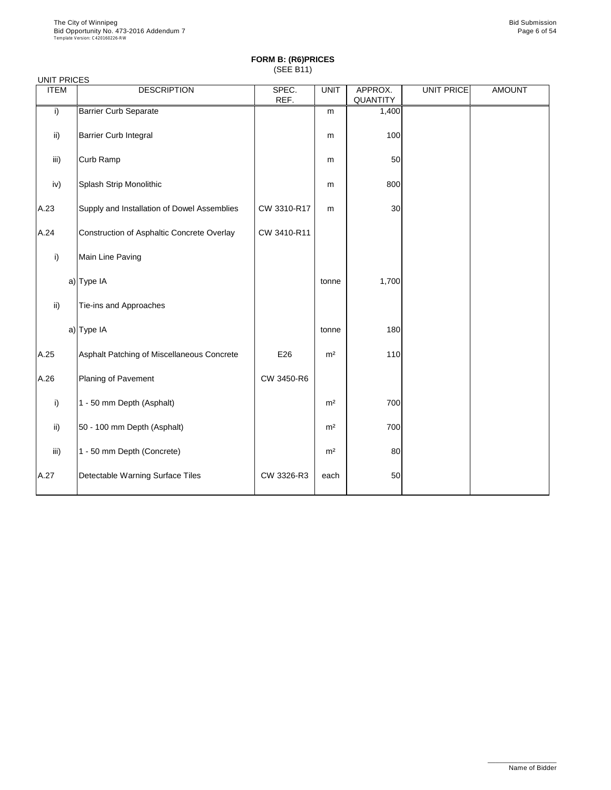| <b>UNIT PRICES</b> |                                             |               |                |                     |                   |               |
|--------------------|---------------------------------------------|---------------|----------------|---------------------|-------------------|---------------|
| <b>ITEM</b>        | <b>DESCRIPTION</b>                          | SPEC.<br>REF. | <b>UNIT</b>    | APPROX.<br>QUANTITY | <b>UNIT PRICE</b> | <b>AMOUNT</b> |
| i)                 | <b>Barrier Curb Separate</b>                |               | m              | 1,400               |                   |               |
| ii)                | <b>Barrier Curb Integral</b>                |               | m              | 100                 |                   |               |
| iii)               | Curb Ramp                                   |               | m              | 50                  |                   |               |
| iv)                | Splash Strip Monolithic                     |               | m              | 800                 |                   |               |
| A.23               | Supply and Installation of Dowel Assemblies | CW 3310-R17   | m              | 30                  |                   |               |
| A.24               | Construction of Asphaltic Concrete Overlay  | CW 3410-R11   |                |                     |                   |               |
| i)                 | Main Line Paving                            |               |                |                     |                   |               |
|                    | a) Type IA                                  |               | tonne          | 1,700               |                   |               |
| $\mathsf{ii}$ )    | Tie-ins and Approaches                      |               |                |                     |                   |               |
|                    | a) Type IA                                  |               | tonne          | 180                 |                   |               |
| A.25               | Asphalt Patching of Miscellaneous Concrete  | E26           | m <sup>2</sup> | 110                 |                   |               |
| A.26               | Planing of Pavement                         | CW 3450-R6    |                |                     |                   |               |
| i)                 | 1 - 50 mm Depth (Asphalt)                   |               | m <sup>2</sup> | 700                 |                   |               |
| $\mathsf{ii}$      | 50 - 100 mm Depth (Asphalt)                 |               | m <sup>2</sup> | 700                 |                   |               |
| iii)               | 1 - 50 mm Depth (Concrete)                  |               | m <sup>2</sup> | 80                  |                   |               |
| A.27               | Detectable Warning Surface Tiles            | CW 3326-R3    | each           | 50                  |                   |               |

\_\_\_\_\_\_\_\_\_\_\_\_\_\_\_\_\_\_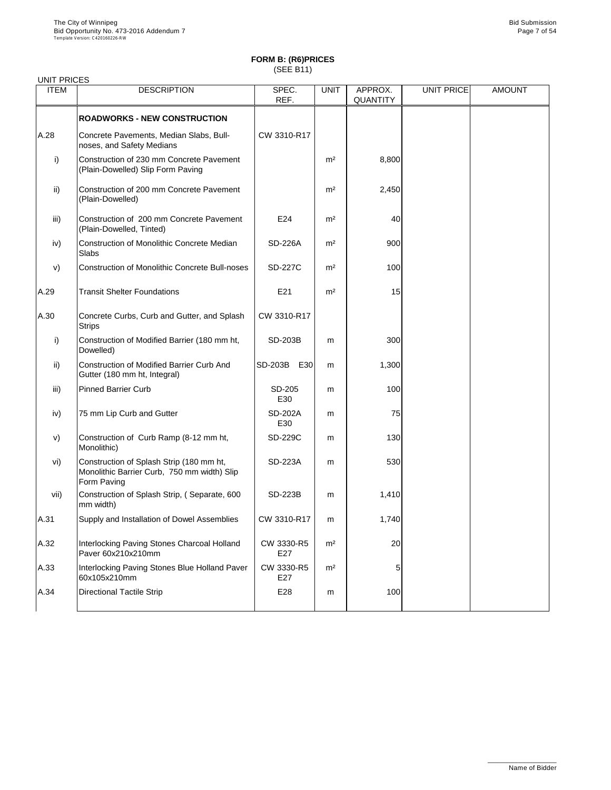| <b>ITEM</b>   | <b>DESCRIPTION</b>                                                                                     | SPEC.<br>REF.         | <b>UNIT</b>    | APPROX.<br><b>QUANTITY</b> | <b>UNIT PRICE</b> | <b>AMOUNT</b> |
|---------------|--------------------------------------------------------------------------------------------------------|-----------------------|----------------|----------------------------|-------------------|---------------|
|               | <b>ROADWORKS - NEW CONSTRUCTION</b>                                                                    |                       |                |                            |                   |               |
| A.28          | Concrete Pavements, Median Slabs, Bull-<br>noses, and Safety Medians                                   | CW 3310-R17           |                |                            |                   |               |
| i)            | Construction of 230 mm Concrete Pavement<br>(Plain-Dowelled) Slip Form Paving                          |                       | m <sup>2</sup> | 8,800                      |                   |               |
| $\mathsf{ii}$ | Construction of 200 mm Concrete Pavement<br>(Plain-Dowelled)                                           |                       | m <sup>2</sup> | 2,450                      |                   |               |
| iii)          | Construction of 200 mm Concrete Pavement<br>(Plain-Dowelled, Tinted)                                   | E24                   | m <sup>2</sup> | 40                         |                   |               |
| iv)           | <b>Construction of Monolithic Concrete Median</b><br><b>Slabs</b>                                      | <b>SD-226A</b>        | m <sup>2</sup> | 900                        |                   |               |
| V)            | <b>Construction of Monolithic Concrete Bull-noses</b>                                                  | <b>SD-227C</b>        | m <sup>2</sup> | 100                        |                   |               |
| A.29          | <b>Transit Shelter Foundations</b>                                                                     | E21                   | m <sup>2</sup> | 15                         |                   |               |
| A.30          | Concrete Curbs, Curb and Gutter, and Splash<br><b>Strips</b>                                           | CW 3310-R17           |                |                            |                   |               |
| i)            | Construction of Modified Barrier (180 mm ht,<br>Dowelled)                                              | <b>SD-203B</b>        | m              | 300                        |                   |               |
| $\mathsf{ii}$ | <b>Construction of Modified Barrier Curb And</b><br>Gutter (180 mm ht, Integral)                       | <b>SD-203B</b><br>E30 | m              | 1,300                      |                   |               |
| iii)          | <b>Pinned Barrier Curb</b>                                                                             | SD-205<br>E30         | m              | 100                        |                   |               |
| iv)           | 75 mm Lip Curb and Gutter                                                                              | <b>SD-202A</b><br>E30 | m              | 75                         |                   |               |
| V)            | Construction of Curb Ramp (8-12 mm ht,<br>Monolithic)                                                  | <b>SD-229C</b>        | m              | 130                        |                   |               |
| vi)           | Construction of Splash Strip (180 mm ht,<br>Monolithic Barrier Curb, 750 mm width) Slip<br>Form Paving | <b>SD-223A</b>        | m              | 530                        |                   |               |
| vii)          | Construction of Splash Strip, (Separate, 600<br>mm width)                                              | <b>SD-223B</b>        | m              | 1,410                      |                   |               |
| A.31          | Supply and Installation of Dowel Assemblies                                                            | CW 3310-R17           | m              | 1,740                      |                   |               |
| A.32          | Interlocking Paving Stones Charcoal Holland<br>Paver 60x210x210mm                                      | CW 3330-R5<br>E27     | m <sup>2</sup> | 20                         |                   |               |
| A.33          | Interlocking Paving Stones Blue Holland Paver<br>60x105x210mm                                          | CW 3330-R5<br>E27     | m <sup>2</sup> | 5                          |                   |               |
| A.34          | <b>Directional Tactile Strip</b>                                                                       | E28                   | m              | 100                        |                   |               |

\_\_\_\_\_\_\_\_\_\_\_\_\_\_\_\_\_\_ Name of Bidder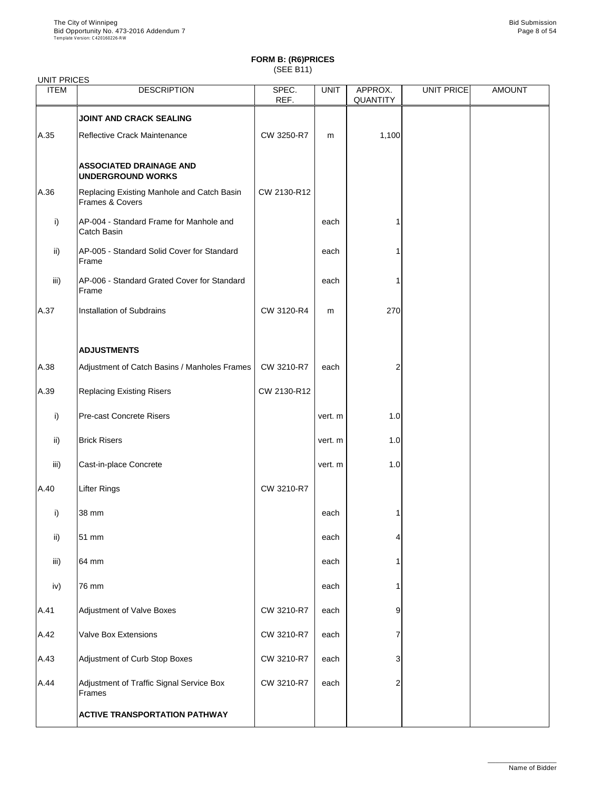| <b>UNIT PRICES</b>   |                                                                          |               |              |                            |                   |               |
|----------------------|--------------------------------------------------------------------------|---------------|--------------|----------------------------|-------------------|---------------|
| <b>ITEM</b>          | <b>DESCRIPTION</b>                                                       | SPEC.<br>REF. | <b>UNIT</b>  | APPROX.<br><b>QUANTITY</b> | <b>UNIT PRICE</b> | <b>AMOUNT</b> |
|                      | <b>JOINT AND CRACK SEALING</b>                                           |               |              |                            |                   |               |
| A.35                 | Reflective Crack Maintenance                                             | CW 3250-R7    | m            | 1,100                      |                   |               |
|                      | <b>ASSOCIATED DRAINAGE AND</b><br><b>UNDERGROUND WORKS</b>               |               |              |                            |                   |               |
| A.36                 | Replacing Existing Manhole and Catch Basin<br><b>Frames &amp; Covers</b> | CW 2130-R12   |              |                            |                   |               |
| i)                   | AP-004 - Standard Frame for Manhole and<br><b>Catch Basin</b>            |               | each         |                            |                   |               |
| $\mathsf{ii}$        | AP-005 - Standard Solid Cover for Standard<br>Frame                      |               | each         |                            |                   |               |
| iii)                 | AP-006 - Standard Grated Cover for Standard<br>Frame                     |               | each         |                            |                   |               |
| A.37                 | <b>Installation of Subdrains</b>                                         | CW 3120-R4    | m            | 270                        |                   |               |
|                      | <b>ADJUSTMENTS</b>                                                       |               |              |                            |                   |               |
| A.38                 | Adjustment of Catch Basins / Manholes Frames                             | CW 3210-R7    | each         | 2                          |                   |               |
| A.39                 | <b>Replacing Existing Risers</b>                                         | CW 2130-R12   |              |                            |                   |               |
| i)                   | <b>Pre-cast Concrete Risers</b>                                          |               | vert. m      | 1.0                        |                   |               |
| $\mathsf{ii}$        | <b>Brick Risers</b>                                                      |               | vert. m      | 1.0                        |                   |               |
| iii)                 | Cast-in-place Concrete                                                   |               | vert. m      | 1.0                        |                   |               |
| A.40                 | Lifter Rings                                                             | CW 3210-R7    |              |                            |                   |               |
| i)                   | 38 mm                                                                    |               | each         |                            |                   |               |
| $\mathsf{ii}$        | 51 mm                                                                    |               | each         | 4                          |                   |               |
| iii)                 | 64 mm                                                                    |               | each         |                            |                   |               |
| iv)                  | 76 mm                                                                    |               | each         |                            |                   |               |
| $\Delta$ $\Lambda$ 1 | Adjustment of Valve Boyes                                                | CM 3210-R7    | <b>A</b> ach | Q                          |                   |               |

|        | <b>ACTIVE TRANSPORTATION PATHWAY</b>               |            |      |          |  |
|--------|----------------------------------------------------|------------|------|----------|--|
| A.44   | Adjustment of Traffic Signal Service Box<br>Frames | CW 3210-R7 | each | $\Omega$ |  |
| A.43   | Adjustment of Curb Stop Boxes                      | CW 3210-R7 | each | ≏        |  |
| A.42   | <b>Valve Box Extensions</b>                        | CW 3210-R7 | each |          |  |
| IA.4 I | <b>AUJUSTITIERIL OF VAIVE DOXES</b>                | $UVQZUV-K$ | eacn | У        |  |

\_\_\_\_\_\_\_\_\_\_\_\_\_\_\_\_\_\_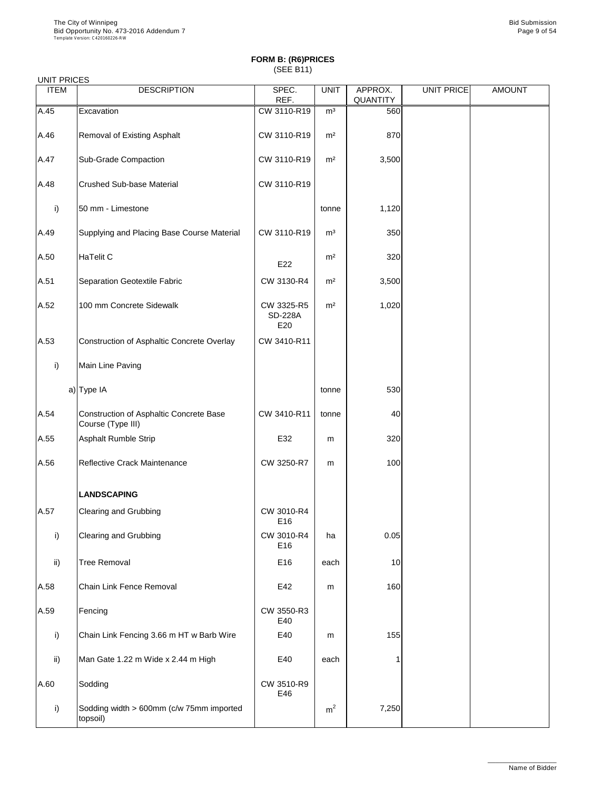| <b>UIVIT FRICES</b><br><b>ITEM</b> | <b>DESCRIPTION</b>                                                  | SPEC.<br>REF.                       | <b>UNIT</b>    | APPROX.<br><b>QUANTITY</b> | <b>UNIT PRICE</b> | <b>AMOUNT</b> |
|------------------------------------|---------------------------------------------------------------------|-------------------------------------|----------------|----------------------------|-------------------|---------------|
| A.45                               | Excavation                                                          | CW 3110-R19                         | m <sup>3</sup> | 560                        |                   |               |
| A.46                               | <b>Removal of Existing Asphalt</b>                                  | CW 3110-R19                         | m <sup>2</sup> | 870                        |                   |               |
| A.47                               | <b>Sub-Grade Compaction</b>                                         | CW 3110-R19                         | m <sup>2</sup> | 3,500                      |                   |               |
| A.48                               | <b>Crushed Sub-base Material</b>                                    | CW 3110-R19                         |                |                            |                   |               |
| i)                                 | 50 mm - Limestone                                                   |                                     | tonne          | 1,120                      |                   |               |
| A.49                               | Supplying and Placing Base Course Material                          | CW 3110-R19                         | m <sup>3</sup> | 350                        |                   |               |
| A.50                               | <b>HaTelit C</b>                                                    | E22                                 | m <sup>2</sup> | 320                        |                   |               |
| A.51                               | Separation Geotextile Fabric                                        | CW 3130-R4                          | m <sup>2</sup> | 3,500                      |                   |               |
| A.52                               | 100 mm Concrete Sidewalk                                            | CW 3325-R5<br><b>SD-228A</b><br>E20 | m <sup>2</sup> | 1,020                      |                   |               |
| A.53                               | <b>Construction of Asphaltic Concrete Overlay</b>                   | CW 3410-R11                         |                |                            |                   |               |
| i)                                 | Main Line Paving                                                    |                                     |                |                            |                   |               |
|                                    | a) Type IA                                                          |                                     | tonne          | 530                        |                   |               |
| A.54                               | <b>Construction of Asphaltic Concrete Base</b><br>Course (Type III) | CW 3410-R11                         | tonne          | 40                         |                   |               |
| A.55                               | <b>Asphalt Rumble Strip</b>                                         | E32                                 | m              | 320                        |                   |               |
| A.56                               | <b>Reflective Crack Maintenance</b>                                 | CW 3250-R7                          | m              | 100                        |                   |               |
|                                    | <b>LANDSCAPING</b>                                                  |                                     |                |                            |                   |               |
| A.57                               | <b>Clearing and Grubbing</b>                                        | CW 3010-R4<br>E16                   |                |                            |                   |               |
| i)                                 | <b>Clearing and Grubbing</b>                                        | CW 3010-R4<br>E <sub>16</sub>       | ha             | 0.05                       |                   |               |
| $\mathsf{ii}$                      | <b>Tree Removal</b>                                                 | E <sub>16</sub>                     | each           | 10                         |                   |               |
| A.58                               | <b>Chain Link Fence Removal</b>                                     | E42                                 | m              | 160                        |                   |               |
| $\Lambda$ <sub>50</sub>            | $E$ oncina                                                          | $C\setminus N$ 2550 D <sub>2</sub>  |                |                            |                   |               |

| IA.59 | ∣⊩encinq                                             | <b>CW 3550-R3</b><br>E40 |                |       |  |
|-------|------------------------------------------------------|--------------------------|----------------|-------|--|
| i)    | Chain Link Fencing 3.66 m HT w Barb Wire             | E40                      | m              | 155   |  |
| ii)   | Man Gate 1.22 m Wide x 2.44 m High                   | E40                      | each           |       |  |
| A.60  | Sodding                                              | CW 3510-R9<br>E46        |                |       |  |
| i)    | Sodding width > 600mm (c/w 75mm imported<br>topsoil) |                          | m <sup>2</sup> | 7,250 |  |

\_\_\_\_\_\_\_\_\_\_\_\_\_\_\_\_\_\_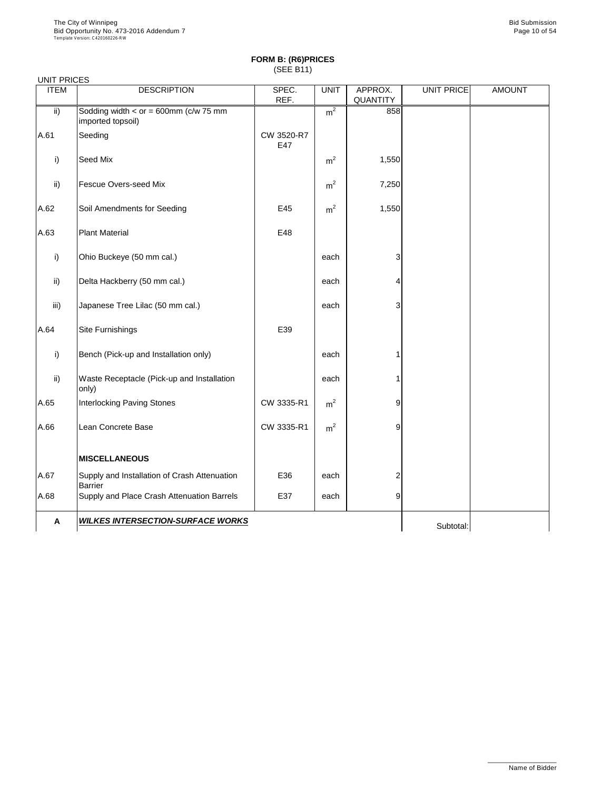| <b>UNIT PRICES</b> |                                                                |                   |                |                            |            |               |
|--------------------|----------------------------------------------------------------|-------------------|----------------|----------------------------|------------|---------------|
| <b>ITEM</b>        | <b>DESCRIPTION</b>                                             | SPEC.<br>REF.     | <b>UNIT</b>    | APPROX.<br><b>QUANTITY</b> | UNIT PRICE | <b>AMOUNT</b> |
| $\mathsf{ii}$      | Sodding width $<$ or = 600mm (c/w 75 mm<br>imported topsoil)   |                   | m <sup>2</sup> | 858                        |            |               |
| A.61               | Seeding                                                        | CW 3520-R7<br>E47 |                |                            |            |               |
| i)                 | Seed Mix                                                       |                   | m <sup>2</sup> | 1,550                      |            |               |
| ii)                | <b>Fescue Overs-seed Mix</b>                                   |                   | m <sup>2</sup> | 7,250                      |            |               |
| A.62               | Soil Amendments for Seeding                                    | E45               | m <sup>2</sup> | 1,550                      |            |               |
| A.63               | <b>Plant Material</b>                                          | E48               |                |                            |            |               |
| i)                 | Ohio Buckeye (50 mm cal.)                                      |                   | each           | 3                          |            |               |
| $\mathsf{ii}$      | Delta Hackberry (50 mm cal.)                                   |                   | each           | 4                          |            |               |
| iii)               | Japanese Tree Lilac (50 mm cal.)                               |                   | each           | 3                          |            |               |
| A.64               | Site Furnishings                                               | E39               |                |                            |            |               |
| i)                 | Bench (Pick-up and Installation only)                          |                   | each           |                            |            |               |
| $\mathsf{ii}$      | <b>Waste Receptacle (Pick-up and Installation</b><br>only)     |                   | each           |                            |            |               |
| A.65               | <b>Interlocking Paving Stones</b>                              | CW 3335-R1        | m <sup>2</sup> | 9                          |            |               |
| A.66               | Lean Concrete Base                                             | CW 3335-R1        | m <sup>2</sup> | 9                          |            |               |
|                    | <b>MISCELLANEOUS</b>                                           |                   |                |                            |            |               |
| A.67               | Supply and Installation of Crash Attenuation<br><b>Barrier</b> | E36               | each           | 2                          |            |               |
| A.68               | Supply and Place Crash Attenuation Barrels                     | E37               | each           | 9                          |            |               |
| $\mathbf{A}$       | <b>WILKES INTERSECTION-SURFACE WORKS</b>                       |                   |                |                            | Subtotal:  |               |

\_\_\_\_\_\_\_\_\_\_\_\_\_\_\_\_\_\_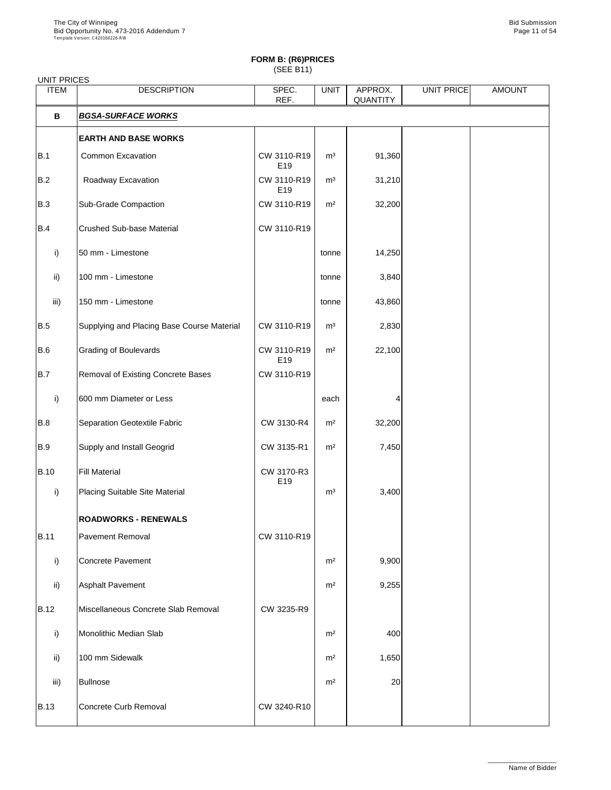## **FORM B: (R6)PRICES**

(SEE B11)

| <b>UNIT PRICES</b> |                                            |                                |                |                            |                   |               |
|--------------------|--------------------------------------------|--------------------------------|----------------|----------------------------|-------------------|---------------|
| <b>ITEM</b>        | <b>DESCRIPTION</b>                         | SPEC.<br>REF.                  | <b>UNIT</b>    | APPROX.<br><b>QUANTITY</b> | <b>UNIT PRICE</b> | <b>AMOUNT</b> |
| $\mathbf B$        | <b>BGSA-SURFACE WORKS</b>                  |                                |                |                            |                   |               |
|                    | <b>EARTH AND BASE WORKS</b>                |                                |                |                            |                   |               |
| B.1                | <b>Common Excavation</b>                   | CW 3110-R19<br>E19             | m <sup>3</sup> | 91,360                     |                   |               |
| B.2                | Roadway Excavation                         | CW 3110-R19<br>E19             | m <sup>3</sup> | 31,210                     |                   |               |
| <b>B.3</b>         | <b>Sub-Grade Compaction</b>                | CW 3110-R19                    | m <sup>2</sup> | 32,200                     |                   |               |
| <b>B.4</b>         | <b>Crushed Sub-base Material</b>           | CW 3110-R19                    |                |                            |                   |               |
| i)                 | 50 mm - Limestone                          |                                | tonne          | 14,250                     |                   |               |
| $\mathsf{ii}$      | 100 mm - Limestone                         |                                | tonne          | 3,840                      |                   |               |
| iii)               | 150 mm - Limestone                         |                                | tonne          | 43,860                     |                   |               |
| B.5                | Supplying and Placing Base Course Material | CW 3110-R19                    | m <sup>3</sup> | 2,830                      |                   |               |
| B.6                | <b>Grading of Boulevards</b>               | CW 3110-R19<br>E <sub>19</sub> | m <sup>2</sup> | 22,100                     |                   |               |
| B.7                | <b>Removal of Existing Concrete Bases</b>  | CW 3110-R19                    |                |                            |                   |               |
| i)                 | 600 mm Diameter or Less                    |                                | each           |                            |                   |               |
| B.8                | <b>Separation Geotextile Fabric</b>        | CW 3130-R4                     | m <sup>2</sup> | 32,200                     |                   |               |
| B.9                | Supply and Install Geogrid                 | CW 3135-R1                     | m <sup>2</sup> | 7,450                      |                   |               |
| <b>B.10</b>        | <b>Fill Material</b>                       | CW 3170-R3<br>E19              |                |                            |                   |               |
| i)                 | <b>Placing Suitable Site Material</b>      |                                | m <sup>3</sup> | 3,400                      |                   |               |
|                    | <b>ROADWORKS - RENEWALS</b>                |                                |                |                            |                   |               |
| <b>B.11</b>        | <b>Pavement Removal</b>                    | CW 3110-R19                    |                |                            |                   |               |
| i)                 | <b>Concrete Pavement</b>                   |                                | m <sup>2</sup> | 9,900                      |                   |               |
| $\mathsf{ii}$      | <b>Asphalt Pavement</b>                    |                                | m <sup>2</sup> | 9,255                      |                   |               |
| <b>B.12</b>        | Miscellaneous Concrete Slab Removal        | CW 3235-R9                     |                |                            |                   |               |
| $\mathsf{i}$       | Monolithic Median Slab                     |                                | m <sup>2</sup> | 400                        |                   |               |
| $\mathsf{ii}$      | 100 mm Sidewalk                            |                                | m <sup>2</sup> | 1,650                      |                   |               |
| iii)               | Bullnose                                   |                                | m <sup>2</sup> | 20                         |                   |               |
| <b>B.13</b>        | Concrete Curb Removal                      | CW 3240-R10                    |                |                            |                   |               |

\_\_\_\_\_\_\_\_\_\_\_\_\_\_\_\_\_\_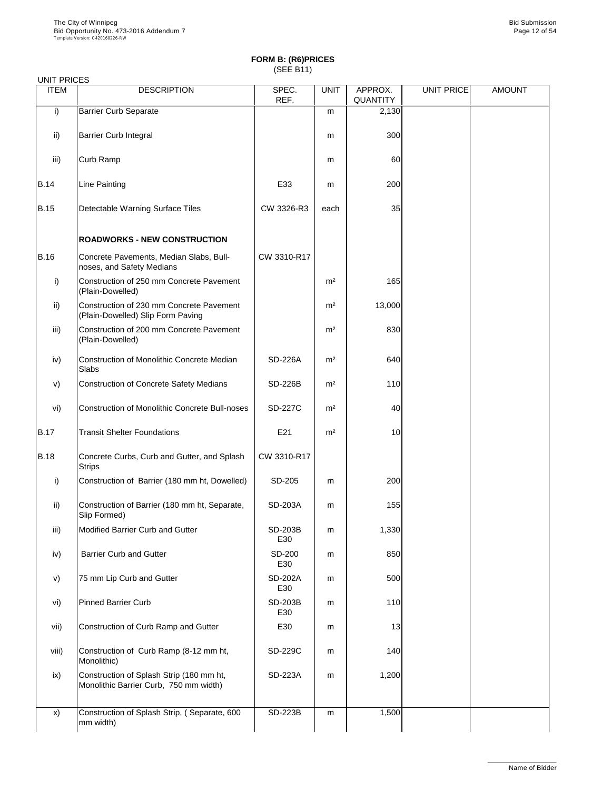| <b>UITH FRICES</b><br><b>ITEM</b> | <b>DESCRIPTION</b>                                                            | SPEC.<br>REF.         | <b>UNIT</b>    | APPROX.<br><b>QUANTITY</b> | <b>UNIT PRICE</b> | <b>AMOUNT</b> |
|-----------------------------------|-------------------------------------------------------------------------------|-----------------------|----------------|----------------------------|-------------------|---------------|
| i)                                | <b>Barrier Curb Separate</b>                                                  |                       | m              | 2,130                      |                   |               |
| $\mathsf{ii}$                     | <b>Barrier Curb Integral</b>                                                  |                       | m              | 300                        |                   |               |
| iii)                              | <b>Curb Ramp</b>                                                              |                       | m              | 60                         |                   |               |
| <b>B.14</b>                       | <b>Line Painting</b>                                                          | E33                   | m              | 200                        |                   |               |
| <b>B.15</b>                       | <b>Detectable Warning Surface Tiles</b>                                       | CW 3326-R3            | each           | 35                         |                   |               |
|                                   | <b>ROADWORKS - NEW CONSTRUCTION</b>                                           |                       |                |                            |                   |               |
| <b>B.16</b>                       | Concrete Pavements, Median Slabs, Bull-<br>noses, and Safety Medians          | CW 3310-R17           |                |                            |                   |               |
| i)                                | Construction of 250 mm Concrete Pavement<br>(Plain-Dowelled)                  |                       | m <sup>2</sup> | 165                        |                   |               |
| $\mathsf{ii}$                     | Construction of 230 mm Concrete Pavement<br>(Plain-Dowelled) Slip Form Paving |                       | m <sup>2</sup> | 13,000                     |                   |               |
| iii)                              | Construction of 200 mm Concrete Pavement<br>(Plain-Dowelled)                  |                       | m <sup>2</sup> | 830                        |                   |               |
| iv)                               | <b>Construction of Monolithic Concrete Median</b><br>Slabs                    | <b>SD-226A</b>        | m <sup>2</sup> | 640                        |                   |               |
| V)                                | <b>Construction of Concrete Safety Medians</b>                                | <b>SD-226B</b>        | m <sup>2</sup> | 110                        |                   |               |
| vi)                               | <b>Construction of Monolithic Concrete Bull-noses</b>                         | <b>SD-227C</b>        | m <sup>2</sup> | 40                         |                   |               |
| <b>B.17</b>                       | <b>Transit Shelter Foundations</b>                                            | E21                   | m <sup>2</sup> | 10                         |                   |               |
| <b>B.18</b>                       | Concrete Curbs, Curb and Gutter, and Splash<br><b>Strips</b>                  | CW 3310-R17           |                |                            |                   |               |
| $\mathsf{i}$                      | Construction of Barrier (180 mm ht, Dowelled)                                 | SD-205                | m              | 200                        |                   |               |
| $\mathsf{ii}$                     | Construction of Barrier (180 mm ht, Separate,<br>Slip Formed)                 | <b>SD-203A</b>        | m              | 155                        |                   |               |
| iii)                              | Modified Barrier Curb and Gutter                                              | <b>SD-203B</b><br>E30 | m              | 1,330                      |                   |               |
| iv)                               | <b>Barrier Curb and Gutter</b>                                                | <b>SD-200</b><br>E30  | m              | 850                        |                   |               |
| V)                                | 75 mm Lip Curb and Gutter                                                     | <b>SD-202A</b><br>E30 | m              | 500                        |                   |               |
| vi)                               | <b>Pinned Barrier Curb</b>                                                    | <b>SD-203B</b>        | m              | 110                        |                   |               |

| VI)   | IPinned Barrier Curb                                                               | SD-203B<br>E30 | m | 1101            |  |  |
|-------|------------------------------------------------------------------------------------|----------------|---|-----------------|--|--|
| vii)  | Construction of Curb Ramp and Gutter                                               | E30            | m | 13 <sub>l</sub> |  |  |
| viii) | Construction of Curb Ramp (8-12 mm ht,<br>Monolithic)                              | <b>SD-229C</b> | m | <b>140</b>      |  |  |
| ix)   | Construction of Splash Strip (180 mm ht,<br>Monolithic Barrier Curb, 750 mm width) | <b>SD-223A</b> | m | 1,200           |  |  |
| X)    | Construction of Splash Strip, (Separate, 600<br>mm width)                          | <b>SD-223B</b> | m | 1,500           |  |  |

\_\_\_\_\_\_\_\_\_\_\_\_\_\_\_\_\_\_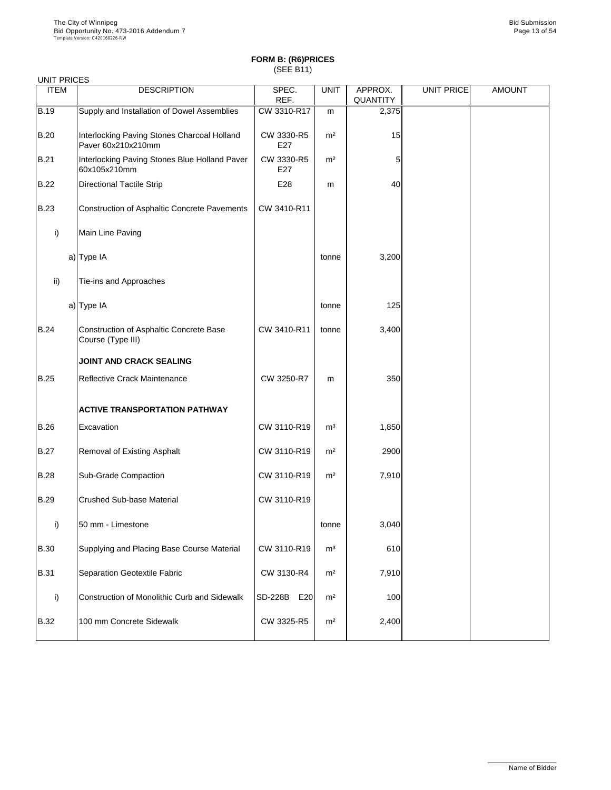| <b>UNIT PRICES</b> |                                                                     |                       |                |                            |                   |               |
|--------------------|---------------------------------------------------------------------|-----------------------|----------------|----------------------------|-------------------|---------------|
| <b>ITEM</b>        | <b>DESCRIPTION</b>                                                  | SPEC.<br>REF.         | <b>UNIT</b>    | APPROX.<br><b>QUANTITY</b> | <b>UNIT PRICE</b> | <b>AMOUNT</b> |
| <b>B.19</b>        | Supply and Installation of Dowel Assemblies                         | CW 3310-R17           | m              | 2,375                      |                   |               |
| <b>B.20</b>        | Interlocking Paving Stones Charcoal Holland<br>Paver 60x210x210mm   | CW 3330-R5<br>E27     | m <sup>2</sup> | 15                         |                   |               |
| <b>B.21</b>        | Interlocking Paving Stones Blue Holland Paver<br>60x105x210mm       | CW 3330-R5<br>E27     | m <sup>2</sup> | 5                          |                   |               |
| <b>B.22</b>        | <b>Directional Tactile Strip</b>                                    | E28                   | m              | 40                         |                   |               |
| <b>B.23</b>        | <b>Construction of Asphaltic Concrete Pavements</b>                 | CW 3410-R11           |                |                            |                   |               |
| i)                 | Main Line Paving                                                    |                       |                |                            |                   |               |
|                    | $a)$ Type IA                                                        |                       | tonne          | 3,200                      |                   |               |
| ii)                | Tie-ins and Approaches                                              |                       |                |                            |                   |               |
|                    | a) Type IA                                                          |                       | tonne          | 125                        |                   |               |
| <b>B.24</b>        | <b>Construction of Asphaltic Concrete Base</b><br>Course (Type III) | CW 3410-R11           | tonne          | 3,400                      |                   |               |
|                    | <b>JOINT AND CRACK SEALING</b>                                      |                       |                |                            |                   |               |
| <b>B.25</b>        | <b>Reflective Crack Maintenance</b>                                 | CW 3250-R7            | m              | 350                        |                   |               |
|                    | <b>ACTIVE TRANSPORTATION PATHWAY</b>                                |                       |                |                            |                   |               |
| <b>B.26</b>        | Excavation                                                          | CW 3110-R19           | m <sup>3</sup> | 1,850                      |                   |               |
| <b>B.27</b>        | <b>Removal of Existing Asphalt</b>                                  | CW 3110-R19           | m <sup>2</sup> | 2900                       |                   |               |
| <b>B.28</b>        | <b>Sub-Grade Compaction</b>                                         | CW 3110-R19           | m <sup>2</sup> | 7,910                      |                   |               |
| <b>B.29</b>        | <b>Crushed Sub-base Material</b>                                    | CW 3110-R19           |                |                            |                   |               |
| $\mathsf{i}$       | 50 mm - Limestone                                                   |                       | tonne          | 3,040                      |                   |               |
| <b>B.30</b>        | Supplying and Placing Base Course Material                          | CW 3110-R19           | m <sup>3</sup> | 610                        |                   |               |
| <b>B.31</b>        | <b>Separation Geotextile Fabric</b>                                 | CW 3130-R4            | m <sup>2</sup> | 7,910                      |                   |               |
| $\mathsf{i}$       | <b>Construction of Monolithic Curb and Sidewalk</b>                 | <b>SD-228B</b><br>E20 | m <sup>2</sup> | 100                        |                   |               |

| <b>B.32</b> | 100 mm Concrete Sidewalk | CW 3325-R5 | m <sup>2</sup> | 2,400 |  |  |
|-------------|--------------------------|------------|----------------|-------|--|--|
|-------------|--------------------------|------------|----------------|-------|--|--|

\_\_\_\_\_\_\_\_\_\_\_\_\_\_\_\_\_\_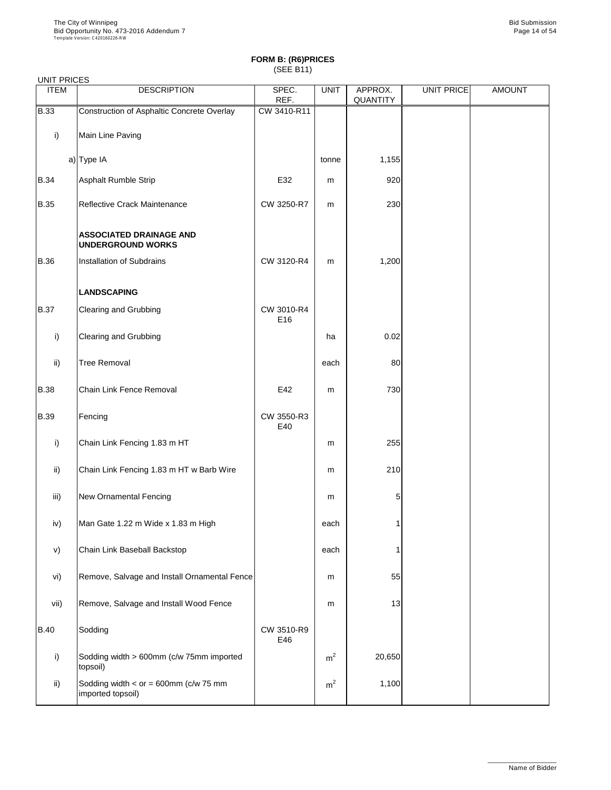### UNIT PRICES

| <b>UIVIT FRICES</b><br><b>ITEM</b> | <b>DESCRIPTION</b>                                         | SPEC.<br>REF.     | <b>UNIT</b> | APPROX.<br>QUANTITY | <b>UNIT PRICE</b> | <b>AMOUNT</b> |
|------------------------------------|------------------------------------------------------------|-------------------|-------------|---------------------|-------------------|---------------|
| <b>B.33</b>                        | Construction of Asphaltic Concrete Overlay                 | CW 3410-R11       |             |                     |                   |               |
| i)                                 | Main Line Paving                                           |                   |             |                     |                   |               |
|                                    | a) Type IA                                                 |                   | tonne       | 1,155               |                   |               |
| <b>B.34</b>                        | <b>Asphalt Rumble Strip</b>                                | E32               | m           | 920                 |                   |               |
| <b>B.35</b>                        | Reflective Crack Maintenance                               | CW 3250-R7        | m           | 230                 |                   |               |
|                                    | <b>ASSOCIATED DRAINAGE AND</b><br><b>UNDERGROUND WORKS</b> |                   |             |                     |                   |               |
| <b>B.36</b>                        | Installation of Subdrains                                  | CW 3120-R4        | m           | 1,200               |                   |               |
|                                    | <b>LANDSCAPING</b>                                         |                   |             |                     |                   |               |
| <b>B.37</b>                        | <b>Clearing and Grubbing</b>                               | CW 3010-R4<br>E16 |             |                     |                   |               |
| $\mathsf{i}$                       | <b>Clearing and Grubbing</b>                               |                   | ha          | 0.02                |                   |               |
| ii)                                | <b>Tree Removal</b>                                        |                   | each        | 80                  |                   |               |
| <b>B.38</b>                        | Chain Link Fence Removal                                   | E42               | ${\sf m}$   | 730                 |                   |               |
| <b>B.39</b>                        | Fencing                                                    | CW 3550-R3<br>E40 |             |                     |                   |               |
| i)                                 | Chain Link Fencing 1.83 m HT                               |                   | m           | 255                 |                   |               |
| $\mathsf{ii}$                      | Chain Link Fencing 1.83 m HT w Barb Wire                   |                   | ${\sf m}$   | 210                 |                   |               |
| iii)                               | <b>New Ornamental Fencing</b>                              |                   | m           | 5                   |                   |               |
| iv)                                | Man Gate 1.22 m Wide x 1.83 m High                         |                   | each        |                     |                   |               |
| V)                                 | Chain Link Baseball Backstop                               |                   | each        |                     |                   |               |
| vi)                                | Remove, Salvage and Install Ornamental Fence               |                   | m           | 55                  |                   |               |
|                                    |                                                            |                   |             |                     |                   |               |

| vii)        | Remove, Salvage and Install Wood Fence                       |                   | m              | 13     |  |
|-------------|--------------------------------------------------------------|-------------------|----------------|--------|--|
| <b>B.40</b> | Sodding                                                      | CW 3510-R9<br>E46 |                |        |  |
|             | Sodding width > 600mm (c/w 75mm imported<br>topsoil)         |                   | m <sup>2</sup> | 20,650 |  |
| ii)         | Sodding width $<$ or = 600mm (c/w 75 mm<br>imported topsoil) |                   | m <sup>2</sup> | 1,100  |  |

\_\_\_\_\_\_\_\_\_\_\_\_\_\_\_\_\_\_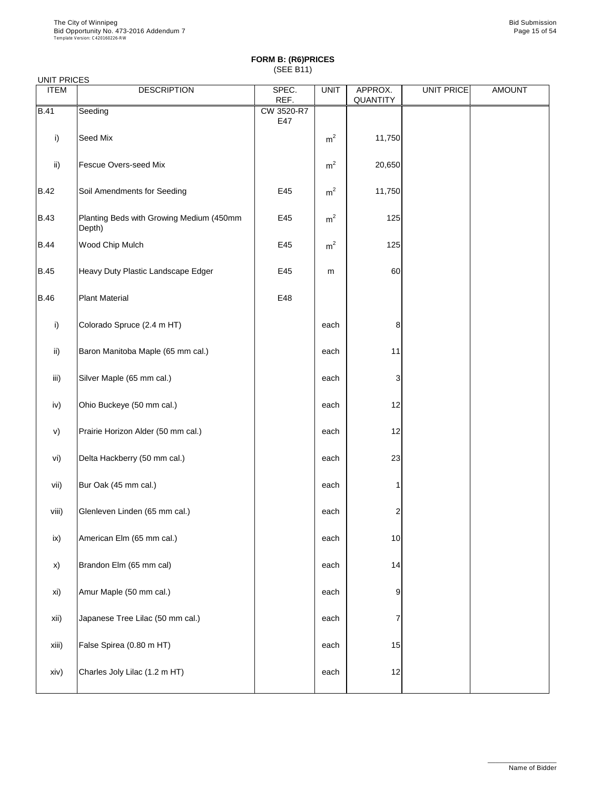| <b>UITLE LINCLO</b> |                                                    |                   |                |                            |                   |               |
|---------------------|----------------------------------------------------|-------------------|----------------|----------------------------|-------------------|---------------|
| <b>ITEM</b>         | <b>DESCRIPTION</b>                                 | SPEC.<br>REF.     | <b>UNIT</b>    | APPROX.<br><b>QUANTITY</b> | <b>UNIT PRICE</b> | <b>AMOUNT</b> |
| <b>B.41</b>         | Seeding                                            | CW 3520-R7<br>E47 |                |                            |                   |               |
| i)                  | Seed Mix                                           |                   | m <sup>2</sup> | 11,750                     |                   |               |
| ii)                 | <b>Fescue Overs-seed Mix</b>                       |                   | m <sup>2</sup> | 20,650                     |                   |               |
| <b>B.42</b>         | Soil Amendments for Seeding                        | E45               | m <sup>2</sup> | 11,750                     |                   |               |
| <b>B.43</b>         | Planting Beds with Growing Medium (450mm<br>Depth) | E45               | m <sup>2</sup> | 125                        |                   |               |
| <b>B.44</b>         | Wood Chip Mulch                                    | E45               | m <sup>2</sup> | 125                        |                   |               |
| <b>B.45</b>         | Heavy Duty Plastic Landscape Edger                 | E45               | m              | 60                         |                   |               |
| <b>B.46</b>         | <b>Plant Material</b>                              | E48               |                |                            |                   |               |
| i)                  | Colorado Spruce (2.4 m HT)                         |                   | each           | 8                          |                   |               |
| $\mathsf{ii}$       | Baron Manitoba Maple (65 mm cal.)                  |                   | each           | 11                         |                   |               |
| iii)                | Silver Maple (65 mm cal.)                          |                   | each           | $\ensuremath{\mathsf{3}}$  |                   |               |
| iv)                 | Ohio Buckeye (50 mm cal.)                          |                   | each           | 12                         |                   |               |
| $\mathsf{v})$       | Prairie Horizon Alder (50 mm cal.)                 |                   | each           | 12                         |                   |               |
| vi)                 | Delta Hackberry (50 mm cal.)                       |                   | each           | 23                         |                   |               |
| vii)                | Bur Oak (45 mm cal.)                               |                   | each           | 1                          |                   |               |
| viii)               | Glenleven Linden (65 mm cal.)                      |                   | each           | $\overline{c}$             |                   |               |
| ix)                 | American Elm (65 mm cal.)                          |                   | each           | 10                         |                   |               |
| X)                  | Brandon Elm (65 mm cal)                            |                   | each           | 14                         |                   |               |
| xi)                 | Amur Maple (50 mm cal.)                            |                   | each           | 9                          |                   |               |

| xii)  | Japanese Tree Lilac (50 mm cal.) | each |                 |  |
|-------|----------------------------------|------|-----------------|--|
| xiii) | False Spirea (0.80 m HT)         | each | 15              |  |
| xiv)  | Charles Joly Lilac (1.2 m HT)    | each | 12 <sub>l</sub> |  |

\_\_\_\_\_\_\_\_\_\_\_\_\_\_\_\_\_\_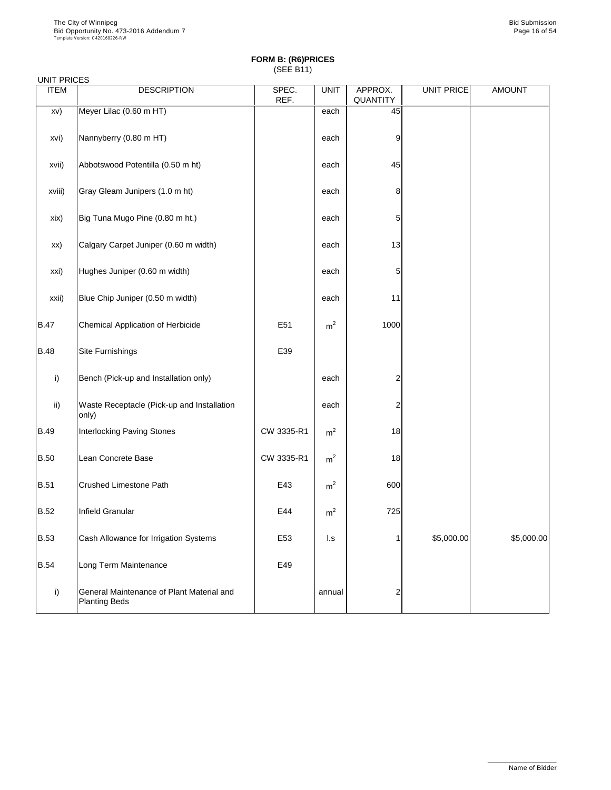| <b>UNIT PRICES</b><br><b>ITEM</b> | <b>DESCRIPTION</b>                                                | SPEC.           | <b>UNIT</b>             | APPROX.         | <b>UNIT PRICE</b> | <b>AMOUNT</b> |
|-----------------------------------|-------------------------------------------------------------------|-----------------|-------------------------|-----------------|-------------------|---------------|
|                                   |                                                                   | REF.            |                         | <b>QUANTITY</b> |                   |               |
| XV)                               | Meyer Lilac (0.60 m HT)                                           |                 | each                    | 45              |                   |               |
| xvi)                              | Nannyberry (0.80 m HT)                                            |                 | each                    | 9               |                   |               |
| xvii)                             | Abbotswood Potentilla (0.50 m ht)                                 |                 | each                    | 45              |                   |               |
| xviii)                            | Gray Gleam Junipers (1.0 m ht)                                    |                 | each                    | 8               |                   |               |
| xix)                              | Big Tuna Mugo Pine (0.80 m ht.)                                   |                 | each                    | 5               |                   |               |
| XX)                               | Calgary Carpet Juniper (0.60 m width)                             |                 | each                    | 13              |                   |               |
| xxi)                              | Hughes Juniper (0.60 m width)                                     |                 | each                    | 5               |                   |               |
| xxii)                             | Blue Chip Juniper (0.50 m width)                                  |                 | each                    | 11              |                   |               |
| <b>B.47</b>                       | <b>Chemical Application of Herbicide</b>                          | E51             | m <sup>2</sup>          | 1000            |                   |               |
| <b>B.48</b>                       | <b>Site Furnishings</b>                                           | E39             |                         |                 |                   |               |
| i)                                | Bench (Pick-up and Installation only)                             |                 | each                    | $\overline{2}$  |                   |               |
| $\mathsf{ii}$                     | Waste Receptacle (Pick-up and Installation<br>only)               |                 | each                    | $\overline{2}$  |                   |               |
| <b>B.49</b>                       | <b>Interlocking Paving Stones</b>                                 | CW 3335-R1      | m <sup>2</sup>          | 18              |                   |               |
| <b>B.50</b>                       | Lean Concrete Base                                                | CW 3335-R1      | m <sup>2</sup>          | 18              |                   |               |
| <b>B.51</b>                       | <b>Crushed Limestone Path</b>                                     | E43             | m <sup>2</sup>          | 600             |                   |               |
| <b>B.52</b>                       | <b>Infield Granular</b>                                           | E44             | m <sup>2</sup>          | 725             |                   |               |
| <b>B.53</b>                       | Cash Allowance for Irrigation Systems                             | E <sub>53</sub> | $\mathsf{I}.\mathsf{s}$ |                 | \$5,000.00        | \$5,000.00    |
| <b>B.54</b>                       | Long Term Maintenance                                             | E49             |                         |                 |                   |               |
| i)                                | General Maintenance of Plant Material and<br><b>Planting Beds</b> |                 | annual                  | 2               |                   |               |

\_\_\_\_\_\_\_\_\_\_\_\_\_\_\_\_\_\_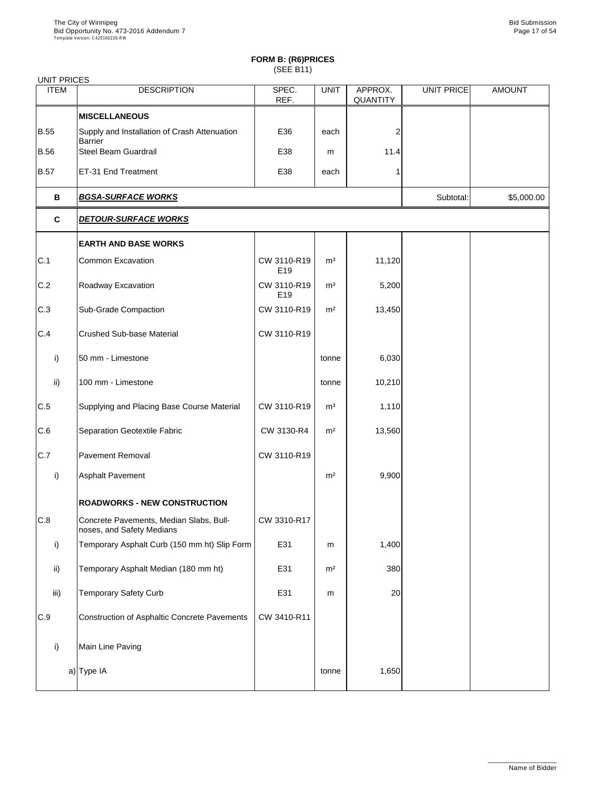| UNIT PRICES     |                                                                      |                    |                |                            |                   |               |
|-----------------|----------------------------------------------------------------------|--------------------|----------------|----------------------------|-------------------|---------------|
| <b>ITEM</b>     | <b>DESCRIPTION</b>                                                   | SPEC.<br>REF.      | <b>UNIT</b>    | APPROX.<br><b>QUANTITY</b> | <b>UNIT PRICE</b> | <b>AMOUNT</b> |
|                 | <b>MISCELLANEOUS</b>                                                 |                    |                |                            |                   |               |
| <b>B.55</b>     | Supply and Installation of Crash Attenuation<br><b>Barrier</b>       | E36                | each           | 2                          |                   |               |
| <b>B.56</b>     | <b>Steel Beam Guardrail</b>                                          | E38                | m              | 11.4                       |                   |               |
| <b>B.57</b>     | ET-31 End Treatment                                                  | E38                | each           |                            |                   |               |
| B               | <b>BGSA-SURFACE WORKS</b>                                            |                    |                |                            | Subtotal:         | \$5,000.00    |
| $\mathbf C$     | <b>DETOUR-SURFACE WORKS</b>                                          |                    |                |                            |                   |               |
|                 | <b>EARTH AND BASE WORKS</b>                                          |                    |                |                            |                   |               |
| C.1             | <b>Common Excavation</b>                                             | CW 3110-R19<br>E19 | m <sup>3</sup> | 11,120                     |                   |               |
| C.2             | Roadway Excavation                                                   | CW 3110-R19<br>E19 | m <sup>3</sup> | 5,200                      |                   |               |
| C.3             | <b>Sub-Grade Compaction</b>                                          | CW 3110-R19        | m <sup>2</sup> | 13,450                     |                   |               |
| C.4             | <b>Crushed Sub-base Material</b>                                     | CW 3110-R19        |                |                            |                   |               |
| i)              | 50 mm - Limestone                                                    |                    | tonne          | 6,030                      |                   |               |
| $\mathsf{ii}$   | 100 mm - Limestone                                                   |                    | tonne          | 10,210                     |                   |               |
| C.5             | Supplying and Placing Base Course Material                           | CW 3110-R19        | m <sup>3</sup> | 1,110                      |                   |               |
| C.6             | <b>Separation Geotextile Fabric</b>                                  | CW 3130-R4         | m <sup>2</sup> | 13,560                     |                   |               |
| C.7             | <b>Pavement Removal</b>                                              | CW 3110-R19        |                |                            |                   |               |
| i)              | <b>Asphalt Pavement</b>                                              |                    | m <sup>2</sup> | 9,900                      |                   |               |
|                 | <b>ROADWORKS - NEW CONSTRUCTION</b>                                  |                    |                |                            |                   |               |
| C.8             | Concrete Pavements, Median Slabs, Bull-<br>noses, and Safety Medians | CW 3310-R17        |                |                            |                   |               |
| i)              | Temporary Asphalt Curb (150 mm ht) Slip Form                         | E31                | m              | 1,400                      |                   |               |
| $\mathsf{ii}$ ) | Temporary Asphalt Median (180 mm ht)                                 | E31                | m <sup>2</sup> | 380                        |                   |               |
| iii)            | <b>Temporary Safety Curb</b>                                         | E31                | m              | 20                         |                   |               |

| C.9 | Construction of Asphaltic Concrete Pavements | CW 3410-R11 |       |       |  |
|-----|----------------------------------------------|-------------|-------|-------|--|
|     | Main Line Paving                             |             |       |       |  |
|     | a) Type IA                                   |             | tonne | 1,650 |  |

\_\_\_\_\_\_\_\_\_\_\_\_\_\_\_\_\_\_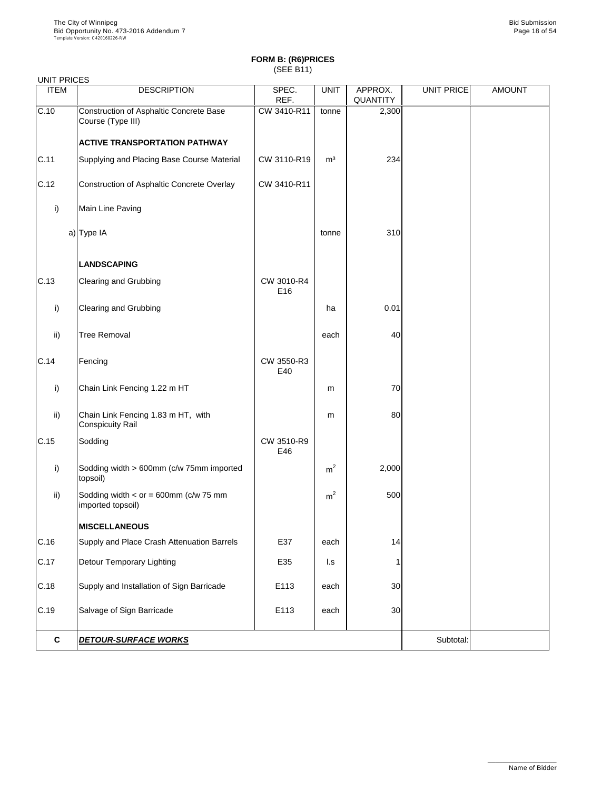| <b>UNIT PRICES</b> |                                                               |                   |                |                            |                   |               |
|--------------------|---------------------------------------------------------------|-------------------|----------------|----------------------------|-------------------|---------------|
| <b>ITEM</b>        | <b>DESCRIPTION</b>                                            | SPEC.<br>REF.     | <b>UNIT</b>    | APPROX.<br><b>QUANTITY</b> | <b>UNIT PRICE</b> | <b>AMOUNT</b> |
| C.10               | Construction of Asphaltic Concrete Base<br>Course (Type III)  | CW 3410-R11       | tonne          | 2,300                      |                   |               |
|                    | <b>ACTIVE TRANSPORTATION PATHWAY</b>                          |                   |                |                            |                   |               |
| C.11               | Supplying and Placing Base Course Material                    | CW 3110-R19       | m <sup>3</sup> | 234                        |                   |               |
| C.12               | Construction of Asphaltic Concrete Overlay                    | CW 3410-R11       |                |                            |                   |               |
| i)                 | Main Line Paving                                              |                   |                |                            |                   |               |
|                    | a) Type IA                                                    |                   | tonne          | 310                        |                   |               |
|                    | <b>LANDSCAPING</b>                                            |                   |                |                            |                   |               |
| C.13               | <b>Clearing and Grubbing</b>                                  | CW 3010-R4<br>E16 |                |                            |                   |               |
| i)                 | <b>Clearing and Grubbing</b>                                  |                   | ha             | 0.01                       |                   |               |
| $\mathsf{ii}$      | <b>Tree Removal</b>                                           |                   | each           | 40                         |                   |               |
| C.14               | Fencing                                                       | CW 3550-R3<br>E40 |                |                            |                   |               |
| i)                 | Chain Link Fencing 1.22 m HT                                  |                   | m              | 70                         |                   |               |
| $\mathsf{ii}$      | Chain Link Fencing 1.83 m HT, with<br><b>Conspicuity Rail</b> |                   | m              | 80                         |                   |               |
| C.15               | Sodding                                                       | CW 3510-R9<br>E46 |                |                            |                   |               |
| i)                 | Sodding width > 600mm (c/w 75mm imported<br>topsoil)          |                   | m <sup>2</sup> | 2,000                      |                   |               |
| $\mathsf{ii}$      | Sodding width $<$ or = 600mm (c/w 75 mm<br>imported topsoil)  |                   | m <sup>2</sup> | 500                        |                   |               |
|                    | <b>MISCELLANEOUS</b>                                          |                   |                |                            |                   |               |
| C.16               | Supply and Place Crash Attenuation Barrels                    | E37               | each           | 14                         |                   |               |
| C.17               | <b>Detour Temporary Lighting</b>                              | E35               | $\mathsf{L}$ s |                            |                   |               |
| C.18               | Supply and Installation of Sign Barricade                     | E113              | each           | 30                         |                   |               |
| $\sim$ 10          | Calvage of Cian Demisede                                      | E440              |                | $\Omega$                   |                   |               |

|       | <b>DETOUR-SURFACE WORKS</b> |     |      |     | Subtotal: |  |
|-------|-----------------------------|-----|------|-----|-----------|--|
| 10.19 | Salvage of Sign Barricage   | ᆮᆝᄓ | eacn | ישכ |           |  |

\_\_\_\_\_\_\_\_\_\_\_\_\_\_\_\_\_\_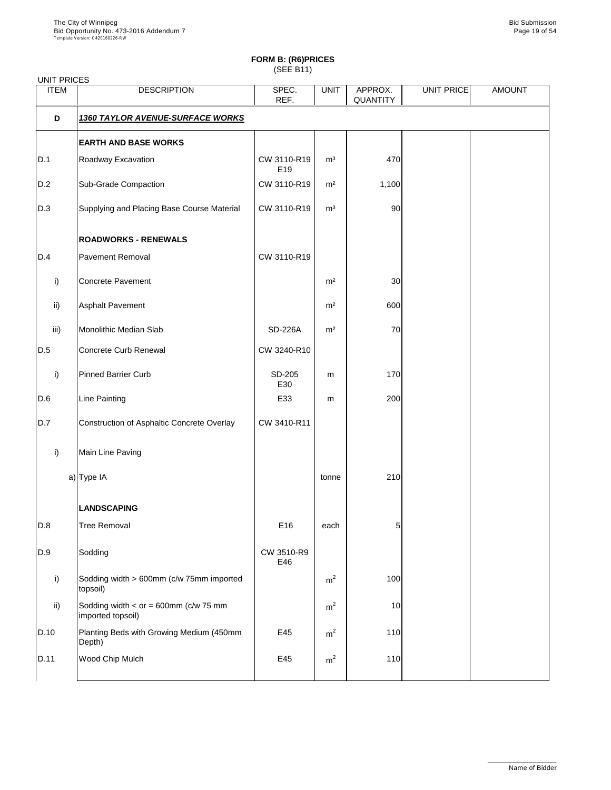# **FORM B: (R6)PRICES**

(SEE B11)

|                 | <b>UNIT PRICES</b>                                           |                                |                |                            |            |               |  |  |  |
|-----------------|--------------------------------------------------------------|--------------------------------|----------------|----------------------------|------------|---------------|--|--|--|
| <b>ITEM</b>     | <b>DESCRIPTION</b>                                           | SPEC.<br>REF.                  | <b>UNIT</b>    | APPROX.<br><b>QUANTITY</b> | UNIT PRICE | <b>AMOUNT</b> |  |  |  |
| D               | <b>1360 TAYLOR AVENUE-SURFACE WORKS</b>                      |                                |                |                            |            |               |  |  |  |
|                 | <b>EARTH AND BASE WORKS</b>                                  |                                |                |                            |            |               |  |  |  |
| D.1             | Roadway Excavation                                           | CW 3110-R19<br>E <sub>19</sub> | m <sup>3</sup> | 470                        |            |               |  |  |  |
| D.2             | <b>Sub-Grade Compaction</b>                                  | CW 3110-R19                    | m <sup>2</sup> | 1,100                      |            |               |  |  |  |
| D.3             | Supplying and Placing Base Course Material                   | CW 3110-R19                    | m <sup>3</sup> | 90                         |            |               |  |  |  |
|                 | <b>ROADWORKS - RENEWALS</b>                                  |                                |                |                            |            |               |  |  |  |
| D.4             | <b>Pavement Removal</b>                                      | CW 3110-R19                    |                |                            |            |               |  |  |  |
| $\mathsf{i}$    | <b>Concrete Pavement</b>                                     |                                | m <sup>2</sup> | 30                         |            |               |  |  |  |
| $\mathsf{ii}$ ) | <b>Asphalt Pavement</b>                                      |                                | m <sup>2</sup> | 600                        |            |               |  |  |  |
| iii)            | <b>Monolithic Median Slab</b>                                | <b>SD-226A</b>                 | m <sup>2</sup> | 70                         |            |               |  |  |  |
| D.5             | <b>Concrete Curb Renewal</b>                                 | CW 3240-R10                    |                |                            |            |               |  |  |  |
| $\mathsf{i}$    | <b>Pinned Barrier Curb</b>                                   | SD-205<br>E30                  | m              | 170                        |            |               |  |  |  |
| D.6             | <b>Line Painting</b>                                         | E33                            | m              | 200                        |            |               |  |  |  |
| D.7             | Construction of Asphaltic Concrete Overlay                   | CW 3410-R11                    |                |                            |            |               |  |  |  |
| i)              | Main Line Paving                                             |                                |                |                            |            |               |  |  |  |
|                 | a) Type IA                                                   |                                | tonne          | 210                        |            |               |  |  |  |
|                 | <b>LANDSCAPING</b>                                           |                                |                |                            |            |               |  |  |  |
| D.8             | <b>Tree Removal</b>                                          | E16                            | each           | 5                          |            |               |  |  |  |
| D.9             | Sodding                                                      | CW 3510-R9<br>E46              |                |                            |            |               |  |  |  |
| i)              | Sodding width > 600mm (c/w 75mm imported<br>topsoil)         |                                | m <sup>2</sup> | 100                        |            |               |  |  |  |
| $\mathsf{ii}$   | Sodding width $<$ or = 600mm (c/w 75 mm<br>imported topsoil) |                                | m <sup>2</sup> | 10                         |            |               |  |  |  |
| D.10            | Planting Beds with Growing Medium (450mm<br>Depth)           | E45                            | m <sup>2</sup> | 110                        |            |               |  |  |  |
| D.11            | Wood Chip Mulch                                              | E45                            | m <sup>2</sup> | 110                        |            |               |  |  |  |

\_\_\_\_\_\_\_\_\_\_\_\_\_\_\_\_\_\_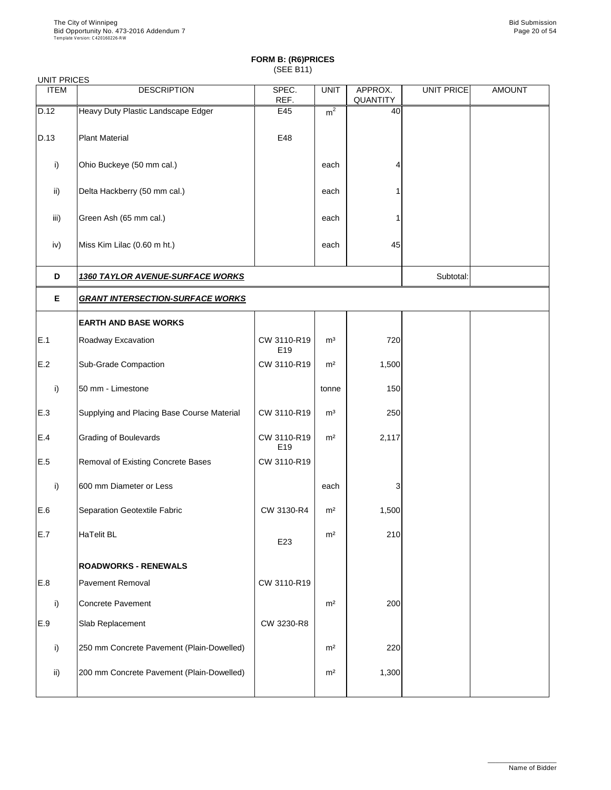| <b>UNIT PRICES</b> |                                            |                    |                |                            |            |               |  |  |
|--------------------|--------------------------------------------|--------------------|----------------|----------------------------|------------|---------------|--|--|
| <b>ITEM</b>        | <b>DESCRIPTION</b>                         | SPEC.<br>REF.      | <b>UNIT</b>    | APPROX.<br><b>QUANTITY</b> | UNIT PRICE | <b>AMOUNT</b> |  |  |
| D.12               | Heavy Duty Plastic Landscape Edger         | E45                | m <sup>2</sup> | 40                         |            |               |  |  |
| D.13               | <b>Plant Material</b>                      | E48                |                |                            |            |               |  |  |
| i)                 | Ohio Buckeye (50 mm cal.)                  |                    | each           | 4                          |            |               |  |  |
| $\mathsf{ii}$      | Delta Hackberry (50 mm cal.)               |                    | each           |                            |            |               |  |  |
| iii)               | Green Ash (65 mm cal.)                     |                    | each           |                            |            |               |  |  |
| iv)                | Miss Kim Lilac (0.60 m ht.)                |                    | each           | 45                         |            |               |  |  |
| D                  | <b>1360 TAYLOR AVENUE-SURFACE WORKS</b>    |                    | Subtotal:      |                            |            |               |  |  |
| E                  | <b>GRANT INTERSECTION-SURFACE WORKS</b>    |                    |                |                            |            |               |  |  |
|                    | <b>EARTH AND BASE WORKS</b>                |                    |                |                            |            |               |  |  |
| E.1                | Roadway Excavation                         | CW 3110-R19<br>E19 | m <sup>3</sup> | 720                        |            |               |  |  |
| E.2                | <b>Sub-Grade Compaction</b>                | CW 3110-R19        | m <sup>2</sup> | 1,500                      |            |               |  |  |
| i)                 | 50 mm - Limestone                          |                    | tonne          | 150                        |            |               |  |  |
| E.3                | Supplying and Placing Base Course Material | CW 3110-R19        | m <sup>3</sup> | 250                        |            |               |  |  |
| E.4                | <b>Grading of Boulevards</b>               | CW 3110-R19<br>E19 | m <sup>2</sup> | 2,117                      |            |               |  |  |
| E.5                | Removal of Existing Concrete Bases         | CW 3110-R19        |                |                            |            |               |  |  |
| i)                 | 600 mm Diameter or Less                    |                    | each           | 3                          |            |               |  |  |
| E.6                | Separation Geotextile Fabric               | CW 3130-R4         | m <sup>2</sup> | 1,500                      |            |               |  |  |
| E.7                | <b>HaTelit BL</b>                          | E23                | m <sup>2</sup> | 210                        |            |               |  |  |
|                    | <b>ROADWORKS - RENEWALS</b>                |                    |                |                            |            |               |  |  |
| E.8                | <b>Pavement Removal</b>                    | CW 3110-R19        |                |                            |            |               |  |  |
| $\mathbf{I}$       | <b>Concrete Pavement</b>                   |                    | m <sup>2</sup> | 200                        |            |               |  |  |

| .,            | <b>UUINGGI AVGIIGII</b>                    |            | .              | ∠∪∪   |  |
|---------------|--------------------------------------------|------------|----------------|-------|--|
| E.9           | <b>Slab Replacement</b>                    | CW 3230-R8 |                |       |  |
|               | [250 mm Concrete Pavement (Plain-Dowelled) |            | m <sup>2</sup> | 220   |  |
| $\mathsf{ii}$ | 200 mm Concrete Pavement (Plain-Dowelled)  |            | m <sup>2</sup> | 1,300 |  |
|               |                                            |            |                |       |  |

\_\_\_\_\_\_\_\_\_\_\_\_\_\_\_\_\_\_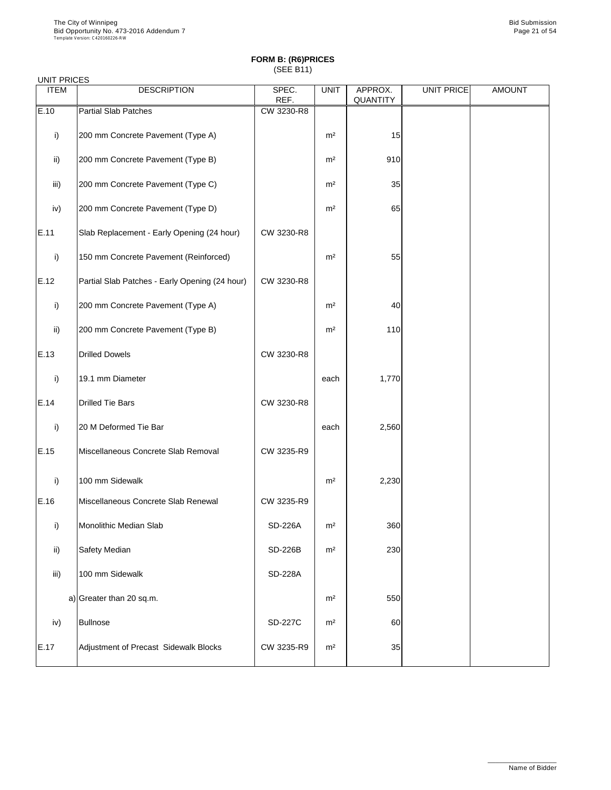### UNIT PRICES

| <b>ITEM</b>   | <b>DESCRIPTION</b>                             | SPEC.<br>REF.  | <b>UNIT</b>    | APPROX.<br><b>QUANTITY</b> | <b>UNIT PRICE</b> | <b>AMOUNT</b> |
|---------------|------------------------------------------------|----------------|----------------|----------------------------|-------------------|---------------|
| E.10          | <b>Partial Slab Patches</b>                    | CW 3230-R8     |                |                            |                   |               |
|               |                                                |                |                |                            |                   |               |
| i)            | 200 mm Concrete Pavement (Type A)              |                | m <sup>2</sup> | 15                         |                   |               |
| $\mathsf{ii}$ | 200 mm Concrete Pavement (Type B)              |                | m <sup>2</sup> | 910                        |                   |               |
| iii)          | 200 mm Concrete Pavement (Type C)              |                | m <sup>2</sup> | 35                         |                   |               |
| iv)           | 200 mm Concrete Pavement (Type D)              |                | m <sup>2</sup> | 65                         |                   |               |
| E.11          | Slab Replacement - Early Opening (24 hour)     | CW 3230-R8     |                |                            |                   |               |
| i)            | 150 mm Concrete Pavement (Reinforced)          |                | m <sup>2</sup> | 55                         |                   |               |
| E.12          | Partial Slab Patches - Early Opening (24 hour) | CW 3230-R8     |                |                            |                   |               |
| i)            | 200 mm Concrete Pavement (Type A)              |                | m <sup>2</sup> | 40                         |                   |               |
| $\mathsf{ii}$ | 200 mm Concrete Pavement (Type B)              |                | m <sup>2</sup> | 110                        |                   |               |
| E.13          | <b>Drilled Dowels</b>                          | CW 3230-R8     |                |                            |                   |               |
| $\mathsf{i}$  | 19.1 mm Diameter                               |                | each           | 1,770                      |                   |               |
| E.14          | <b>Drilled Tie Bars</b>                        | CW 3230-R8     |                |                            |                   |               |
| i)            | 20 M Deformed Tie Bar                          |                | each           | 2,560                      |                   |               |
| E.15          | Miscellaneous Concrete Slab Removal            | CW 3235-R9     |                |                            |                   |               |
| i)            | 100 mm Sidewalk                                |                | m <sup>2</sup> | 2,230                      |                   |               |
| E.16          | Miscellaneous Concrete Slab Renewal            | CW 3235-R9     |                |                            |                   |               |
| i)            | <b>Monolithic Median Slab</b>                  | <b>SD-226A</b> | m <sup>2</sup> | 360                        |                   |               |
| ii)           | <b>Safety Median</b>                           | <b>SD-226B</b> | m <sup>2</sup> | 230                        |                   |               |
| iii)          | 100 mm Sidewalk                                | <b>SD-228A</b> |                |                            |                   |               |
|               | a) Greater than 20 sq.m.                       |                | m <sup>2</sup> | 550                        |                   |               |

| iv)  | Bullnose                              | <b>SD-227C</b> | m <sup>2</sup> | 60 |  |
|------|---------------------------------------|----------------|----------------|----|--|
| E.17 | Adjustment of Precast Sidewalk Blocks | CW 3235-R9     | m <sup>2</sup> | 35 |  |

\_\_\_\_\_\_\_\_\_\_\_\_\_\_\_\_\_\_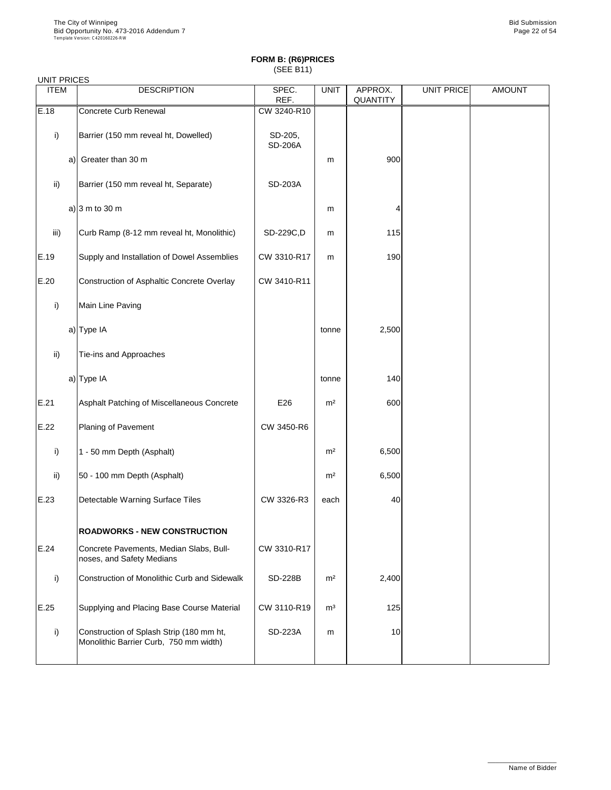#### UNIT PRICES

| <b>ITEM</b>   | <b>DESCRIPTION</b>                                                   | SPEC.<br>REF.             | <b>UNIT</b>    | APPROX.<br><b>QUANTITY</b> | <b>UNIT PRICE</b> | <b>AMOUNT</b> |
|---------------|----------------------------------------------------------------------|---------------------------|----------------|----------------------------|-------------------|---------------|
| E.18          | <b>Concrete Curb Renewal</b>                                         | CW 3240-R10               |                |                            |                   |               |
| i)            | Barrier (150 mm reveal ht, Dowelled)                                 | SD-205,<br><b>SD-206A</b> |                |                            |                   |               |
| a)            | Greater than 30 m                                                    |                           | m              | 900                        |                   |               |
| $\mathsf{ii}$ | Barrier (150 mm reveal ht, Separate)                                 | <b>SD-203A</b>            |                |                            |                   |               |
|               | a) $ 3 \text{ m}$ to 30 m                                            |                           | m              | 4                          |                   |               |
| iii)          | Curb Ramp (8-12 mm reveal ht, Monolithic)                            | SD-229C,D                 | m              | 115                        |                   |               |
| E.19          | Supply and Installation of Dowel Assemblies                          | CW 3310-R17               | m              | 190                        |                   |               |
| E.20          | <b>Construction of Asphaltic Concrete Overlay</b>                    | CW 3410-R11               |                |                            |                   |               |
| i)            | Main Line Paving                                                     |                           |                |                            |                   |               |
|               | a) Type IA                                                           |                           | tonne          | 2,500                      |                   |               |
| $\mathsf{ii}$ | Tie-ins and Approaches                                               |                           |                |                            |                   |               |
|               | a) $Type IA$                                                         |                           | tonne          | 140                        |                   |               |
| E.21          | Asphalt Patching of Miscellaneous Concrete                           | E26                       | m <sup>2</sup> | 600                        |                   |               |
| E.22          | <b>Planing of Pavement</b>                                           | CW 3450-R6                |                |                            |                   |               |
| i)            | 1 - 50 mm Depth (Asphalt)                                            |                           | m <sup>2</sup> | 6,500                      |                   |               |
| $\mathsf{ii}$ | 50 - 100 mm Depth (Asphalt)                                          |                           | m <sup>2</sup> | 6,500                      |                   |               |
| E.23          | Detectable Warning Surface Tiles                                     | CW 3326-R3                | each           | 40                         |                   |               |
|               | <b>ROADWORKS - NEW CONSTRUCTION</b>                                  |                           |                |                            |                   |               |
| E.24          | Concrete Pavements, Median Slabs, Bull-<br>noses, and Safety Medians | CW 3310-R17               |                |                            |                   |               |
| i)            | <b>Construction of Monolithic Curb and Sidewalk</b>                  | <b>SD-228B</b>            | m <sup>2</sup> | 2,400                      |                   |               |
| E.25          | Supplying and Placing Base Course Material                           | CW 3110-R19               | m <sup>3</sup> | 125                        |                   |               |

| ___ |                                                                                    |                | - - - | ---- |  |
|-----|------------------------------------------------------------------------------------|----------------|-------|------|--|
|     | Construction of Splash Strip (180 mm ht,<br>Monolithic Barrier Curb, 750 mm width) | <b>SD-223A</b> | m     | 10   |  |
|     |                                                                                    |                |       |      |  |

\_\_\_\_\_\_\_\_\_\_\_\_\_\_\_\_\_\_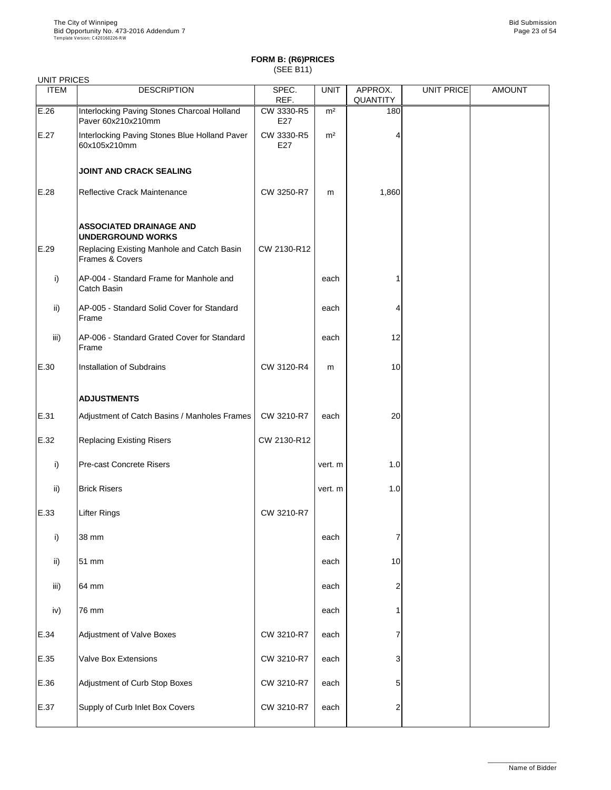| <b>UNIT PRICES</b> |                                                                   |                   |                |                            |                   |               |
|--------------------|-------------------------------------------------------------------|-------------------|----------------|----------------------------|-------------------|---------------|
| <b>ITEM</b>        | <b>DESCRIPTION</b>                                                | SPEC.<br>REF.     | <b>UNIT</b>    | APPROX.<br><b>QUANTITY</b> | <b>UNIT PRICE</b> | <b>AMOUNT</b> |
| E.26               | Interlocking Paving Stones Charcoal Holland<br>Paver 60x210x210mm | CW 3330-R5<br>E27 | m <sup>2</sup> | 180                        |                   |               |
| E.27               | Interlocking Paving Stones Blue Holland Paver<br>60x105x210mm     | CW 3330-R5<br>E27 | m <sup>2</sup> |                            |                   |               |
|                    | <b>JOINT AND CRACK SEALING</b>                                    |                   |                |                            |                   |               |
| E.28               | <b>Reflective Crack Maintenance</b>                               | CW 3250-R7        | m              | 1,860                      |                   |               |
|                    | <b>ASSOCIATED DRAINAGE AND</b><br><b>UNDERGROUND WORKS</b>        |                   |                |                            |                   |               |
| E.29               | Replacing Existing Manhole and Catch Basin<br>Frames & Covers     | CW 2130-R12       |                |                            |                   |               |
| $\mathsf{i}$       | AP-004 - Standard Frame for Manhole and<br><b>Catch Basin</b>     |                   | each           |                            |                   |               |
| ii)                | AP-005 - Standard Solid Cover for Standard<br>Frame               |                   | each           |                            |                   |               |
| iii)               | AP-006 - Standard Grated Cover for Standard<br>Frame              |                   | each           | 12                         |                   |               |
| E.30               | <b>Installation of Subdrains</b>                                  | CW 3120-R4        | m              | 10                         |                   |               |
|                    | <b>ADJUSTMENTS</b>                                                |                   |                |                            |                   |               |
| E.31               | Adjustment of Catch Basins / Manholes Frames                      | CW 3210-R7        | each           | 20                         |                   |               |
| E.32               | <b>Replacing Existing Risers</b>                                  | CW 2130-R12       |                |                            |                   |               |
| $\mathsf{i}$       | <b>Pre-cast Concrete Risers</b>                                   |                   | vert. m        | 1.0                        |                   |               |
| $\mathsf{ii}$      | <b>Brick Risers</b>                                               |                   | vert. m        | 1.0                        |                   |               |
| E.33               | <b>Lifter Rings</b>                                               | CW 3210-R7        |                |                            |                   |               |
| $\mathsf{i}$       | 38 mm                                                             |                   | each           |                            |                   |               |
| ii)                | 51 mm                                                             |                   | each           | 10                         |                   |               |
| iii)               | 64 mm                                                             |                   | each           | 2                          |                   |               |
| iv)                | 76 mm                                                             |                   | each           |                            |                   |               |
| E.34               | <b>Adjustment of Valve Boxes</b>                                  | CW 3210-R7        | each           |                            |                   |               |
| E.35               | <b>Valve Box Extensions</b>                                       | CW 3210-R7        | each           | 3                          |                   |               |
| E.36               | Adjustment of Curb Stop Boxes                                     | CW 3210-R7        | each           | 51                         |                   |               |
| E.37               | Supply of Curb Inlet Box Covers                                   | CW 3210-R7        | each           | 2                          |                   |               |

\_\_\_\_\_\_\_\_\_\_\_\_\_\_\_\_\_\_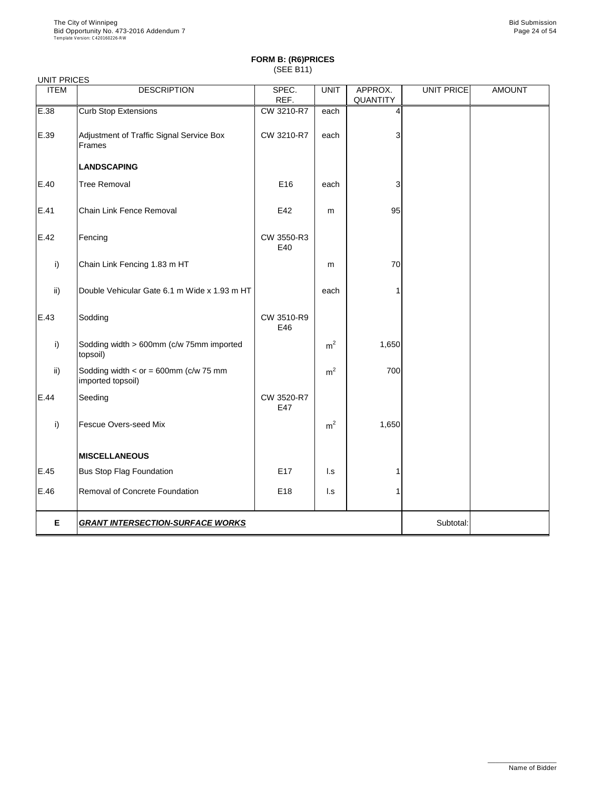| <b>UNIT PRICES</b> |                                                              |                   |                |                            |                   |               |
|--------------------|--------------------------------------------------------------|-------------------|----------------|----------------------------|-------------------|---------------|
| <b>ITEM</b>        | <b>DESCRIPTION</b>                                           | SPEC.<br>REF.     | <b>UNIT</b>    | APPROX.<br><b>QUANTITY</b> | <b>UNIT PRICE</b> | <b>AMOUNT</b> |
| E.38               | <b>Curb Stop Extensions</b>                                  | CW 3210-R7        | each           | 4                          |                   |               |
| E.39               | Adjustment of Traffic Signal Service Box<br>Frames           | CW 3210-R7        | each           | 3                          |                   |               |
|                    | <b>LANDSCAPING</b>                                           |                   |                |                            |                   |               |
| E.40               | <b>Tree Removal</b>                                          | E16               | each           | 3                          |                   |               |
| E.41               | <b>Chain Link Fence Removal</b>                              | E42               | m              | 95                         |                   |               |
| E.42               | Fencing                                                      | CW 3550-R3<br>E40 |                |                            |                   |               |
| i)                 | Chain Link Fencing 1.83 m HT                                 |                   | m              | 70                         |                   |               |
| $\mathsf{ii}$      | Double Vehicular Gate 6.1 m Wide x 1.93 m HT                 |                   | each           |                            |                   |               |
| E.43               | Sodding                                                      | CW 3510-R9<br>E46 |                |                            |                   |               |
| i)                 | Sodding width > 600mm (c/w 75mm imported<br>topsoil)         |                   | m <sup>2</sup> | 1,650                      |                   |               |
| $\mathsf{ii}$      | Sodding width $<$ or = 600mm (c/w 75 mm<br>imported topsoil) |                   | m <sup>2</sup> | 700                        |                   |               |
| E.44               | Seeding                                                      | CW 3520-R7<br>E47 |                |                            |                   |               |
| i)                 | <b>Fescue Overs-seed Mix</b>                                 |                   | m <sup>2</sup> | 1,650                      |                   |               |
|                    | <b>MISCELLANEOUS</b>                                         |                   |                |                            |                   |               |
| E.45               | <b>Bus Stop Flag Foundation</b>                              | E17               | l.s            |                            |                   |               |
| E.46               | <b>Removal of Concrete Foundation</b>                        | E18               | l.s            |                            |                   |               |
| E                  | <b>GRANT INTERSECTION-SURFACE WORKS</b>                      |                   |                |                            | Subtotal:         |               |

\_\_\_\_\_\_\_\_\_\_\_\_\_\_\_\_\_\_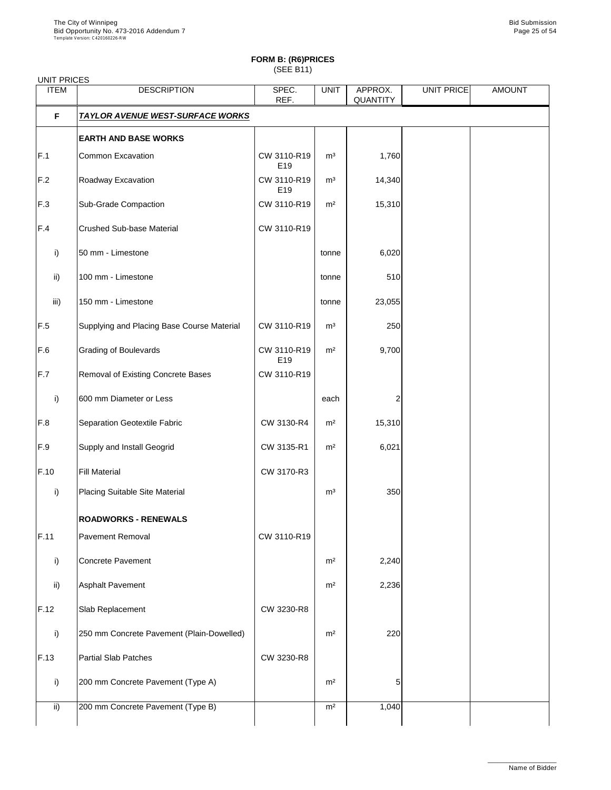| <b>UNIT PRICES</b> |                                            |                                |                |                            |                   |               |
|--------------------|--------------------------------------------|--------------------------------|----------------|----------------------------|-------------------|---------------|
| <b>ITEM</b>        | <b>DESCRIPTION</b>                         | SPEC.<br>REF.                  | <b>UNIT</b>    | APPROX.<br><b>QUANTITY</b> | <b>UNIT PRICE</b> | <b>AMOUNT</b> |
| F                  | <b>TAYLOR AVENUE WEST-SURFACE WORKS</b>    |                                |                |                            |                   |               |
|                    | <b>EARTH AND BASE WORKS</b>                |                                |                |                            |                   |               |
| F.1                | <b>Common Excavation</b>                   | CW 3110-R19<br>E <sub>19</sub> | m <sup>3</sup> | 1,760                      |                   |               |
| F.2                | Roadway Excavation                         | CW 3110-R19<br>E <sub>19</sub> | m <sup>3</sup> | 14,340                     |                   |               |
| F.3                | <b>Sub-Grade Compaction</b>                | CW 3110-R19                    | m <sup>2</sup> | 15,310                     |                   |               |
| F.4                | <b>Crushed Sub-base Material</b>           | CW 3110-R19                    |                |                            |                   |               |
| i)                 | 50 mm - Limestone                          |                                | tonne          | 6,020                      |                   |               |
| $\mathsf{ii}$      | 100 mm - Limestone                         |                                | tonne          | 510                        |                   |               |
| iii)               | 150 mm - Limestone                         |                                | tonne          | 23,055                     |                   |               |
| F.5                | Supplying and Placing Base Course Material | CW 3110-R19                    | m <sup>3</sup> | 250                        |                   |               |
| F.6                | <b>Grading of Boulevards</b>               | CW 3110-R19<br>E <sub>19</sub> | m <sup>2</sup> | 9,700                      |                   |               |
| F.7                | <b>Removal of Existing Concrete Bases</b>  | CW 3110-R19                    |                |                            |                   |               |
| i)                 | 600 mm Diameter or Less                    |                                | each           |                            |                   |               |
| F.8                | Separation Geotextile Fabric               | CW 3130-R4                     | m <sup>2</sup> | 15,310                     |                   |               |
| F.9                | <b>Supply and Install Geogrid</b>          | CW 3135-R1                     | m <sup>2</sup> | 6,021                      |                   |               |
| F.10               | <b>Fill Material</b>                       | CW 3170-R3                     |                |                            |                   |               |
| i)                 | <b>Placing Suitable Site Material</b>      |                                | m <sup>3</sup> | 350                        |                   |               |
|                    | <b>ROADWORKS - RENEWALS</b>                |                                |                |                            |                   |               |
| F.11               | <b>Pavement Removal</b>                    | CW 3110-R19                    |                |                            |                   |               |
| i)                 | <b>Concrete Pavement</b>                   |                                | m <sup>2</sup> | 2,240                      |                   |               |
| $\mathsf{ii}$      | <b>Asphalt Pavement</b>                    |                                | m <sup>2</sup> | 2,236                      |                   |               |
| F.12               | Slab Replacement                           | CW 3230-R8                     |                |                            |                   |               |
| $\mathsf{i}$       | 250 mm Concrete Pavement (Plain-Dowelled)  |                                | m <sup>2</sup> | 220                        |                   |               |
| F.13               | <b>Partial Slab Patches</b>                | CW 3230-R8                     |                |                            |                   |               |
| i)                 | 200 mm Concrete Pavement (Type A)          |                                | m <sup>2</sup> | 51                         |                   |               |
| $\mathsf{ii}$      | 200 mm Concrete Pavement (Type B)          |                                | m <sup>2</sup> | 1,040                      |                   |               |

\_\_\_\_\_\_\_\_\_\_\_\_\_\_\_\_\_\_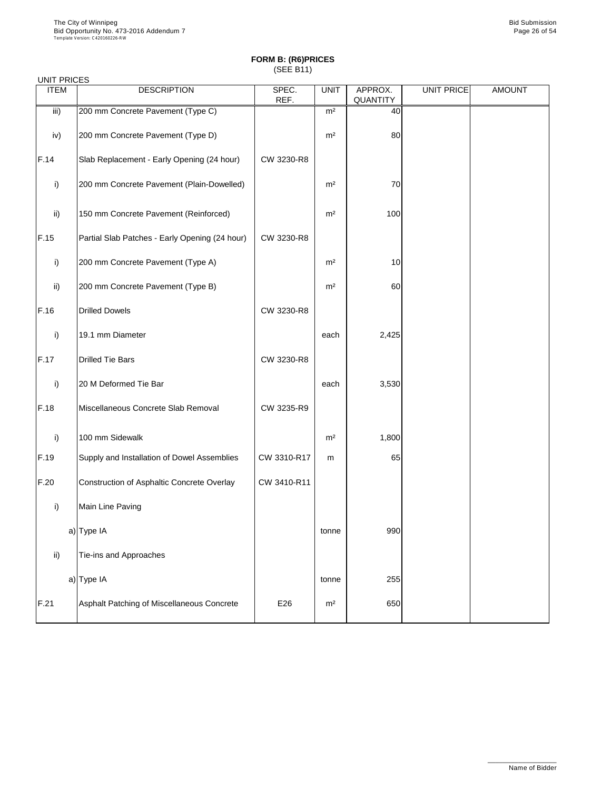| <b>UNIT PRICES</b> |                                                |               |                |                            |            |               |
|--------------------|------------------------------------------------|---------------|----------------|----------------------------|------------|---------------|
| <b>ITEM</b>        | <b>DESCRIPTION</b>                             | SPEC.<br>REF. | <b>UNIT</b>    | APPROX.<br><b>QUANTITY</b> | UNIT PRICE | <b>AMOUNT</b> |
| iii)               | 200 mm Concrete Pavement (Type C)              |               | m <sup>2</sup> | 40                         |            |               |
| iv)                | 200 mm Concrete Pavement (Type D)              |               | m <sup>2</sup> | 80                         |            |               |
| F.14               | Slab Replacement - Early Opening (24 hour)     | CW 3230-R8    |                |                            |            |               |
| i)                 | 200 mm Concrete Pavement (Plain-Dowelled)      |               | m <sup>2</sup> | 70                         |            |               |
| $\mathsf{ii}$      | 150 mm Concrete Pavement (Reinforced)          |               | m <sup>2</sup> | 100                        |            |               |
| F.15               | Partial Slab Patches - Early Opening (24 hour) | CW 3230-R8    |                |                            |            |               |
| i)                 | 200 mm Concrete Pavement (Type A)              |               | m <sup>2</sup> | 10                         |            |               |
| $\mathsf{ii}$      | 200 mm Concrete Pavement (Type B)              |               | m <sup>2</sup> | 60                         |            |               |
| F.16               | <b>Drilled Dowels</b>                          | CW 3230-R8    |                |                            |            |               |
| i)                 | 19.1 mm Diameter                               |               | each           | 2,425                      |            |               |
| F.17               | <b>Drilled Tie Bars</b>                        | CW 3230-R8    |                |                            |            |               |
| $\mathsf{i}$       | 20 M Deformed Tie Bar                          |               | each           | 3,530                      |            |               |
| F.18               | Miscellaneous Concrete Slab Removal            | CW 3235-R9    |                |                            |            |               |
| i)                 | 100 mm Sidewalk                                |               | m <sup>2</sup> | 1,800                      |            |               |
| F.19               | Supply and Installation of Dowel Assemblies    | CW 3310-R17   | m              | 65                         |            |               |
| F.20               | Construction of Asphaltic Concrete Overlay     | CW 3410-R11   |                |                            |            |               |
| i)                 | Main Line Paving                               |               |                |                            |            |               |
|                    | a) Type IA                                     |               | tonne          | 990                        |            |               |
| $\mathsf{ii}$      | Tie-ins and Approaches                         |               |                |                            |            |               |
|                    | a) Type IA                                     |               | tonne          | 255                        |            |               |
| F.21               | Asphalt Patching of Miscellaneous Concrete     | E26           | m <sup>2</sup> | 650                        |            |               |

\_\_\_\_\_\_\_\_\_\_\_\_\_\_\_\_\_\_

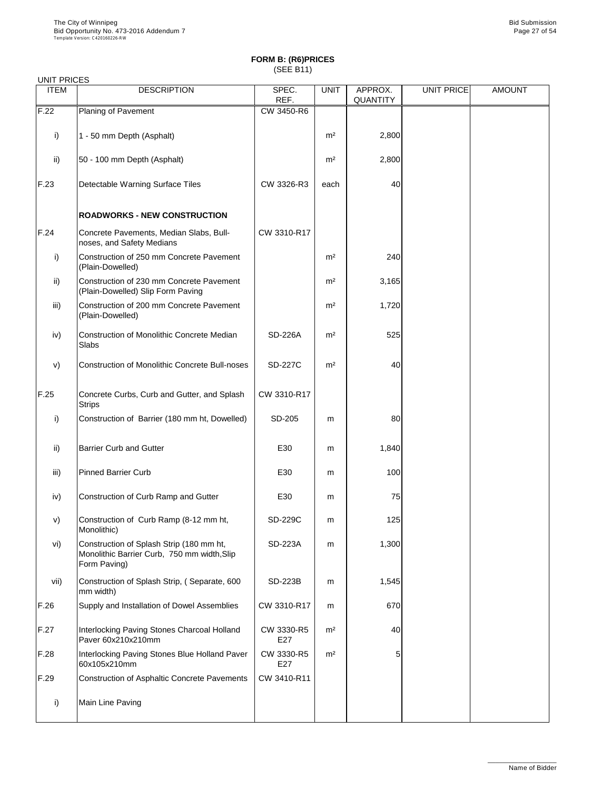| <b>UNIT PRICES</b> |                                                                                                         |                |                |                            |                   |               |
|--------------------|---------------------------------------------------------------------------------------------------------|----------------|----------------|----------------------------|-------------------|---------------|
| <b>ITEM</b>        | <b>DESCRIPTION</b>                                                                                      | SPEC.<br>REF.  | <b>UNIT</b>    | APPROX.<br><b>QUANTITY</b> | <b>UNIT PRICE</b> | <b>AMOUNT</b> |
| F.22               | Planing of Pavement                                                                                     | CW 3450-R6     |                |                            |                   |               |
| i)                 | 1 - 50 mm Depth (Asphalt)                                                                               |                | m <sup>2</sup> | 2,800                      |                   |               |
| $\mathsf{ii}$      | 50 - 100 mm Depth (Asphalt)                                                                             |                | m <sup>2</sup> | 2,800                      |                   |               |
| F.23               | <b>Detectable Warning Surface Tiles</b>                                                                 | CW 3326-R3     | each           | 40                         |                   |               |
|                    | <b>ROADWORKS - NEW CONSTRUCTION</b>                                                                     |                |                |                            |                   |               |
| F.24               | Concrete Pavements, Median Slabs, Bull-<br>noses, and Safety Medians                                    | CW 3310-R17    |                |                            |                   |               |
| i)                 | Construction of 250 mm Concrete Pavement<br>(Plain-Dowelled)                                            |                | m <sup>2</sup> | 240                        |                   |               |
| $\mathsf{ii}$      | Construction of 230 mm Concrete Pavement<br>(Plain-Dowelled) Slip Form Paving                           |                | m <sup>2</sup> | 3,165                      |                   |               |
| iii)               | Construction of 200 mm Concrete Pavement<br>(Plain-Dowelled)                                            |                | m <sup>2</sup> | 1,720                      |                   |               |
| iv)                | <b>Construction of Monolithic Concrete Median</b><br><b>Slabs</b>                                       | <b>SD-226A</b> | m <sup>2</sup> | 525                        |                   |               |
| V)                 | <b>Construction of Monolithic Concrete Bull-noses</b>                                                   | <b>SD-227C</b> | m <sup>2</sup> | 40                         |                   |               |
| F.25               | Concrete Curbs, Curb and Gutter, and Splash<br><b>Strips</b>                                            | CW 3310-R17    |                |                            |                   |               |
| i)                 | Construction of Barrier (180 mm ht, Dowelled)                                                           | SD-205         | m              | 80                         |                   |               |
| $\mathsf{ii}$      | <b>Barrier Curb and Gutter</b>                                                                          | E30            | m              | 1,840                      |                   |               |
| iii)               | Pinned Barrier Curb                                                                                     | E30            | m              | 100                        |                   |               |
| iv)                | Construction of Curb Ramp and Gutter                                                                    | E30            | m              | 75                         |                   |               |
| V)                 | Construction of Curb Ramp (8-12 mm ht,<br>Monolithic)                                                   | <b>SD-229C</b> | m              | 125                        |                   |               |
| vi)                | Construction of Splash Strip (180 mm ht,<br>Monolithic Barrier Curb, 750 mm width, Slip<br>Form Paving) | <b>SD-223A</b> | m              | 1,300                      |                   |               |
| vii)               | Construction of Splash Strip, (Separate, 600<br>mm width)                                               | <b>SD-223B</b> | m              | 1,545                      |                   |               |

|      | (mm width                                                         |                   |                |     |  |
|------|-------------------------------------------------------------------|-------------------|----------------|-----|--|
| F.26 | Supply and Installation of Dowel Assemblies                       | CW 3310-R17       | m              | 670 |  |
| F.27 | Interlocking Paving Stones Charcoal Holland<br>Paver 60x210x210mm | CW 3330-R5<br>E27 | m <sup>2</sup> | 40  |  |
| F.28 | Interlocking Paving Stones Blue Holland Paver<br>60x105x210mm     | CW 3330-R5<br>E27 | m <sup>2</sup> | 5   |  |
| F.29 | Construction of Asphaltic Concrete Pavements                      | CW 3410-R11       |                |     |  |
| i)   | Main Line Paving                                                  |                   |                |     |  |

\_\_\_\_\_\_\_\_\_\_\_\_\_\_\_\_\_\_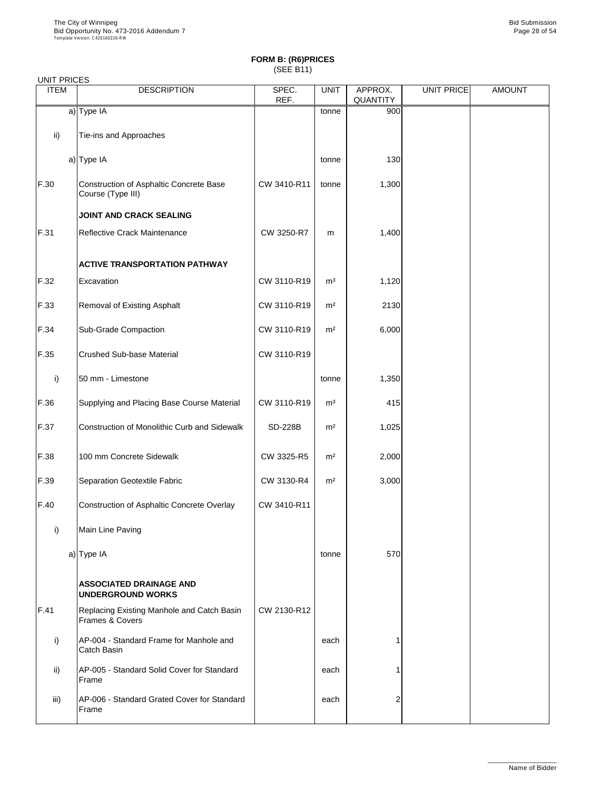|  | UNIT PRICES |
|--|-------------|
|--|-------------|

| UNII PRIULO<br><b>ITEM</b> | <b>DESCRIPTION</b>                                           | SPEC.<br>REF.  | <b>UNIT</b>    | APPROX.<br><b>QUANTITY</b> | <b>UNIT PRICE</b> | <b>AMOUNT</b> |
|----------------------------|--------------------------------------------------------------|----------------|----------------|----------------------------|-------------------|---------------|
|                            | $a)$ Type IA                                                 |                | tonne          | 900                        |                   |               |
| $\mathsf{ii}$              | Tie-ins and Approaches                                       |                |                |                            |                   |               |
|                            | $a)$ Type IA                                                 |                | tonne          | 130                        |                   |               |
| F.30                       | Construction of Asphaltic Concrete Base<br>Course (Type III) | CW 3410-R11    | tonne          | 1,300                      |                   |               |
|                            | <b>JOINT AND CRACK SEALING</b>                               |                |                |                            |                   |               |
| F.31                       | Reflective Crack Maintenance                                 | CW 3250-R7     | m              | 1,400                      |                   |               |
|                            | <b>ACTIVE TRANSPORTATION PATHWAY</b>                         |                |                |                            |                   |               |
| F.32                       | Excavation                                                   | CW 3110-R19    | m <sup>3</sup> | 1,120                      |                   |               |
| F.33                       | <b>Removal of Existing Asphalt</b>                           | CW 3110-R19    | m <sup>2</sup> | 2130                       |                   |               |
| F.34                       | <b>Sub-Grade Compaction</b>                                  | CW 3110-R19    | m <sup>2</sup> | 6,000                      |                   |               |
| F.35                       | <b>Crushed Sub-base Material</b>                             | CW 3110-R19    |                |                            |                   |               |
| $\mathsf{i}$               | 50 mm - Limestone                                            |                | tonne          | 1,350                      |                   |               |
| F.36                       | Supplying and Placing Base Course Material                   | CW 3110-R19    | m <sup>3</sup> | 415                        |                   |               |
| F.37                       | <b>Construction of Monolithic Curb and Sidewalk</b>          | <b>SD-228B</b> | m <sup>2</sup> | 1,025                      |                   |               |
| F.38                       | 100 mm Concrete Sidewalk                                     | CW 3325-R5     | m <sup>2</sup> | 2,000                      |                   |               |
| F.39                       | <b>Separation Geotextile Fabric</b>                          | CW 3130-R4     | m <sup>2</sup> | 3,000                      |                   |               |
| F.40                       | Construction of Asphaltic Concrete Overlay                   | CW 3410-R11    |                |                            |                   |               |
| i)                         | Main Line Paving                                             |                |                |                            |                   |               |
|                            | a) Type IA                                                   |                | tonne          | 570                        |                   |               |
|                            | <b>ASSOCIATED DRAINAGE AND</b><br><b>UNDERGROUND WORKS</b>   |                |                |                            |                   |               |

| F.41 | Replacing Existing Manhole and Catch Basin<br><b>Frames &amp; Covers</b> | CW 2130-R12 |      |                |  |
|------|--------------------------------------------------------------------------|-------------|------|----------------|--|
|      | AP-004 - Standard Frame for Manhole and<br><b>Catch Basin</b>            |             | each |                |  |
| ii)  | AP-005 - Standard Solid Cover for Standard<br>Frame                      |             | each |                |  |
| iii) | AP-006 - Standard Grated Cover for Standard<br>Frame                     |             | each | $\overline{2}$ |  |

 $\mathbf{I}$ 

\_\_\_\_\_\_\_\_\_\_\_\_\_\_\_\_\_\_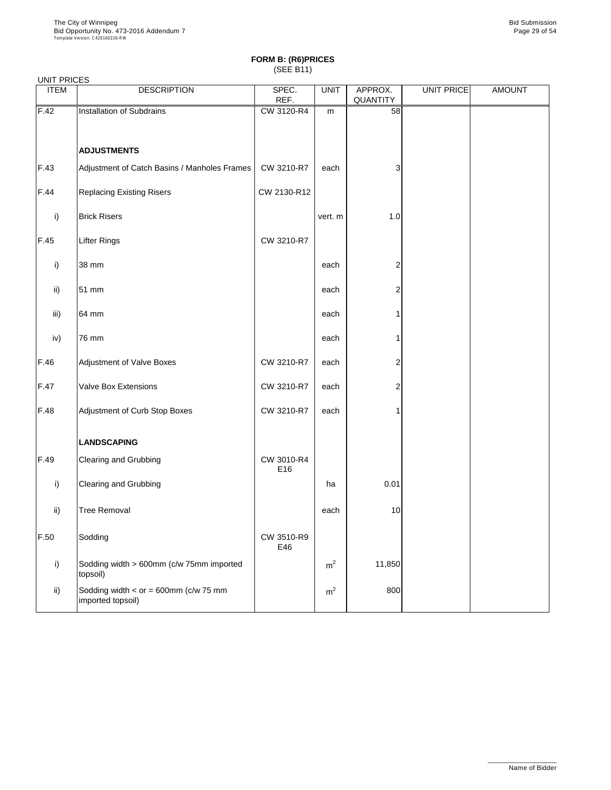#### UNIT PRICES

| <b>UITLE LINGLO</b><br><b>ITEM</b> | <b>DESCRIPTION</b>                                           | SPEC.<br>REF.     | <b>UNIT</b>    | APPROX.<br>QUANTITY | UNIT PRICE | <b>AMOUNT</b> |
|------------------------------------|--------------------------------------------------------------|-------------------|----------------|---------------------|------------|---------------|
| F.42                               | Installation of Subdrains                                    | CW 3120-R4        | m              | 58                  |            |               |
|                                    |                                                              |                   |                |                     |            |               |
|                                    | <b>ADJUSTMENTS</b>                                           |                   |                |                     |            |               |
| F.43                               | Adjustment of Catch Basins / Manholes Frames                 | CW 3210-R7        | each           | 3                   |            |               |
| F.44                               | <b>Replacing Existing Risers</b>                             | CW 2130-R12       |                |                     |            |               |
| i)                                 | <b>Brick Risers</b>                                          |                   | vert. m        | 1.0                 |            |               |
| F.45                               | <b>Lifter Rings</b>                                          | CW 3210-R7        |                |                     |            |               |
| $\mathsf{i}$                       | 38 mm                                                        |                   | each           | 2                   |            |               |
| $\mathsf{ii}$                      | 51 mm                                                        |                   | each           | 2                   |            |               |
| iii)                               | 64 mm                                                        |                   | each           |                     |            |               |
| iv)                                | 76 mm                                                        |                   | each           |                     |            |               |
| F.46                               | <b>Adjustment of Valve Boxes</b>                             | CW 3210-R7        | each           | 2                   |            |               |
| $F.47$                             | <b>Valve Box Extensions</b>                                  | CW 3210-R7        | each           | $\overline{2}$      |            |               |
| F.48                               | Adjustment of Curb Stop Boxes                                | CW 3210-R7        | each           |                     |            |               |
|                                    | <b>LANDSCAPING</b>                                           |                   |                |                     |            |               |
| F.49                               | <b>Clearing and Grubbing</b>                                 | CW 3010-R4<br>E16 |                |                     |            |               |
| i)                                 | <b>Clearing and Grubbing</b>                                 |                   | ha             | 0.01                |            |               |
| $\mathsf{ii}$                      | <b>Tree Removal</b>                                          |                   | each           | 10                  |            |               |
| F.50                               | Sodding                                                      | CW 3510-R9<br>E46 |                |                     |            |               |
| $\mathsf{i}$                       | Sodding width > 600mm (c/w 75mm imported<br>topsoil)         |                   | m <sup>2</sup> | 11,850              |            |               |
| ii)                                | Sodding width $<$ or = 600mm (c/w 75 mm<br>imported topsoil) |                   | m <sup>2</sup> | 800                 |            |               |

\_\_\_\_\_\_\_\_\_\_\_\_\_\_\_\_\_\_

Name of Bidder

┙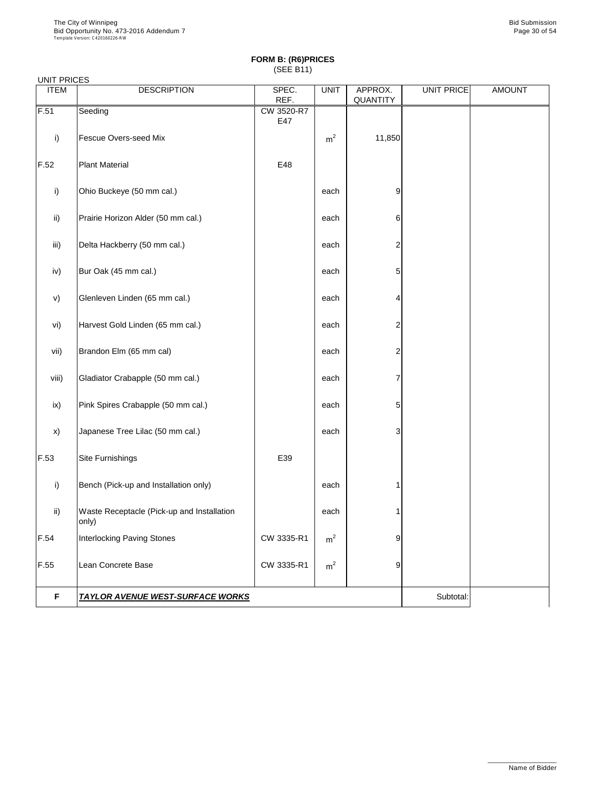| UNIT PRICES |  |
|-------------|--|
|-------------|--|

| <b>ITEM</b>   | <b>DESCRIPTION</b>                         | SPEC.      | <b>UNIT</b>    | APPROX.                 | <b>UNIT PRICE</b> | <b>AMOUNT</b> |
|---------------|--------------------------------------------|------------|----------------|-------------------------|-------------------|---------------|
|               |                                            | REF.       |                | QUANTITY                |                   |               |
| F.51          | Seeding                                    | CW 3520-R7 |                |                         |                   |               |
|               |                                            | E47        |                |                         |                   |               |
| i)            | <b>Fescue Overs-seed Mix</b>               |            | m <sup>2</sup> | 11,850                  |                   |               |
|               |                                            |            |                |                         |                   |               |
| F.52          | <b>Plant Material</b>                      | E48        |                |                         |                   |               |
|               |                                            |            |                |                         |                   |               |
|               |                                            |            |                |                         |                   |               |
| i)            | Ohio Buckeye (50 mm cal.)                  |            | each           | $\overline{9}$          |                   |               |
|               |                                            |            |                |                         |                   |               |
| $\mathsf{ii}$ | Prairie Horizon Alder (50 mm cal.)         |            | each           | $6 \,$                  |                   |               |
|               |                                            |            |                |                         |                   |               |
|               |                                            |            |                |                         |                   |               |
| iii)          | Delta Hackberry (50 mm cal.)               |            | each           | $\overline{\mathbf{c}}$ |                   |               |
|               |                                            |            |                |                         |                   |               |
| iv)           | Bur Oak (45 mm cal.)                       |            | each           | 5                       |                   |               |
|               |                                            |            |                |                         |                   |               |
| V)            | Glenleven Linden (65 mm cal.)              |            | each           | $\overline{4}$          |                   |               |
|               |                                            |            |                |                         |                   |               |
|               |                                            |            |                |                         |                   |               |
| vi)           | Harvest Gold Linden (65 mm cal.)           |            | each           | 2                       |                   |               |
|               |                                            |            |                |                         |                   |               |
| vii)          | Brandon Elm (65 mm cal)                    |            | each           | $\overline{\mathbf{c}}$ |                   |               |
|               |                                            |            |                |                         |                   |               |
| viii)         | Gladiator Crabapple (50 mm cal.)           |            | each           | 7                       |                   |               |
|               |                                            |            |                |                         |                   |               |
|               |                                            |            |                |                         |                   |               |
| ix)           | Pink Spires Crabapple (50 mm cal.)         |            | each           | 5                       |                   |               |
|               |                                            |            |                |                         |                   |               |
| X)            | Japanese Tree Lilac (50 mm cal.)           |            | each           | $\mathbf{3}$            |                   |               |
|               |                                            |            |                |                         |                   |               |
| F.53          | <b>Site Furnishings</b>                    | E39        |                |                         |                   |               |
|               |                                            |            |                |                         |                   |               |
|               |                                            |            |                |                         |                   |               |
| i)            | Bench (Pick-up and Installation only)      |            | each           |                         |                   |               |
|               |                                            |            |                |                         |                   |               |
| ii)           | Waste Receptacle (Pick-up and Installation |            | each           |                         |                   |               |
|               | only)                                      |            |                |                         |                   |               |
| F.54          |                                            |            |                |                         |                   |               |
|               | <b>Interlocking Paving Stones</b>          | CW 3335-R1 | m <sup>2</sup> | 9                       |                   |               |
|               |                                            |            |                |                         |                   |               |
| F.55          | Lean Concrete Base                         | CW 3335-R1 | m <sup>2</sup> | $\overline{9}$          |                   |               |
|               |                                            |            |                |                         |                   |               |
|               |                                            |            |                |                         |                   |               |

**F TAYLOR AVENUE WEST-SURFACE WORKS THE SUBSE IN A SUBTE SUBTER SUBTER** 

\_\_\_\_\_\_\_\_\_\_\_\_\_\_\_\_\_\_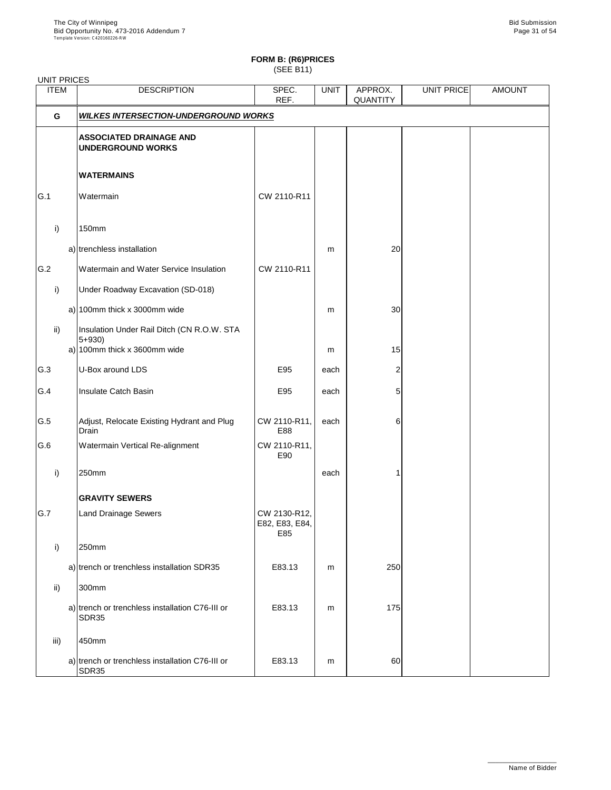## **FORM B: (R6)PRICES**

(SEE B11)

| <b>UNIT PRICES</b> |                                                                                         |                                       |             |                            |            |               |
|--------------------|-----------------------------------------------------------------------------------------|---------------------------------------|-------------|----------------------------|------------|---------------|
| <b>ITEM</b>        | <b>DESCRIPTION</b>                                                                      | SPEC.<br>REF.                         | <b>UNIT</b> | APPROX.<br><b>QUANTITY</b> | UNIT PRICE | <b>AMOUNT</b> |
| G                  | <b>WILKES INTERSECTION-UNDERGROUND WORKS</b>                                            |                                       |             |                            |            |               |
|                    | <b>ASSOCIATED DRAINAGE AND</b><br><b>UNDERGROUND WORKS</b>                              |                                       |             |                            |            |               |
|                    | <b>WATERMAINS</b>                                                                       |                                       |             |                            |            |               |
| G.1                | Watermain                                                                               | CW 2110-R11                           |             |                            |            |               |
| i)                 | 150mm                                                                                   |                                       |             |                            |            |               |
|                    | a) trenchless installation                                                              |                                       | m           | 20                         |            |               |
| G.2                | <b>Watermain and Water Service Insulation</b>                                           | CW 2110-R11                           |             |                            |            |               |
| $\mathsf{i}$       | <b>Under Roadway Excavation (SD-018)</b>                                                |                                       |             |                            |            |               |
|                    | a) 100mm thick x 3000mm wide                                                            |                                       | m           | 30                         |            |               |
| $\mathsf{ii}$      | Insulation Under Rail Ditch (CN R.O.W. STA<br>$5 + 930$<br>a) 100mm thick x 3600mm wide |                                       | m           | 15                         |            |               |
| G.3                | U-Box around LDS                                                                        | E95                                   | each        | 2                          |            |               |
| G.4                | <b>Insulate Catch Basin</b>                                                             | E95                                   | each        | 5                          |            |               |
| G.5                | Adjust, Relocate Existing Hydrant and Plug<br><b>Drain</b>                              | CW 2110-R11,<br>E88                   | each        | 6                          |            |               |
| G.6                | <b>Watermain Vertical Re-alignment</b>                                                  | CW 2110-R11,<br>E90                   |             |                            |            |               |
| i)                 | 250mm                                                                                   |                                       | each        |                            |            |               |
|                    | <b>GRAVITY SEWERS</b>                                                                   |                                       |             |                            |            |               |
| G.7                | <b>Land Drainage Sewers</b>                                                             | CW 2130-R12,<br>E82, E83, E84,<br>E85 |             |                            |            |               |
| i)                 | 250mm                                                                                   |                                       |             |                            |            |               |
|                    | a) trench or trenchless installation SDR35                                              | E83.13                                | m           | 250                        |            |               |
| $\mathsf{ii}$      | 300mm                                                                                   |                                       |             |                            |            |               |
|                    | a) trench or trenchless installation C76-III or<br>SDR35                                | E83.13                                | m           | 175                        |            |               |
| iii)               | 450mm                                                                                   |                                       |             |                            |            |               |
|                    | a) trench or trenchless installation C76-III or<br><b>SDR35</b>                         | E83.13                                | m           | 60                         |            |               |

\_\_\_\_\_\_\_\_\_\_\_\_\_\_\_\_\_\_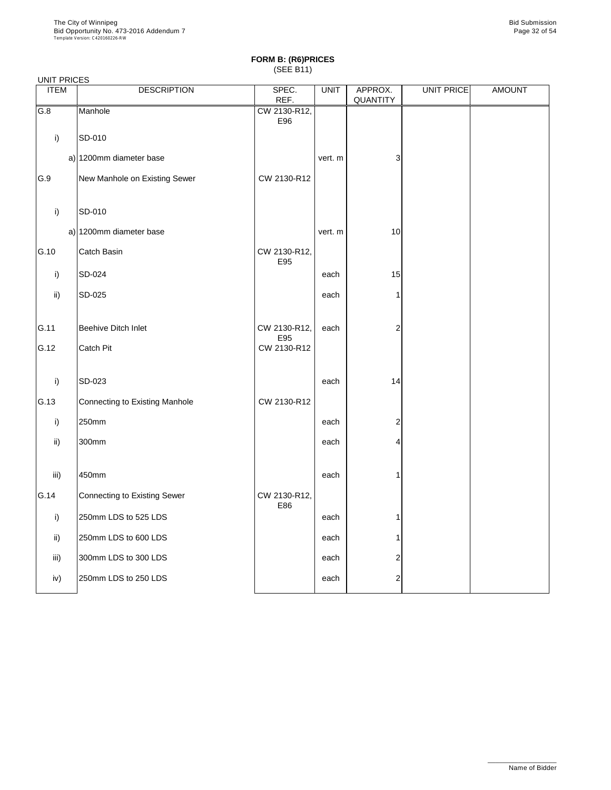### UNIT PRICES

| <b>ITEM</b>  | <b>DESCRIPTION</b>             | SPEC.                | <b>UNIT</b> | APPROX.         | <b>UNIT PRICE</b> | <b>AMOUNT</b> |
|--------------|--------------------------------|----------------------|-------------|-----------------|-------------------|---------------|
| G.8          | Manhole                        | REF.<br>CW 2130-R12, |             | <b>QUANTITY</b> |                   |               |
|              |                                | E96                  |             |                 |                   |               |
| i)           | SD-010                         |                      |             |                 |                   |               |
|              | a) 1200mm diameter base        |                      | vert. m     | 3               |                   |               |
| G.9          | New Manhole on Existing Sewer  | CW 2130-R12          |             |                 |                   |               |
| i)           | SD-010                         |                      |             |                 |                   |               |
|              | a) 1200mm diameter base        |                      | vert. m     | 10              |                   |               |
| G.10         | <b>Catch Basin</b>             | CW 2130-R12,<br>E95  |             |                 |                   |               |
| $\mathsf{i}$ | SD-024                         |                      | each        | 15              |                   |               |
| ii)          | SD-025                         |                      | each        |                 |                   |               |
| G.11         | <b>Beehive Ditch Inlet</b>     | CW 2130-R12,<br>E95  | each        | $\overline{2}$  |                   |               |
| G.12         | <b>Catch Pit</b>               | CW 2130-R12          |             |                 |                   |               |
| $\mathsf{i}$ | SD-023                         |                      | each        | 14              |                   |               |
| G.13         | Connecting to Existing Manhole | CW 2130-R12          |             |                 |                   |               |
| i)           | 250mm                          |                      | each        | $\overline{2}$  |                   |               |
| ii)          | 300mm                          |                      | each        | 4               |                   |               |
| iii)         | 450mm                          |                      | each        | 1               |                   |               |
| G.14         | Connecting to Existing Sewer   | CW 2130-R12,<br>E86  |             |                 |                   |               |
| i)           | 250mm LDS to 525 LDS           |                      | each        |                 |                   |               |
| ii)          | 250mm LDS to 600 LDS           |                      | each        |                 |                   |               |
| iii)         | 300mm LDS to 300 LDS           |                      | each        | $\overline{2}$  |                   |               |
| iv)          | 250mm LDS to 250 LDS           |                      | each        | $\overline{2}$  |                   |               |

\_\_\_\_\_\_\_\_\_\_\_\_\_\_\_\_\_\_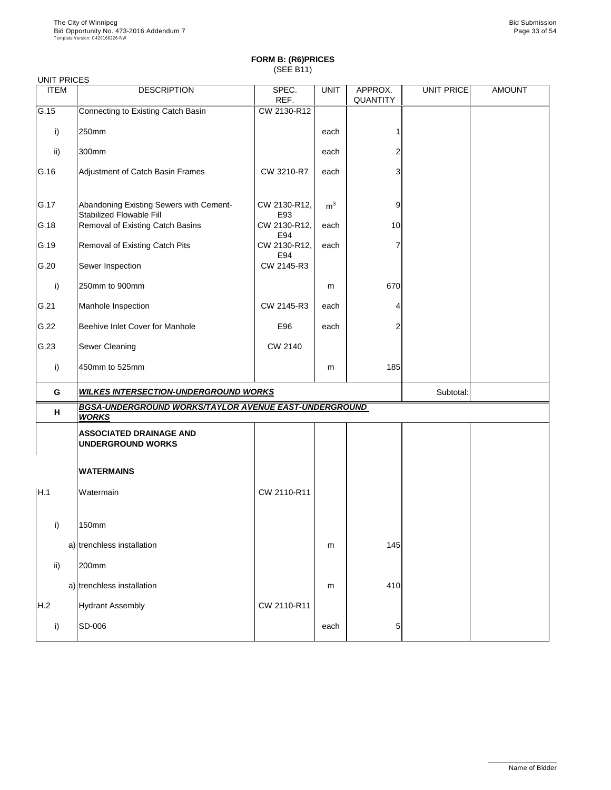#### UNIT PRICES

| <b>UNITE INDEU</b> |                                                                            |                     |                |                            |            |               |
|--------------------|----------------------------------------------------------------------------|---------------------|----------------|----------------------------|------------|---------------|
| <b>ITEM</b>        | <b>DESCRIPTION</b>                                                         | SPEC.<br>REF.       | <b>UNIT</b>    | APPROX.<br><b>QUANTITY</b> | UNIT PRICE | <b>AMOUNT</b> |
| G.15               | Connecting to Existing Catch Basin                                         | CW 2130-R12         |                |                            |            |               |
| i)                 | 250mm                                                                      |                     | each           |                            |            |               |
| ii)                | 300mm                                                                      |                     | each           | 2                          |            |               |
| G.16               | Adjustment of Catch Basin Frames                                           | CW 3210-R7          | each           | 3                          |            |               |
| G.17               | Abandoning Existing Sewers with Cement-<br><b>Stabilized Flowable Fill</b> | CW 2130-R12,<br>E93 | m <sup>3</sup> | 9                          |            |               |
| G.18               | <b>Removal of Existing Catch Basins</b>                                    | CW 2130-R12,<br>E94 | each           | 10                         |            |               |
| G.19               | <b>Removal of Existing Catch Pits</b>                                      | CW 2130-R12,<br>E94 | each           | 7                          |            |               |
| G.20               | Sewer Inspection                                                           | CW 2145-R3          |                |                            |            |               |
| i)                 | 250mm to 900mm                                                             |                     | m              | 670                        |            |               |
| G.21               | Manhole Inspection                                                         | CW 2145-R3          | each           | 4                          |            |               |
| G.22               | <b>Beehive Inlet Cover for Manhole</b>                                     | E96                 | each           | $\overline{2}$             |            |               |
| G.23               | <b>Sewer Cleaning</b>                                                      | <b>CW 2140</b>      |                |                            |            |               |
| i)                 | 450mm to 525mm                                                             |                     | m              | 185                        |            |               |
| G                  | <b>WILKES INTERSECTION-UNDERGROUND WORKS</b>                               |                     |                |                            | Subtotal:  |               |
| H                  | BGSA-UNDERGROUND WORKS/TAYLOR AVENUE EAST-UNDERGROUND<br><b>WORKS</b>      |                     |                |                            |            |               |
|                    | <b>ASSOCIATED DRAINAGE AND</b><br><b>UNDERGROUND WORKS</b>                 |                     |                |                            |            |               |
|                    | <b>WATERMAINS</b>                                                          |                     |                |                            |            |               |
| H.1                | Watermain                                                                  | CW 2110-R11         |                |                            |            |               |
| i)                 | 150mm                                                                      |                     |                |                            |            |               |
|                    | a) trenchless installation                                                 |                     | m              | 145                        |            |               |
| ii)                | 200mm                                                                      |                     |                |                            |            |               |
|                    | a) trenchless installation                                                 |                     | m              | 410                        |            |               |
| H.2                | <b>Hydrant Assembly</b>                                                    | CW 2110-R11         |                |                            |            |               |

|  | SD-006 | each | ູບະ |  |  |  |
|--|--------|------|-----|--|--|--|
|--|--------|------|-----|--|--|--|

\_\_\_\_\_\_\_\_\_\_\_\_\_\_\_\_\_\_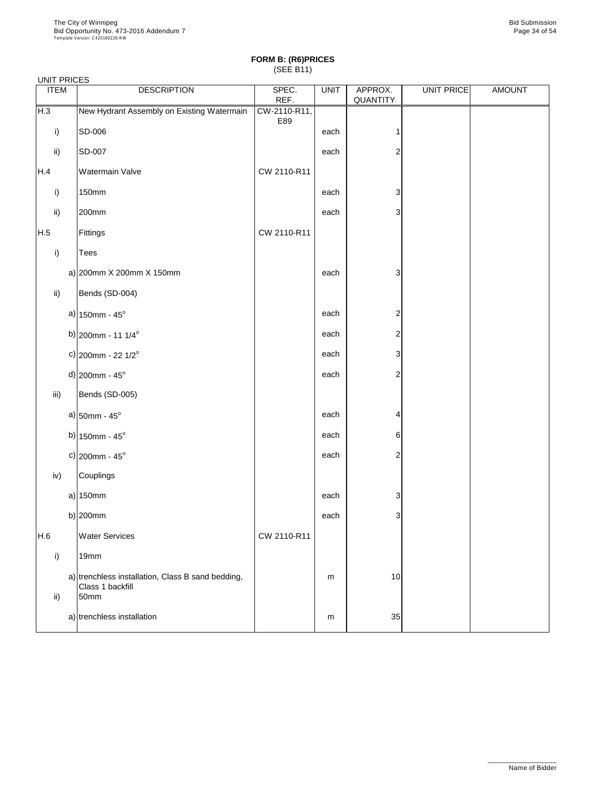#### UNIT PRICES

| 0000 DIVITE<br><b>ITEM</b> | <b>DESCRIPTION</b>                                                            | SPEC.<br>REF.       | <b>UNIT</b> | APPROX.<br>QUANTITY | UNIT PRICE | <b>AMOUNT</b> |
|----------------------------|-------------------------------------------------------------------------------|---------------------|-------------|---------------------|------------|---------------|
| H.3                        | New Hydrant Assembly on Existing Watermain                                    | CW-2110-R11,<br>E89 |             |                     |            |               |
| i)                         | SD-006                                                                        |                     | each        |                     |            |               |
| $\mathsf{ii}$              | <b>SD-007</b>                                                                 |                     | each        | $\overline{c}$      |            |               |
| H.4                        | <b>Watermain Valve</b>                                                        | CW 2110-R11         |             |                     |            |               |
| i)                         | <b>150mm</b>                                                                  |                     | each        | 3                   |            |               |
| ii)                        | 200mm                                                                         |                     | each        | 3                   |            |               |
| H.5                        | Fittings                                                                      | CW 2110-R11         |             |                     |            |               |
| i)                         | <b>Tees</b>                                                                   |                     |             |                     |            |               |
|                            | a) $ 200$ mm X 200mm X 150mm                                                  |                     | each        | 3                   |            |               |
| ii)                        | Bends (SD-004)                                                                |                     |             |                     |            |               |
|                            | a) $150$ mm - $45^{\circ}$                                                    |                     | each        | $\overline{c}$      |            |               |
|                            | b) $ 200$ mm - 11 1/4 <sup>o</sup>                                            |                     | each        | $\overline{c}$      |            |               |
|                            | c) 200mm - 22 $1/2^{\circ}$                                                   |                     | each        | 3                   |            |               |
|                            | $d$ ) 200mm - 45°                                                             |                     | each        | $\mathbf{2}$        |            |               |
| iii)                       | Bends (SD-005)                                                                |                     |             |                     |            |               |
|                            | a) $50$ mm - $45^{\circ}$                                                     |                     | each        | 4                   |            |               |
|                            | b) $150$ mm - $45^{\circ}$                                                    |                     | each        | 6                   |            |               |
|                            | c) $ 200$ mm - 45°                                                            |                     | each        | $\overline{2}$      |            |               |
| iv)                        | <b>Couplings</b>                                                              |                     |             |                     |            |               |
|                            | $a)$ 150mm                                                                    |                     | each        | 3                   |            |               |
|                            | b) $ 200$ mm                                                                  |                     | each        | 3                   |            |               |
| H.6                        | <b>Water Services</b>                                                         | CW 2110-R11         |             |                     |            |               |
| i)                         | 19mm                                                                          |                     |             |                     |            |               |
| $\mathsf{ii}$              | a) trenchless installation, Class B sand bedding,<br>Class 1 backfill<br>50mm |                     | m           | 10                  |            |               |

| -4111 | installation د<br>THESS | m | ົ<br>ບບ⊤ |  |
|-------|-------------------------|---|----------|--|
|       |                         |   |          |  |

\_\_\_\_\_\_\_\_\_\_\_\_\_\_\_\_\_\_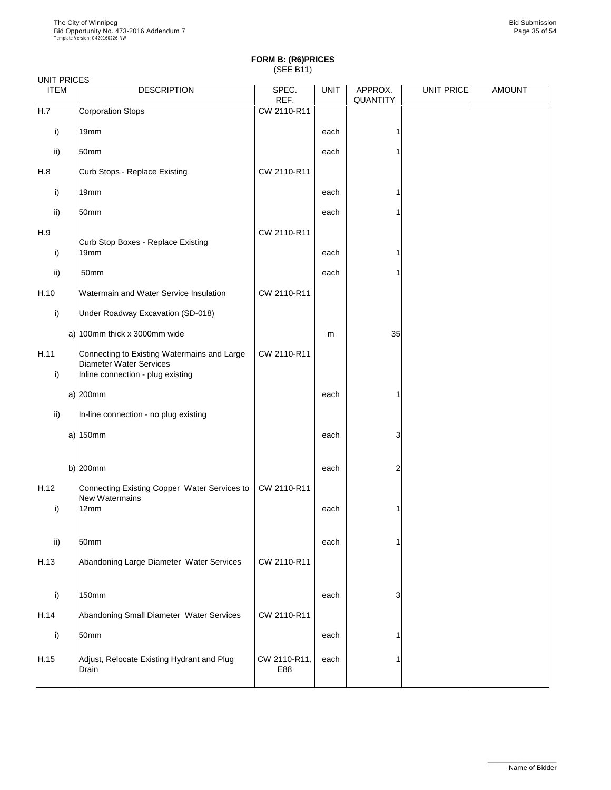| <b>ITEM</b>          | <b>DESCRIPTION</b>                                                                                                 | SPEC.<br>REF. | <b>UNIT</b> | APPROX.<br><b>QUANTITY</b> | UNIT PRICE | <b>AMOUNT</b> |
|----------------------|--------------------------------------------------------------------------------------------------------------------|---------------|-------------|----------------------------|------------|---------------|
| H.7                  | <b>Corporation Stops</b>                                                                                           | CW 2110-R11   |             |                            |            |               |
| i)                   | 19mm                                                                                                               |               | each        |                            |            |               |
| ii)                  | 50mm                                                                                                               |               | each        |                            |            |               |
| H.8                  | Curb Stops - Replace Existing                                                                                      | CW 2110-R11   |             |                            |            |               |
| i)                   | 19mm                                                                                                               |               | each        |                            |            |               |
| $\mathsf{ii}$        | 50mm                                                                                                               |               | each        |                            |            |               |
| H.9                  |                                                                                                                    | CW 2110-R11   |             |                            |            |               |
| i)                   | <b>Curb Stop Boxes - Replace Existing</b><br>19mm                                                                  |               | each        |                            |            |               |
| ii)                  | 50mm                                                                                                               |               | each        |                            |            |               |
| H.10                 | Watermain and Water Service Insulation                                                                             | CW 2110-R11   |             |                            |            |               |
| i)                   | Under Roadway Excavation (SD-018)                                                                                  |               |             |                            |            |               |
|                      | a) $100$ mm thick x 3000mm wide                                                                                    |               | m           | 35                         |            |               |
| H.11<br>$\mathsf{i}$ | Connecting to Existing Watermains and Large<br><b>Diameter Water Services</b><br>Inline connection - plug existing | CW 2110-R11   |             |                            |            |               |
|                      | $a)$  200mm                                                                                                        |               | each        |                            |            |               |
| $\mathsf{ii}$        | In-line connection - no plug existing                                                                              |               |             |                            |            |               |
|                      | $a)$ 150mm                                                                                                         |               | each        | 3                          |            |               |
|                      | b) $200$ mm                                                                                                        |               | each        | 2                          |            |               |
| H.12                 | Connecting Existing Copper Water Services to                                                                       | CW 2110-R11   |             |                            |            |               |
| i)                   | <b>New Watermains</b><br>12mm                                                                                      |               | each        |                            |            |               |
| $\mathsf{ii}$        | 50mm                                                                                                               |               | each        |                            |            |               |
| H.13                 | Abandoning Large Diameter Water Services                                                                           | CW 2110-R11   |             |                            |            |               |
| i)                   | <b>150mm</b>                                                                                                       |               | each        | 3                          |            |               |

| H.14 | Abandoning Small Diameter Water Services            | CW 2110-R11         |      |  |  |
|------|-----------------------------------------------------|---------------------|------|--|--|
|      | 50mm                                                |                     | each |  |  |
| H.15 | Adjust, Relocate Existing Hydrant and Plug<br>Drain | CW 2110-R11,<br>E88 | each |  |  |

\_\_\_\_\_\_\_\_\_\_\_\_\_\_\_\_\_\_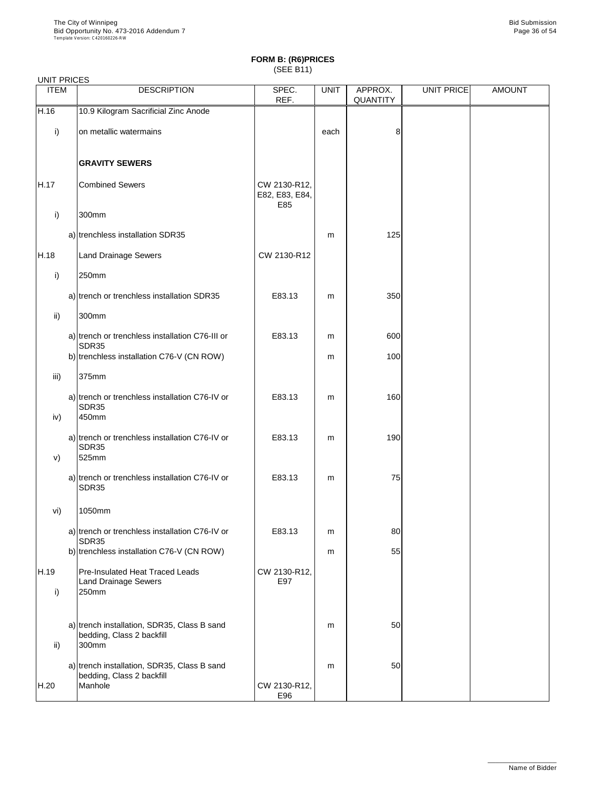|              | <b>UNIT PRICES</b> |                                                                         |                                       |             |                            |                   |               |  |  |
|--------------|--------------------|-------------------------------------------------------------------------|---------------------------------------|-------------|----------------------------|-------------------|---------------|--|--|
| <b>ITEM</b>  |                    | <b>DESCRIPTION</b>                                                      | SPEC.<br>REF.                         | <b>UNIT</b> | APPROX.<br><b>QUANTITY</b> | <b>UNIT PRICE</b> | <b>AMOUNT</b> |  |  |
| H.16         |                    | 10.9 Kilogram Sacrificial Zinc Anode                                    |                                       |             |                            |                   |               |  |  |
| i)           |                    | on metallic watermains                                                  |                                       | each        | 8                          |                   |               |  |  |
|              |                    | <b>GRAVITY SEWERS</b>                                                   |                                       |             |                            |                   |               |  |  |
| H.17         |                    | <b>Combined Sewers</b>                                                  | CW 2130-R12,<br>E82, E83, E84,<br>E85 |             |                            |                   |               |  |  |
| i)           |                    | 300mm                                                                   |                                       |             |                            |                   |               |  |  |
|              |                    | a) trenchless installation SDR35                                        |                                       | m           | 125                        |                   |               |  |  |
| H.18         |                    | <b>Land Drainage Sewers</b>                                             | CW 2130-R12                           |             |                            |                   |               |  |  |
| $\mathsf{i}$ |                    | 250mm                                                                   |                                       |             |                            |                   |               |  |  |
|              |                    | a) trench or trenchless installation SDR35                              | E83.13                                | m           | 350                        |                   |               |  |  |
| ii)          |                    | 300mm                                                                   |                                       |             |                            |                   |               |  |  |
|              |                    | a) trench or trenchless installation C76-III or<br>SDR35                | E83.13                                | m           | 600                        |                   |               |  |  |
|              |                    | b) trenchless installation C76-V (CN ROW)                               |                                       | m           | 100                        |                   |               |  |  |
| iii)         |                    | 375mm                                                                   |                                       |             |                            |                   |               |  |  |
| iv)          |                    | a) trench or trenchless installation C76-IV or<br><b>SDR35</b><br>450mm | E83.13                                | m           | 160                        |                   |               |  |  |
| V)           |                    | a) trench or trenchless installation C76-IV or<br><b>SDR35</b><br>525mm | E83.13                                | m           | 190                        |                   |               |  |  |
|              |                    | a) trench or trenchless installation C76-IV or<br><b>SDR35</b>          | E83.13                                | m           | 75                         |                   |               |  |  |
| vi)          |                    | 1050mm                                                                  |                                       |             |                            |                   |               |  |  |
|              |                    | a) trench or trenchless installation C76-IV or<br>SDR35                 | E83.13                                | m           | 80                         |                   |               |  |  |
|              |                    | b) trenchless installation C76-V (CN ROW)                               |                                       | m           | 55                         |                   |               |  |  |
| H.19<br>i)   |                    | Pre-Insulated Heat Traced Leads<br>Land Drainage Sewers<br>250mm        | CW 2130-R12,<br>E97                   |             |                            |                   |               |  |  |
|              |                    |                                                                         |                                       |             |                            |                   |               |  |  |

| ii)  | a) trench installation, SDR35, Class B sand<br>bedding, Class 2 backfill<br>300mm   |                     | m | 50 |  |
|------|-------------------------------------------------------------------------------------|---------------------|---|----|--|
| H.20 | a) trench installation, SDR35, Class B sand<br>bedding, Class 2 backfill<br>Manhole | CW 2130-R12,<br>E96 | m | 50 |  |

\_\_\_\_\_\_\_\_\_\_\_\_\_\_\_\_\_\_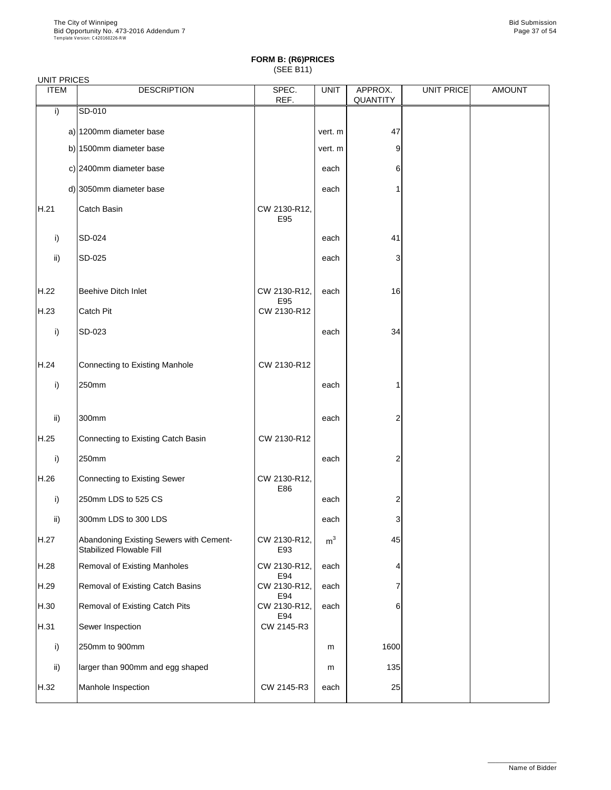|             | <b>UNIT PRICES</b> |                                                                            |                     |                |                            |            |               |  |  |  |
|-------------|--------------------|----------------------------------------------------------------------------|---------------------|----------------|----------------------------|------------|---------------|--|--|--|
| <b>ITEM</b> |                    | <b>DESCRIPTION</b>                                                         | SPEC.<br>REF.       | <b>UNIT</b>    | APPROX.<br><b>QUANTITY</b> | UNIT PRICE | <b>AMOUNT</b> |  |  |  |
| i)          |                    | SD-010                                                                     |                     |                |                            |            |               |  |  |  |
|             |                    | a) 1200mm diameter base                                                    |                     | vert. m        | 47                         |            |               |  |  |  |
|             |                    | b) 1500mm diameter base                                                    |                     | vert. m        | $9\,$                      |            |               |  |  |  |
|             |                    | c) 2400mm diameter base                                                    |                     | each           | 6                          |            |               |  |  |  |
|             |                    | d) 3050mm diameter base                                                    |                     | each           | 1                          |            |               |  |  |  |
| H.21        |                    | <b>Catch Basin</b>                                                         | CW 2130-R12,<br>E95 |                |                            |            |               |  |  |  |
| i)          |                    | SD-024                                                                     |                     | each           | 41                         |            |               |  |  |  |
| ii)         |                    | SD-025                                                                     |                     | each           | 3                          |            |               |  |  |  |
| H.22        |                    | <b>Beehive Ditch Inlet</b>                                                 | CW 2130-R12,<br>E95 | each           | 16                         |            |               |  |  |  |
| H.23        |                    | <b>Catch Pit</b>                                                           | CW 2130-R12         |                |                            |            |               |  |  |  |
| i)          |                    | SD-023                                                                     |                     | each           | 34                         |            |               |  |  |  |
| H.24        |                    | Connecting to Existing Manhole                                             | CW 2130-R12         |                |                            |            |               |  |  |  |
| i)          |                    | 250mm                                                                      |                     | each           | 1                          |            |               |  |  |  |
| ii)         |                    | 300mm                                                                      |                     | each           | $\overline{2}$             |            |               |  |  |  |
| H.25        |                    | Connecting to Existing Catch Basin                                         | CW 2130-R12         |                |                            |            |               |  |  |  |
| i)          |                    | 250mm                                                                      |                     | each           | $\overline{2}$             |            |               |  |  |  |
| H.26        |                    | Connecting to Existing Sewer                                               | CW 2130-R12,<br>E86 |                |                            |            |               |  |  |  |
| i)          |                    | 250mm LDS to 525 CS                                                        |                     | each           | 2                          |            |               |  |  |  |
| ii)         |                    | 300mm LDS to 300 LDS                                                       |                     | each           | 3                          |            |               |  |  |  |
| H.27        |                    | Abandoning Existing Sewers with Cement-<br><b>Stabilized Flowable Fill</b> | CW 2130-R12,<br>E93 | m <sup>3</sup> | 45                         |            |               |  |  |  |
| H.28        |                    | <b>Removal of Existing Manholes</b>                                        | CW 2130-R12,<br>E94 | each           | 4                          |            |               |  |  |  |
| H.29        |                    | Removal of Existing Catch Basins                                           | CW 2130-R12,<br>E94 | each           | 7                          |            |               |  |  |  |
| H.30        |                    | <b>Removal of Existing Catch Pits</b>                                      | CW 2130-R12,        | each           | 6                          |            |               |  |  |  |

| H.31 | Sewer Inspection                 | E94<br>CW 2145-R3 |      |      |  |
|------|----------------------------------|-------------------|------|------|--|
|      | 250mm to 900mm                   |                   | m    | 1600 |  |
| ii)  | larger than 900mm and egg shaped |                   | m    | 135  |  |
| H.32 | Manhole Inspection               | CW 2145-R3        | each | 25   |  |

\_\_\_\_\_\_\_\_\_\_\_\_\_\_\_\_\_\_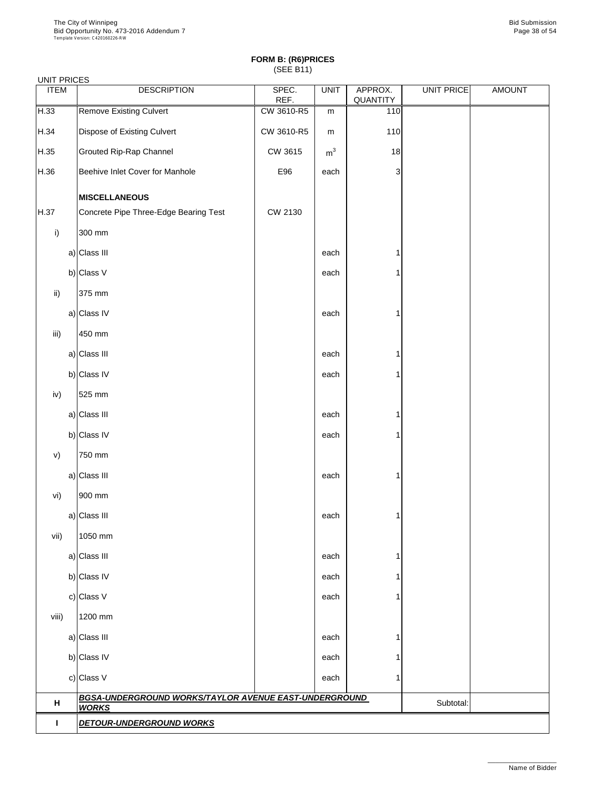| <b>UNIT PRICES</b> |                                    |                                                       |                |                |                     |            |               |
|--------------------|------------------------------------|-------------------------------------------------------|----------------|----------------|---------------------|------------|---------------|
| <b>ITEM</b>        |                                    | <b>DESCRIPTION</b>                                    | SPEC.<br>REF.  | <b>UNIT</b>    | APPROX.<br>QUANTITY | UNIT PRICE | <b>AMOUNT</b> |
| H.33               | <b>Remove Existing Culvert</b>     |                                                       | CW 3610-R5     | m              | 110                 |            |               |
| H.34               | <b>Dispose of Existing Culvert</b> |                                                       | CW 3610-R5     | m              | 110                 |            |               |
| H.35               | <b>Grouted Rip-Rap Channel</b>     |                                                       | CW 3615        | m <sup>3</sup> | 18                  |            |               |
| H.36               | Beehive Inlet Cover for Manhole    |                                                       | E96            | each           | 3                   |            |               |
|                    | <b>MISCELLANEOUS</b>               |                                                       |                |                |                     |            |               |
| H.37               |                                    | Concrete Pipe Three-Edge Bearing Test                 | <b>CW 2130</b> |                |                     |            |               |
| i)                 | 300 mm                             |                                                       |                |                |                     |            |               |
|                    | a) Class III                       |                                                       |                | each           |                     |            |               |
|                    | b) Class $V$                       |                                                       |                | each           |                     |            |               |
| $\mathsf{ii}$ )    | 375 mm                             |                                                       |                |                |                     |            |               |
|                    | a) Class IV                        |                                                       |                | each           |                     |            |               |
| iii)               | 450 mm                             |                                                       |                |                |                     |            |               |
|                    | a) Class III                       |                                                       |                | each           |                     |            |               |
|                    | b) Class IV                        |                                                       |                | each           |                     |            |               |
| iv)                | 525 mm                             |                                                       |                |                |                     |            |               |
|                    | a) Class III                       |                                                       |                | each           |                     |            |               |
|                    | b) Class IV                        |                                                       |                | each           |                     |            |               |
| V)                 | 750 mm                             |                                                       |                |                |                     |            |               |
|                    | a) Class III                       |                                                       |                | each           |                     |            |               |
| vi)                | 900 mm                             |                                                       |                |                |                     |            |               |
|                    | a) Class III                       |                                                       |                | each           |                     |            |               |
| vii)               | 1050 mm                            |                                                       |                |                |                     |            |               |
|                    | a) Class III                       |                                                       |                | each           |                     |            |               |
|                    | b) Class IV                        |                                                       |                | each           |                     |            |               |
|                    | c) Class V                         |                                                       |                | each           |                     |            |               |
| viii)              | 1200 mm                            |                                                       |                |                |                     |            |               |
|                    | a) Class III                       |                                                       |                | each           |                     |            |               |
|                    | b) Class IV                        |                                                       |                | each           |                     |            |               |
|                    | c) Class V                         |                                                       |                | each           |                     |            |               |
| H                  | <b>WORKS</b>                       | BGSA-UNDERGROUND WORKS/TAYLOR AVENUE EAST-UNDERGROUND |                |                |                     | Subtotal:  |               |
|                    | <b>DETOUR-UNDERGROUND WORKS</b>    |                                                       |                |                |                     |            |               |

\_\_\_\_\_\_\_\_\_\_\_\_\_\_\_\_\_\_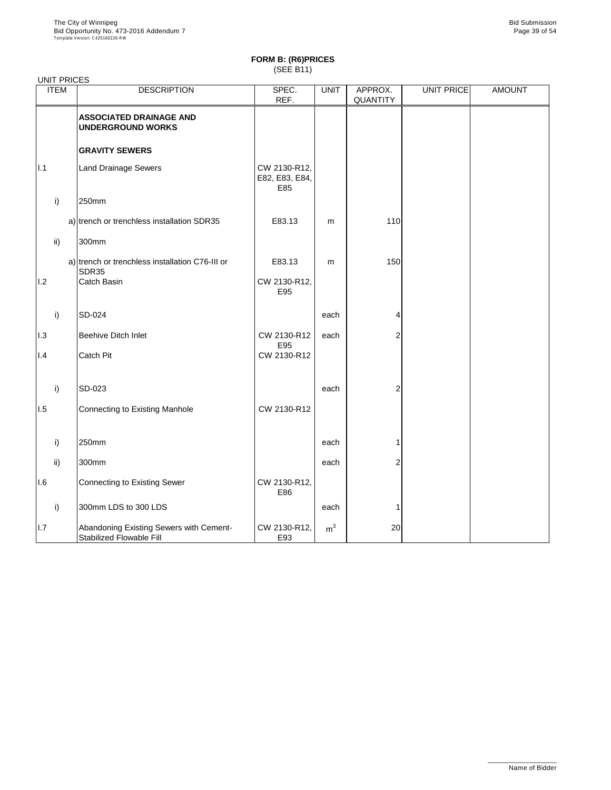| <b>UNIT PRICES</b> |                                                                            |                                       |                |                            |                   |               |
|--------------------|----------------------------------------------------------------------------|---------------------------------------|----------------|----------------------------|-------------------|---------------|
| <b>ITEM</b>        | <b>DESCRIPTION</b>                                                         | SPEC.<br>REF.                         | <b>UNIT</b>    | APPROX.<br><b>QUANTITY</b> | <b>UNIT PRICE</b> | <b>AMOUNT</b> |
|                    | <b>ASSOCIATED DRAINAGE AND</b><br><b>UNDERGROUND WORKS</b>                 |                                       |                |                            |                   |               |
|                    | <b>GRAVITY SEWERS</b>                                                      |                                       |                |                            |                   |               |
| 1.1                | <b>Land Drainage Sewers</b>                                                | CW 2130-R12,<br>E82, E83, E84,<br>E85 |                |                            |                   |               |
| i)                 | 250mm                                                                      |                                       |                |                            |                   |               |
|                    | a) trench or trenchless installation SDR35                                 | E83.13                                | m              | 110                        |                   |               |
| $\mathsf{ii}$      | 300mm                                                                      |                                       |                |                            |                   |               |
|                    | a) trench or trenchless installation C76-III or<br>SDR35                   | E83.13                                | m              | 150                        |                   |               |
| 1.2                | <b>Catch Basin</b>                                                         | CW 2130-R12,<br>E95                   |                |                            |                   |               |
| i)                 | <b>SD-024</b>                                                              |                                       | each           | 4                          |                   |               |
| 1.3                | <b>Beehive Ditch Inlet</b>                                                 | CW 2130-R12                           | each           | 2                          |                   |               |
| 1.4                | <b>Catch Pit</b>                                                           | E95<br>CW 2130-R12                    |                |                            |                   |               |
| i)                 | SD-023                                                                     |                                       | each           | 2                          |                   |               |
| 1.5                | Connecting to Existing Manhole                                             | CW 2130-R12                           |                |                            |                   |               |
| i)                 | 250mm                                                                      |                                       | each           |                            |                   |               |
| $\mathsf{ii}$      | 300mm                                                                      |                                       | each           | 2                          |                   |               |
| 1.6                | <b>Connecting to Existing Sewer</b>                                        | CW 2130-R12,<br>E86                   |                |                            |                   |               |
| i)                 | 300mm LDS to 300 LDS                                                       |                                       | each           |                            |                   |               |
| I.7                | Abandoning Existing Sewers with Cement-<br><b>Stabilized Flowable Fill</b> | CW 2130-R12,<br>E93                   | m <sup>3</sup> | 20                         |                   |               |

\_\_\_\_\_\_\_\_\_\_\_\_\_\_\_\_\_\_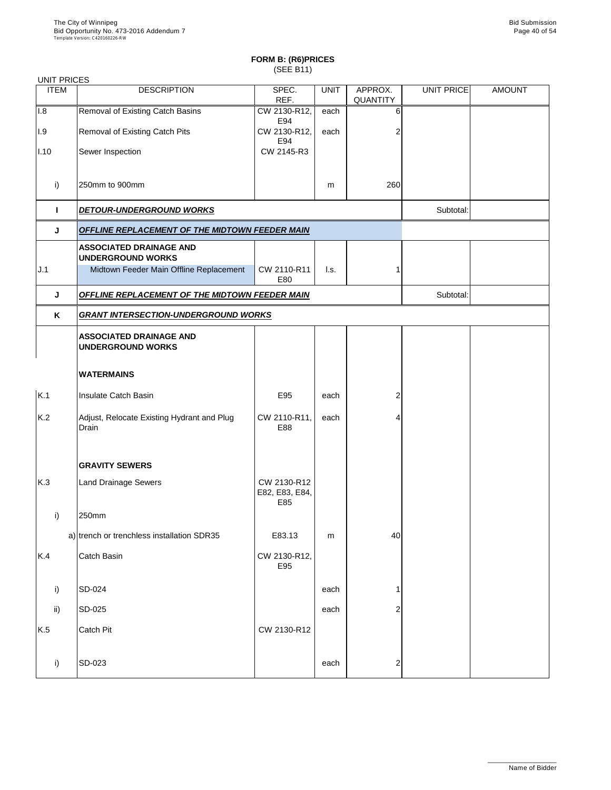### UNIT PRICES

| UNII PRIUES    |                                                            |                                      |             |                            |                   |               |
|----------------|------------------------------------------------------------|--------------------------------------|-------------|----------------------------|-------------------|---------------|
| <b>ITEM</b>    | <b>DESCRIPTION</b>                                         | SPEC.<br>REF.                        | <b>UNIT</b> | APPROX.<br><b>QUANTITY</b> | <b>UNIT PRICE</b> | <b>AMOUNT</b> |
| 1.8            | <b>Removal of Existing Catch Basins</b>                    | CW 2130-R12,<br>E94                  | each        | 6                          |                   |               |
| 1.9            | <b>Removal of Existing Catch Pits</b>                      | CW 2130-R12,<br>E94                  | each        | 2                          |                   |               |
| $ I.10\rangle$ | Sewer Inspection                                           | CW 2145-R3                           |             |                            |                   |               |
| i)             | 250mm to 900mm                                             |                                      | m           | 260                        |                   |               |
|                | <b>DETOUR-UNDERGROUND WORKS</b>                            |                                      |             |                            | Subtotal:         |               |
| J              | <b>OFFLINE REPLACEMENT OF THE MIDTOWN FEEDER MAIN</b>      |                                      |             |                            |                   |               |
|                | <b>ASSOCIATED DRAINAGE AND</b><br><b>UNDERGROUND WORKS</b> |                                      |             |                            |                   |               |
| J.1            | Midtown Feeder Main Offline Replacement                    | CW 2110-R11<br>E80                   | I.s.        |                            |                   |               |
| J              | <b>OFFLINE REPLACEMENT OF THE MIDTOWN FEEDER MAIN</b>      |                                      |             |                            | Subtotal:         |               |
| K              | <b>GRANT INTERSECTION-UNDERGROUND WORKS</b>                |                                      |             |                            |                   |               |
|                | <b>ASSOCIATED DRAINAGE AND</b><br><b>UNDERGROUND WORKS</b> |                                      |             |                            |                   |               |
|                | <b>WATERMAINS</b>                                          |                                      |             |                            |                   |               |
| K.1            | <b>Insulate Catch Basin</b>                                | E95                                  | each        | 2                          |                   |               |
| K.2            | Adjust, Relocate Existing Hydrant and Plug<br>Drain        | CW 2110-R11,<br>E88                  | each        | 4                          |                   |               |
|                | <b>GRAVITY SEWERS</b>                                      |                                      |             |                            |                   |               |
| K.3            | <b>Land Drainage Sewers</b>                                | CW 2130-R12<br>E82, E83, E84,<br>E85 |             |                            |                   |               |
| i)             | 250mm                                                      |                                      |             |                            |                   |               |
|                | a) trench or trenchless installation SDR35                 | E83.13                               | m           | 40                         |                   |               |
| K.4            | <b>Catch Basin</b>                                         | CW 2130-R12,<br>E95                  |             |                            |                   |               |
| i)             | SD-024                                                     |                                      | each        |                            |                   |               |

| ii) | $ SD-025 $    |             | each | $\sim$<br>_ |  |
|-----|---------------|-------------|------|-------------|--|
| K.5 | Catch Pit     | CW 2130-R12 |      |             |  |
|     | <b>SD-023</b> |             | each | ⌒<br>_      |  |

\_\_\_\_\_\_\_\_\_\_\_\_\_\_\_\_\_\_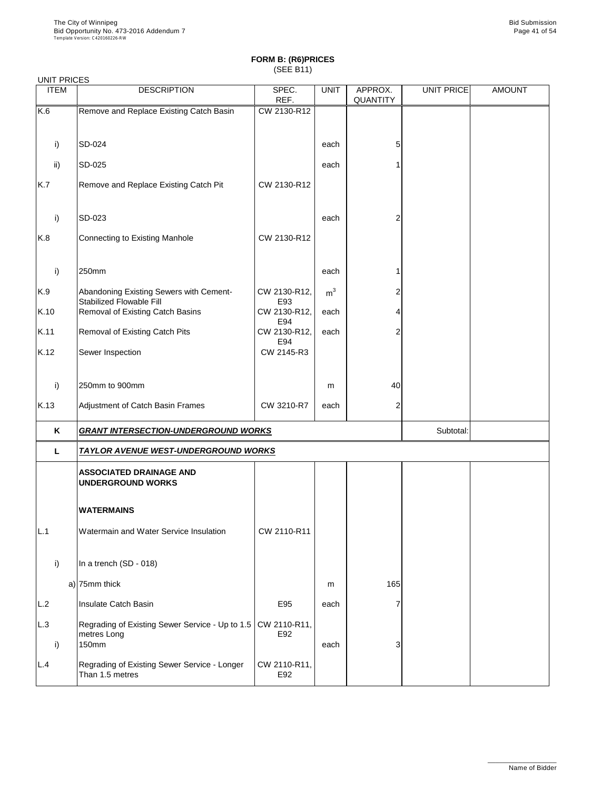| <b>UNIT PRICES</b> |                                                                            |                     |                |                            |            |               |
|--------------------|----------------------------------------------------------------------------|---------------------|----------------|----------------------------|------------|---------------|
| <b>ITEM</b>        | <b>DESCRIPTION</b>                                                         | SPEC.<br>REF.       | <b>UNIT</b>    | APPROX.<br><b>QUANTITY</b> | UNIT PRICE | <b>AMOUNT</b> |
| K.6                | Remove and Replace Existing Catch Basin                                    | CW 2130-R12         |                |                            |            |               |
|                    |                                                                            |                     |                |                            |            |               |
| i)                 | SD-024                                                                     |                     | each           | 5                          |            |               |
| $\mathsf{ii}$      | <b>SD-025</b>                                                              |                     | each           |                            |            |               |
| K.7                | Remove and Replace Existing Catch Pit                                      | CW 2130-R12         |                |                            |            |               |
| i)                 | SD-023                                                                     |                     | each           | 2                          |            |               |
| K.8                | <b>Connecting to Existing Manhole</b>                                      | CW 2130-R12         |                |                            |            |               |
| i)                 | 250mm                                                                      |                     | each           |                            |            |               |
| K.9                | Abandoning Existing Sewers with Cement-<br><b>Stabilized Flowable Fill</b> | CW 2130-R12,<br>E93 | m <sup>3</sup> |                            |            |               |
| K.10               | Removal of Existing Catch Basins                                           | CW 2130-R12,<br>E94 | each           | 4                          |            |               |
| K.11               | <b>Removal of Existing Catch Pits</b>                                      | CW 2130-R12,<br>E94 | each           | $\overline{2}$             |            |               |
| K.12               | Sewer Inspection                                                           | CW 2145-R3          |                |                            |            |               |
| i)                 | 250mm to 900mm                                                             |                     | m              | 40                         |            |               |
| K.13               | Adjustment of Catch Basin Frames                                           | CW 3210-R7          | each           | $\overline{2}$             |            |               |
| K                  | <b>GRANT INTERSECTION-UNDERGROUND WORKS</b>                                |                     |                |                            | Subtotal:  |               |
| L                  | <b>TAYLOR AVENUE WEST-UNDERGROUND WORKS</b>                                |                     |                |                            |            |               |
|                    | <b>ASSOCIATED DRAINAGE AND</b><br><b>UNDERGROUND WORKS</b>                 |                     |                |                            |            |               |
|                    | <b>WATERMAINS</b>                                                          |                     |                |                            |            |               |
| L.1                | Watermain and Water Service Insulation                                     | CW 2110-R11         |                |                            |            |               |
| i)                 | In a trench (SD - 018)                                                     |                     |                |                            |            |               |
|                    | $a)$ 75mm thick                                                            |                     | m              | 165                        |            |               |
|                    | Inquicto Cotab Popin                                                       | <b>EOF</b>          |                |                            |            |               |

| L.2 | Insulate Catch Basin                                                                                 | E95                 | each |  |  |
|-----|------------------------------------------------------------------------------------------------------|---------------------|------|--|--|
| L.3 | Regrading of Existing Sewer Service - Up to 1.5   CW 2110-R11,  <br>metres Long<br>150 <sub>mm</sub> | E92                 | each |  |  |
| L.4 | Regrading of Existing Sewer Service - Longer<br>Than 1.5 metres                                      | CW 2110-R11,<br>E92 |      |  |  |

\_\_\_\_\_\_\_\_\_\_\_\_\_\_\_\_\_\_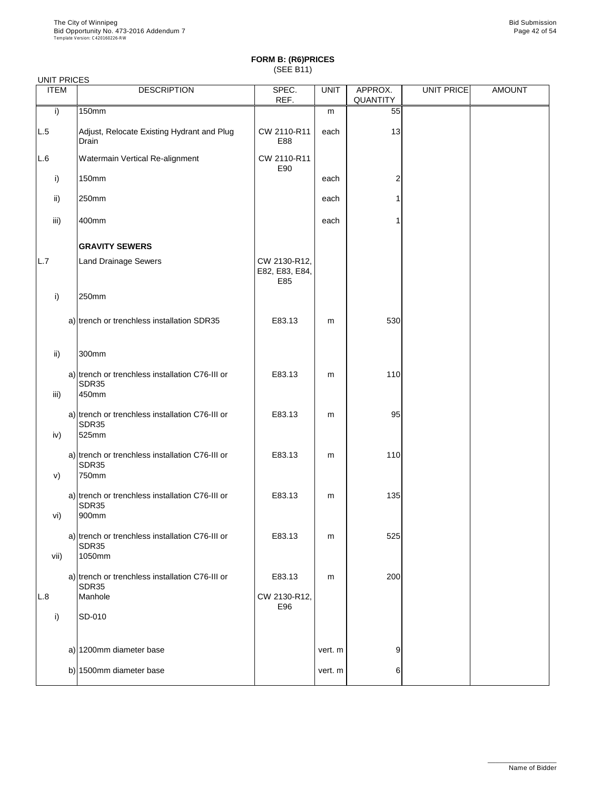| <b>UNIT PRICES</b><br><b>ITEM</b> | <b>DESCRIPTION</b>                                                 | SPEC.                                 | <b>UNIT</b> | APPROX.        | UNIT PRICE | <b>AMOUNT</b> |
|-----------------------------------|--------------------------------------------------------------------|---------------------------------------|-------------|----------------|------------|---------------|
|                                   |                                                                    | REF.                                  |             | QUANTITY       |            |               |
| i)                                | <b>150mm</b>                                                       |                                       | m           | 55             |            |               |
| L.5                               | Adjust, Relocate Existing Hydrant and Plug<br>Drain                | CW 2110-R11<br>E88                    | each        | 13             |            |               |
| L.6                               | Watermain Vertical Re-alignment                                    | CW 2110-R11<br>E90                    |             |                |            |               |
| i)                                | <b>150mm</b>                                                       |                                       | each        | $\overline{2}$ |            |               |
| $\mathsf{ii}$                     | 250mm                                                              |                                       | each        |                |            |               |
| iii)                              | 400mm                                                              |                                       | each        |                |            |               |
|                                   | <b>GRAVITY SEWERS</b>                                              |                                       |             |                |            |               |
| L.7                               | <b>Land Drainage Sewers</b>                                        | CW 2130-R12,<br>E82, E83, E84,<br>E85 |             |                |            |               |
| i)                                | 250mm                                                              |                                       |             |                |            |               |
|                                   | a) trench or trenchless installation SDR35                         | E83.13                                | m           | 530            |            |               |
| $\mathsf{ii}$ )                   | 300mm                                                              |                                       |             |                |            |               |
|                                   | a) trench or trenchless installation C76-III or<br>SDR35           | E83.13                                | m           | 110            |            |               |
| iii)                              | 450mm                                                              |                                       |             |                |            |               |
| iv)                               | a) trench or trenchless installation C76-III or<br>SDR35<br>525mm  | E83.13                                | m           | 95             |            |               |
|                                   | a) trench or trenchless installation C76-III or<br>SDR35           | E83.13                                | m           | 110            |            |               |
| V)                                | 750mm                                                              |                                       |             |                |            |               |
|                                   | a) trench or trenchless installation C76-III or<br>SDR35           | E83.13                                | m           | 135            |            |               |
| vi)                               | 900mm                                                              |                                       |             |                |            |               |
| vii)                              | a) trench or trenchless installation C76-III or<br>SDR35<br>1050mm | E83.13                                | m           | 525            |            |               |
|                                   |                                                                    |                                       |             |                |            |               |
|                                   | a) trench or trenchless installation C76-III or<br>SDR35           | E83.13                                | m           | 200            |            |               |
| L.8                               | Manhole                                                            | CW 2130-R12,<br>E96                   |             |                |            |               |

| <b>SD-010</b>              |         |    |  |
|----------------------------|---------|----|--|
|                            |         |    |  |
| a) 1200mm diameter base    | vert. m | 9' |  |
| b) 1500 $mm$ diameter base | vert. m | 6  |  |
|                            |         |    |  |

\_\_\_\_\_\_\_\_\_\_\_\_\_\_\_\_\_\_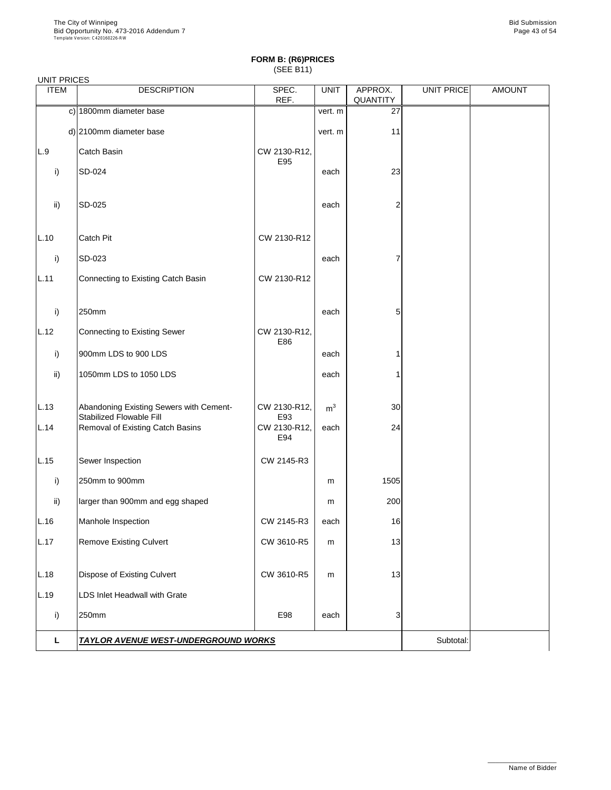#### UNIT PRICES

| <b>ITEM</b>     | <b>DESCRIPTION</b>                                                         | SPEC.<br>REF.       | <b>UNIT</b>    | APPROX.<br><b>QUANTITY</b> | UNIT PRICE | <b>AMOUNT</b> |
|-----------------|----------------------------------------------------------------------------|---------------------|----------------|----------------------------|------------|---------------|
|                 | c) 1800mm diameter base                                                    |                     | vert. m        | 27                         |            |               |
|                 | d) 2100mm diameter base                                                    |                     | vert. m        | 11                         |            |               |
| L.9             | Catch Basin                                                                | CW 2130-R12,<br>E95 |                |                            |            |               |
| i)              | SD-024                                                                     |                     | each           | 23                         |            |               |
| $\mathsf{ii}$ ) | SD-025                                                                     |                     | each           | $\overline{2}$             |            |               |
| L.10            | <b>Catch Pit</b>                                                           | CW 2130-R12         |                |                            |            |               |
| i)              | SD-023                                                                     |                     | each           | 7                          |            |               |
| L.11            | Connecting to Existing Catch Basin                                         | CW 2130-R12         |                |                            |            |               |
| i)              | 250mm                                                                      |                     | each           | 5                          |            |               |
| L.12            | <b>Connecting to Existing Sewer</b>                                        | CW 2130-R12,<br>E86 |                |                            |            |               |
| i)              | 900mm LDS to 900 LDS                                                       |                     | each           |                            |            |               |
| ii)             | 1050mm LDS to 1050 LDS                                                     |                     | each           |                            |            |               |
| L.13            | Abandoning Existing Sewers with Cement-<br><b>Stabilized Flowable Fill</b> | CW 2130-R12,<br>E93 | m <sup>3</sup> | 30 <sub>l</sub>            |            |               |
| L.14            | Removal of Existing Catch Basins                                           | CW 2130-R12,<br>E94 | each           | 24                         |            |               |
| L.15            | Sewer Inspection                                                           | CW 2145-R3          |                |                            |            |               |
| i)              | 250mm to 900mm                                                             |                     | m              | 1505                       |            |               |
| $\mathsf{ii}$   | larger than 900mm and egg shaped                                           |                     | m              | 200                        |            |               |
| L.16            | Manhole Inspection                                                         | CW 2145-R3          | each           | 16                         |            |               |
| L.17            | <b>Remove Existing Culvert</b>                                             | CW 3610-R5          | m              | 13                         |            |               |
| L.18            | <b>Dispose of Existing Culvert</b>                                         | CW 3610-R5          | m              | 13                         |            |               |
| L.19            | LDS Inlet Headwall with Grate                                              |                     |                |                            |            |               |

| ⊺∩mm                                        | E98 | each | - |          |  |
|---------------------------------------------|-----|------|---|----------|--|
| <b>TAYLOR AVENUE WEST-UNDERGROUND WORKS</b> |     |      |   | 3ubtotal |  |

\_\_\_\_\_\_\_\_\_\_\_\_\_\_\_\_\_\_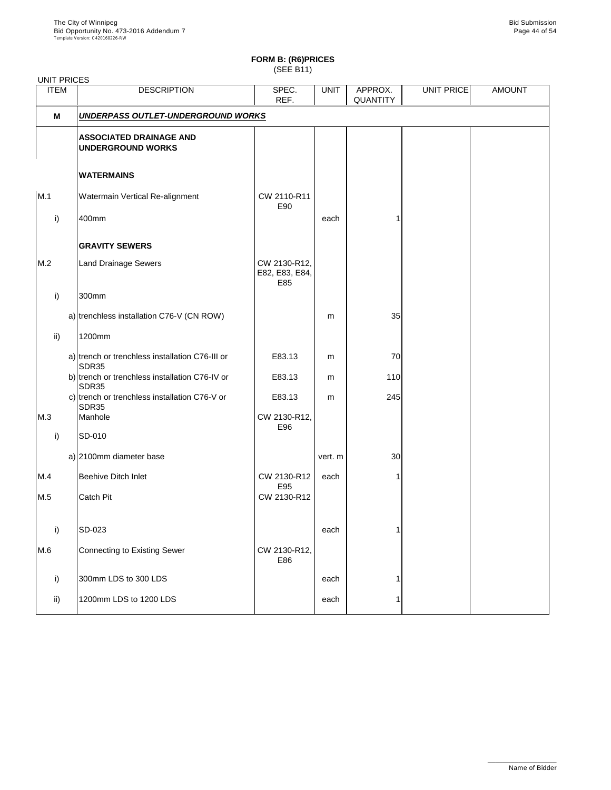## **FORM B: (R6)PRICES**

(SEE B11)

| <b>ITEM</b>  | <b>DESCRIPTION</b>                                         | SPEC.<br>REF.                         | <b>UNIT</b> | APPROX.<br><b>QUANTITY</b> | UNIT PRICE | <b>AMOUNT</b> |
|--------------|------------------------------------------------------------|---------------------------------------|-------------|----------------------------|------------|---------------|
| M            | UNDERPASS OUTLET-UNDERGROUND WORKS                         |                                       |             |                            |            |               |
|              | <b>ASSOCIATED DRAINAGE AND</b><br><b>UNDERGROUND WORKS</b> |                                       |             |                            |            |               |
|              | <b>WATERMAINS</b>                                          |                                       |             |                            |            |               |
| M.1          | Watermain Vertical Re-alignment                            | CW 2110-R11<br>E90                    |             |                            |            |               |
| i)           | 400mm                                                      |                                       | each        |                            |            |               |
|              | <b>GRAVITY SEWERS</b>                                      |                                       |             |                            |            |               |
| M.2          | <b>Land Drainage Sewers</b>                                | CW 2130-R12,<br>E82, E83, E84,<br>E85 |             |                            |            |               |
| i)           | 300mm                                                      |                                       |             |                            |            |               |
|              | a) trenchless installation C76-V (CN ROW)                  |                                       | m           | 35                         |            |               |
| ii)          | 1200mm                                                     |                                       |             |                            |            |               |
|              | a) trench or trenchless installation C76-III or<br>SDR35   | E83.13                                | m           | 70                         |            |               |
|              | b) trench or trenchless installation C76-IV or<br>SDR35    | E83.13                                | m           | 110                        |            |               |
|              | c) trench or trenchless installation C76-V or<br>SDR35     | E83.13                                | m           | 245                        |            |               |
| M.3          | Manhole                                                    | CW 2130-R12,<br>E96                   |             |                            |            |               |
| $\mathsf{i}$ | SD-010                                                     |                                       |             |                            |            |               |
|              | a) 2100mm diameter base                                    |                                       | vert. m     | 30                         |            |               |
| M.4          | <b>Beehive Ditch Inlet</b>                                 | CW 2130-R12<br>E95                    | each        |                            |            |               |
| M.5          | <b>Catch Pit</b>                                           | CW 2130-R12                           |             |                            |            |               |
| i)           | SD-023                                                     |                                       | each        |                            |            |               |
| M.6          | Connecting to Existing Sewer                               | CW 2130-R12,<br>E86                   |             |                            |            |               |
| i)           | 300mm LDS to 300 LDS                                       |                                       | each        |                            |            |               |
| ii)          | 1200mm LDS to 1200 LDS                                     |                                       | each        |                            |            |               |
|              |                                                            |                                       |             |                            |            |               |

\_\_\_\_\_\_\_\_\_\_\_\_\_\_\_\_\_\_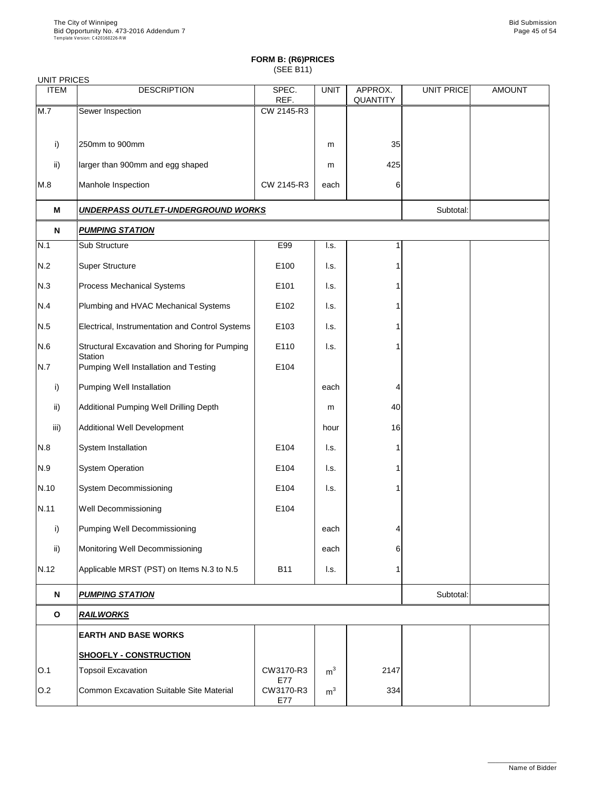| <b>UNIT PRICES</b> |                                                         |                         |                           |                            |                   |               |
|--------------------|---------------------------------------------------------|-------------------------|---------------------------|----------------------------|-------------------|---------------|
| <b>ITEM</b>        | <b>DESCRIPTION</b>                                      | SPEC.<br>REF.           | <b>UNIT</b>               | APPROX.<br><b>QUANTITY</b> | <b>UNIT PRICE</b> | <b>AMOUNT</b> |
| M.7                | Sewer Inspection                                        | CW 2145-R3              |                           |                            |                   |               |
|                    |                                                         |                         |                           |                            |                   |               |
| i)                 | 250mm to 900mm                                          |                         | m                         | 35                         |                   |               |
| $\mathsf{ii}$      | larger than 900mm and egg shaped                        |                         | m                         | 425                        |                   |               |
| M.8                | Manhole Inspection                                      | CW 2145-R3              | each                      | 6                          |                   |               |
| M                  | UNDERPASS OUTLET-UNDERGROUND WORKS                      |                         |                           |                            | Subtotal:         |               |
| N                  | <b>PUMPING STATION</b>                                  |                         |                           |                            |                   |               |
| N.1                | Sub Structure                                           | E99                     | I.s.                      | 1                          |                   |               |
| N.2                | <b>Super Structure</b>                                  | E100                    | I.s.                      |                            |                   |               |
| N.3                | <b>Process Mechanical Systems</b>                       | E101                    | I.s.                      |                            |                   |               |
| N.4                | Plumbing and HVAC Mechanical Systems                    | E102                    | I.s.                      |                            |                   |               |
| N.5                | Electrical, Instrumentation and Control Systems         | E103                    | I.s.                      |                            |                   |               |
| N.6                | Structural Excavation and Shoring for Pumping           | E110                    | I.s.                      |                            |                   |               |
| N.7                | <b>Station</b><br>Pumping Well Installation and Testing | E104                    |                           |                            |                   |               |
| i)                 | <b>Pumping Well Installation</b>                        |                         | each                      | 4                          |                   |               |
| $\mathsf{ii}$      | Additional Pumping Well Drilling Depth                  |                         | m                         | 40                         |                   |               |
| iii)               | <b>Additional Well Development</b>                      |                         | hour                      | 16                         |                   |               |
| N.8                | System Installation                                     | E104                    | $\mathsf{I}.\mathsf{s}$ . |                            |                   |               |
| N.9                | <b>System Operation</b>                                 | E104                    | I.s.                      |                            |                   |               |
| N.10               | <b>System Decommissioning</b>                           | E104                    | I.s.                      |                            |                   |               |
| N.11               | <b>Well Decommissioning</b>                             | E104                    |                           |                            |                   |               |
| i)                 | <b>Pumping Well Decommissioning</b>                     |                         | each                      | 4                          |                   |               |
| $\mathsf{ii}$      | Monitoring Well Decommissioning                         |                         | each                      | 6                          |                   |               |
| N.12               | Applicable MRST (PST) on Items N.3 to N.5               | <b>B11</b>              | I.s.                      |                            |                   |               |
| N                  | <u>PUMPING STATION</u>                                  |                         |                           |                            | Subtotal:         |               |
| $\mathbf O$        | <b>RAILWORKS</b>                                        |                         |                           |                            |                   |               |
|                    | <b>EARTH AND BASE WORKS</b>                             |                         |                           |                            |                   |               |
|                    | <b>SHOOFLY - CONSTRUCTION</b>                           |                         |                           |                            |                   |               |
| O.1                | <b>Topsoil Excavation</b>                               | CW3170-R3               | m <sup>3</sup>            | 2147                       |                   |               |
| O.2                | Common Excavation Suitable Site Material                | E77<br>CW3170-R3<br>E77 | m <sup>3</sup>            | 334                        |                   |               |

\_\_\_\_\_\_\_\_\_\_\_\_\_\_\_\_\_\_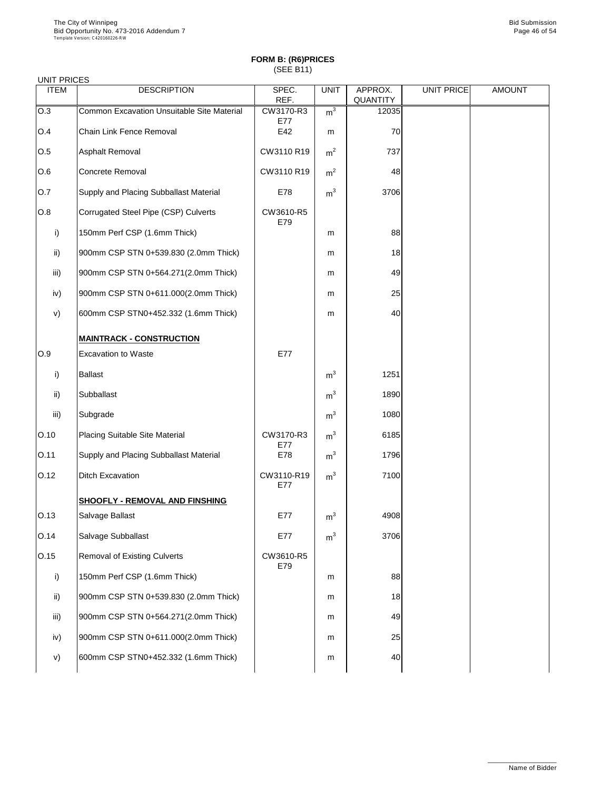| <b>UNIT PRICES</b> |                                                   |                   |                |                            |                   |               |
|--------------------|---------------------------------------------------|-------------------|----------------|----------------------------|-------------------|---------------|
| <b>ITEM</b>        | <b>DESCRIPTION</b>                                | SPEC.<br>REF.     | <b>UNIT</b>    | APPROX.<br><b>QUANTITY</b> | <b>UNIT PRICE</b> | <b>AMOUNT</b> |
| O.3                | <b>Common Excavation Unsuitable Site Material</b> | CW3170-R3<br>E77  | m <sup>3</sup> | 12035                      |                   |               |
| O.4                | <b>Chain Link Fence Removal</b>                   | E42               | m              | 70                         |                   |               |
| O.5                | <b>Asphalt Removal</b>                            | CW3110 R19        | m <sup>2</sup> | 737                        |                   |               |
| O.6                | <b>Concrete Removal</b>                           | CW3110 R19        | m <sup>2</sup> | 48                         |                   |               |
| 0.7                | <b>Supply and Placing Subballast Material</b>     | E78               | m <sup>3</sup> | 3706                       |                   |               |
| O.8                | Corrugated Steel Pipe (CSP) Culverts              | CW3610-R5<br>E79  |                |                            |                   |               |
| i)                 | 150mm Perf CSP (1.6mm Thick)                      |                   | m              | 88                         |                   |               |
| $\mathsf{ii}$      | 900mm CSP STN 0+539.830 (2.0mm Thick)             |                   | m              | 18                         |                   |               |
| iii)               | 900mm CSP STN 0+564.271(2.0mm Thick)              |                   | m              | 49                         |                   |               |
| iv)                | 900mm CSP STN 0+611.000(2.0mm Thick)              |                   | m              | 25                         |                   |               |
| V)                 | 600mm CSP STN0+452.332 (1.6mm Thick)              |                   | m              | 40                         |                   |               |
|                    | <b>MAINTRACK - CONSTRUCTION</b>                   |                   |                |                            |                   |               |
| O.9                | <b>Excavation to Waste</b>                        | E77               |                |                            |                   |               |
| i)                 | <b>Ballast</b>                                    |                   | m <sup>3</sup> | 1251                       |                   |               |
| $\mathsf{ii}$      | Subballast                                        |                   | m <sup>3</sup> | 1890                       |                   |               |
| iii)               | Subgrade                                          |                   | m <sup>3</sup> | 1080                       |                   |               |
| O.10               | <b>Placing Suitable Site Material</b>             | CW3170-R3<br>E77  | m <sup>3</sup> | 6185                       |                   |               |
| O.11               | <b>Supply and Placing Subballast Material</b>     | E78               | m <sup>3</sup> | 1796                       |                   |               |
| O.12               | <b>Ditch Excavation</b>                           | CW3110-R19<br>E77 | m <sup>3</sup> | 7100                       |                   |               |
|                    | <b>SHOOFLY - REMOVAL AND FINSHING</b>             |                   |                |                            |                   |               |
| O.13               | Salvage Ballast                                   | E77               | m <sup>3</sup> | 4908                       |                   |               |
| O.14               | Salvage Subballast                                | E77               | m <sup>3</sup> | 3706                       |                   |               |
| O.15               | <b>Removal of Existing Culverts</b>               | CW3610-R5<br>E79  |                |                            |                   |               |
| i)                 | 150mm Perf CSP (1.6mm Thick)                      |                   | m              | 88                         |                   |               |
| $\mathsf{ii}$      | 900mm CSP STN 0+539.830 (2.0mm Thick)             |                   | m              | 18                         |                   |               |

| iii) | 900mm CSP STN 0+564.271(2.0mm Thick) | m | 49 |
|------|--------------------------------------|---|----|
| iv)  | 900mm CSP STN 0+611.000(2.0mm Thick) | m | 25 |
| v)   | 600mm CSP STN0+452.332 (1.6mm Thick) | m |    |



\_\_\_\_\_\_\_\_\_\_\_\_\_\_\_\_\_\_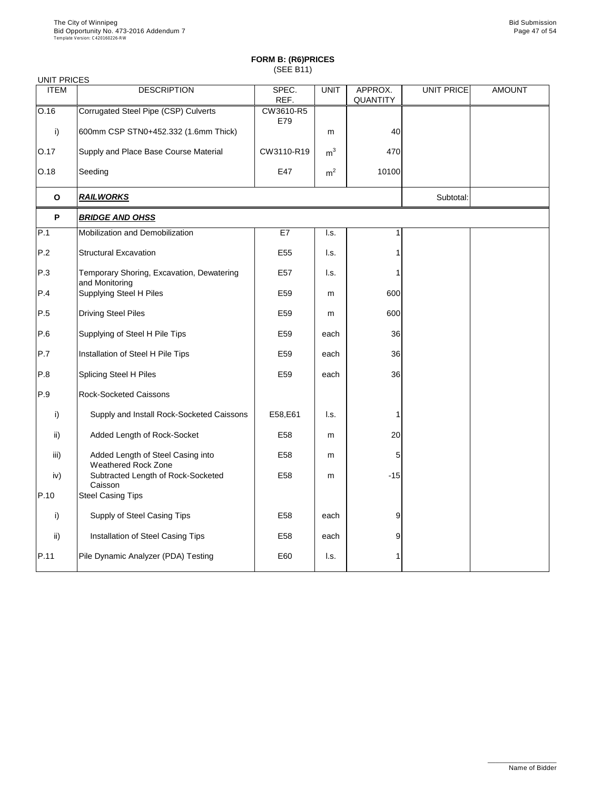| <b>UNIT PRICES</b> |                                                                 |                  |                           |                            |                   |               |
|--------------------|-----------------------------------------------------------------|------------------|---------------------------|----------------------------|-------------------|---------------|
| <b>ITEM</b>        | <b>DESCRIPTION</b>                                              | SPEC.<br>REF.    | <b>UNIT</b>               | APPROX.<br><b>QUANTITY</b> | <b>UNIT PRICE</b> | <b>AMOUNT</b> |
| O.16               | Corrugated Steel Pipe (CSP) Culverts                            | CW3610-R5<br>E79 |                           |                            |                   |               |
| $\mathsf{i}$       | 600mm CSP STN0+452.332 (1.6mm Thick)                            |                  | m                         | 40                         |                   |               |
| O.17               | Supply and Place Base Course Material                           | CW3110-R19       | m <sup>3</sup>            | 470                        |                   |               |
| O.18               | Seeding                                                         | E47              | m <sup>2</sup>            | 10100                      |                   |               |
| $\mathbf O$        | <b>RAILWORKS</b>                                                |                  | Subtotal:                 |                            |                   |               |
| P                  | <b>BRIDGE AND OHSS</b>                                          |                  |                           |                            |                   |               |
| P.1                | Mobilization and Demobilization                                 | E7               | $\mathsf{I}.\mathsf{s}$ . |                            |                   |               |
| P.2                | <b>Structural Excavation</b>                                    | E <sub>55</sub>  | I.s.                      |                            |                   |               |
| P.3                | Temporary Shoring, Excavation, Dewatering<br>and Monitoring     | E <sub>57</sub>  | I.s.                      |                            |                   |               |
| P.4                | <b>Supplying Steel H Piles</b>                                  | E <sub>59</sub>  | m                         | 600                        |                   |               |
| P.5                | <b>Driving Steel Piles</b>                                      | E <sub>59</sub>  | m                         | 600                        |                   |               |
| P.6                | Supplying of Steel H Pile Tips                                  | E <sub>59</sub>  | each                      | 36                         |                   |               |
| P.7                | Installation of Steel H Pile Tips                               | E59              | each                      | 36                         |                   |               |
| P.8                | <b>Splicing Steel H Piles</b>                                   | E59              | each                      | 36                         |                   |               |
| P.9                | <b>Rock-Socketed Caissons</b>                                   |                  |                           |                            |                   |               |
| i)                 | Supply and Install Rock-Socketed Caissons                       | E58, E61         | I.s.                      |                            |                   |               |
| $\mathsf{ii}$ )    | Added Length of Rock-Socket                                     | E58              | m                         | 20                         |                   |               |
| iii)               | Added Length of Steel Casing into<br><b>Weathered Rock Zone</b> | E <sub>58</sub>  | m                         | 5                          |                   |               |
| iv)                | Subtracted Length of Rock-Socketed<br>Caisson                   | E <sub>58</sub>  | m                         | $-15$                      |                   |               |
| P.10               | <b>Steel Casing Tips</b>                                        |                  |                           |                            |                   |               |
| $\mathsf{i}$       | Supply of Steel Casing Tips                                     | E58              | each                      | 9                          |                   |               |
| $\mathsf{ii}$      | Installation of Steel Casing Tips                               | E58              | each                      | 9                          |                   |               |
| P.11               | Pile Dynamic Analyzer (PDA) Testing                             | E60              | I.s.                      |                            |                   |               |

\_\_\_\_\_\_\_\_\_\_\_\_\_\_\_\_\_\_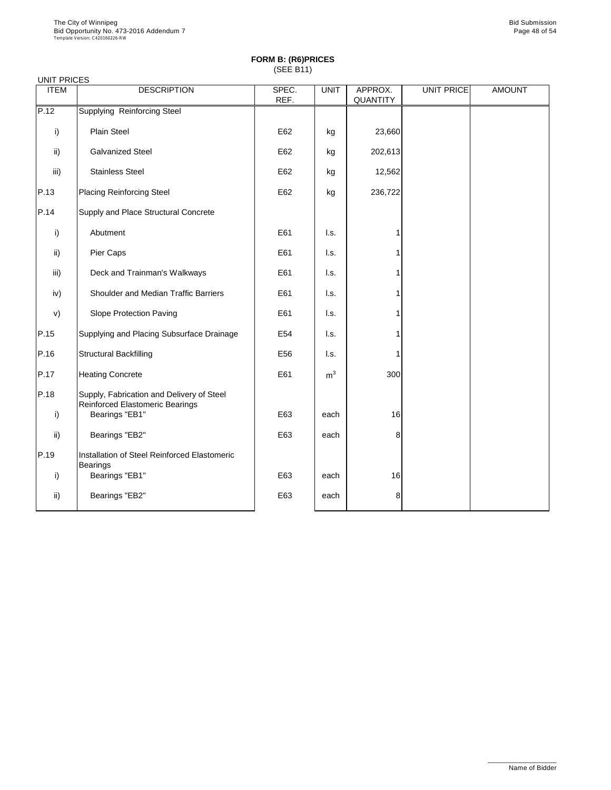| <b>UNIT PRICES</b> |                                                                                     |               |                |                     |            |               |
|--------------------|-------------------------------------------------------------------------------------|---------------|----------------|---------------------|------------|---------------|
| <b>ITEM</b>        | <b>DESCRIPTION</b>                                                                  | SPEC.<br>REF. | <b>UNIT</b>    | APPROX.<br>QUANTITY | UNIT PRICE | <b>AMOUNT</b> |
| P.12               | <b>Supplying Reinforcing Steel</b>                                                  |               |                |                     |            |               |
| i)                 | <b>Plain Steel</b>                                                                  | E62           | kg             | 23,660              |            |               |
| ii)                | <b>Galvanized Steel</b>                                                             | E62           | kg             | 202,613             |            |               |
| iii)               | <b>Stainless Steel</b>                                                              | E62           | kg             | 12,562              |            |               |
| P.13               | <b>Placing Reinforcing Steel</b>                                                    | E62           | kg             | 236,722             |            |               |
| P.14               | Supply and Place Structural Concrete                                                |               |                |                     |            |               |
| i)                 | Abutment                                                                            | E61           | I.s.           |                     |            |               |
| ii)                | Pier Caps                                                                           | E61           | I.s.           |                     |            |               |
| iii)               | Deck and Trainman's Walkways                                                        | E61           | I.s.           |                     |            |               |
| iv)                | <b>Shoulder and Median Traffic Barriers</b>                                         | E61           | I.s.           |                     |            |               |
| V)                 | <b>Slope Protection Paving</b>                                                      | E61           | I.s.           |                     |            |               |
| P.15               | Supplying and Placing Subsurface Drainage                                           | E54           | I.s.           |                     |            |               |
| P.16               | <b>Structural Backfilling</b>                                                       | E56           | l.s.           |                     |            |               |
| P.17               | <b>Heating Concrete</b>                                                             | E61           | m <sup>3</sup> | 300                 |            |               |
| P.18               | Supply, Fabrication and Delivery of Steel<br><b>Reinforced Elastomeric Bearings</b> |               |                |                     |            |               |
| i)                 | Bearings "EB1"                                                                      | E63           | each           | 16                  |            |               |
| ii)                | Bearings "EB2"                                                                      | E63           | each           | 8                   |            |               |
| P.19               | Installation of Steel Reinforced Elastomeric<br><b>Bearings</b>                     |               |                |                     |            |               |
| i)                 | Bearings "EB1"                                                                      | E63           | each           | 16                  |            |               |
| ii)                | Bearings "EB2"                                                                      | E63           | each           | 8                   |            |               |

\_\_\_\_\_\_\_\_\_\_\_\_\_\_\_\_\_\_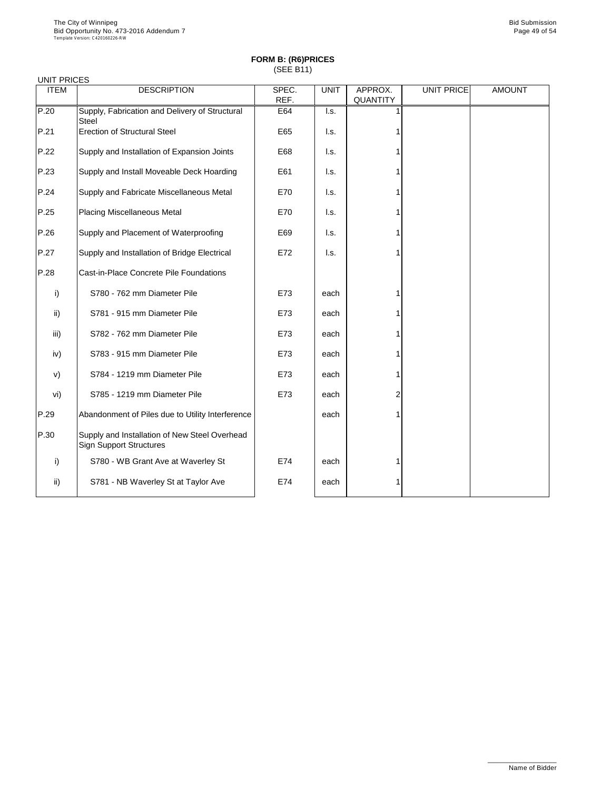| <b>UNIT PRICES</b> |                                                                                 |               |                           |                            |                   |               |
|--------------------|---------------------------------------------------------------------------------|---------------|---------------------------|----------------------------|-------------------|---------------|
| <b>ITEM</b>        | <b>DESCRIPTION</b>                                                              | SPEC.<br>REF. | <b>UNIT</b>               | APPROX.<br><b>QUANTITY</b> | <b>UNIT PRICE</b> | <b>AMOUNT</b> |
| P.20               | Supply, Fabrication and Delivery of Structural<br><b>Steel</b>                  | E64           | $\mathsf{I}.\mathsf{s}$ . |                            |                   |               |
| P.21               | <b>Erection of Structural Steel</b>                                             | E65           | I.s.                      |                            |                   |               |
| P.22               | Supply and Installation of Expansion Joints                                     | E68           | I.s.                      |                            |                   |               |
| P.23               | Supply and Install Moveable Deck Hoarding                                       | E61           | I.s.                      |                            |                   |               |
| P.24               | Supply and Fabricate Miscellaneous Metal                                        | E70           | I.s.                      |                            |                   |               |
| P.25               | <b>Placing Miscellaneous Metal</b>                                              | E70           | I.s.                      |                            |                   |               |
| P.26               | Supply and Placement of Waterproofing                                           | E69           | I.s.                      |                            |                   |               |
| P.27               | Supply and Installation of Bridge Electrical                                    | E72           | I.s.                      |                            |                   |               |
| P.28               | <b>Cast-in-Place Concrete Pile Foundations</b>                                  |               |                           |                            |                   |               |
| i)                 | S780 - 762 mm Diameter Pile                                                     | E73           | each                      |                            |                   |               |
| $\mathsf{ii}$ )    | S781 - 915 mm Diameter Pile                                                     | E73           | each                      |                            |                   |               |
| iii)               | S782 - 762 mm Diameter Pile                                                     | E73           | each                      |                            |                   |               |
| iv)                | S783 - 915 mm Diameter Pile                                                     | E73           | each                      |                            |                   |               |
| V)                 | S784 - 1219 mm Diameter Pile                                                    | E73           | each                      |                            |                   |               |
| vi)                | S785 - 1219 mm Diameter Pile                                                    | E73           | each                      | $\overline{2}$             |                   |               |
| P.29               | Abandonment of Piles due to Utility Interference                                |               | each                      |                            |                   |               |
| P.30               | Supply and Installation of New Steel Overhead<br><b>Sign Support Structures</b> |               |                           |                            |                   |               |
| $\mathsf{i}$       | S780 - WB Grant Ave at Waverley St                                              | E74           | each                      |                            |                   |               |
| $\mathsf{ii}$      | S781 - NB Waverley St at Taylor Ave                                             | E74           | each                      |                            |                   |               |

\_\_\_\_\_\_\_\_\_\_\_\_\_\_\_\_\_\_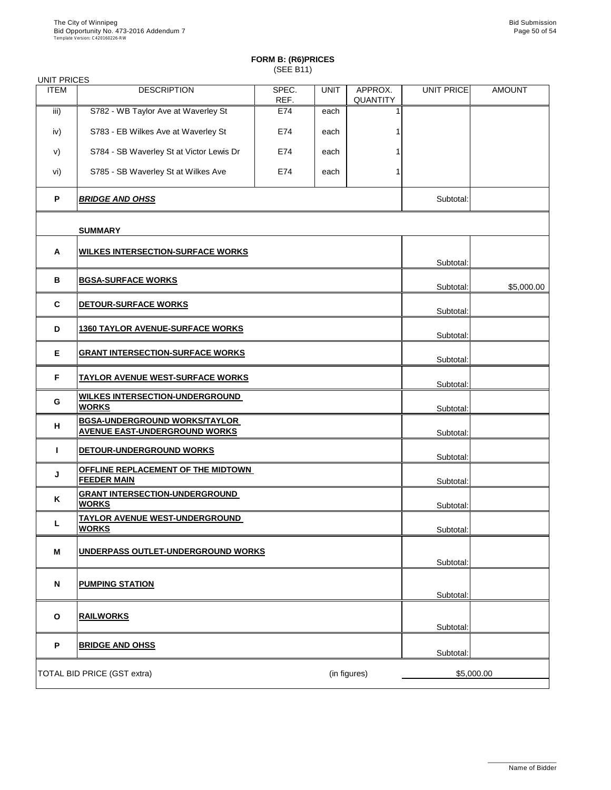| <b>UNIT PRICES</b> |                                                                              |               |             |                            |                   |               |
|--------------------|------------------------------------------------------------------------------|---------------|-------------|----------------------------|-------------------|---------------|
| <b>ITEM</b>        | <b>DESCRIPTION</b>                                                           | SPEC.<br>REF. | <b>UNIT</b> | APPROX.<br><b>QUANTITY</b> | <b>UNIT PRICE</b> | <b>AMOUNT</b> |
| iii)               | S782 - WB Taylor Ave at Waverley St                                          | E74           | each        |                            |                   |               |
| iv)                | S783 - EB Wilkes Ave at Waverley St                                          | E74           | each        |                            |                   |               |
| V)                 | S784 - SB Waverley St at Victor Lewis Dr                                     | E74           | each        |                            |                   |               |
| vi)                | S785 - SB Waverley St at Wilkes Ave                                          | E74           | each        |                            |                   |               |
| $\mathsf{P}$       | <b>BRIDGE AND OHSS</b>                                                       |               |             |                            | Subtotal:         |               |
|                    | <b>SUMMARY</b>                                                               |               |             |                            |                   |               |
| $\mathbf{A}$       | <u>WILKES INTERSECTION-SURFACE WORKS</u>                                     |               |             |                            |                   |               |
|                    |                                                                              |               |             |                            | Subtotal:         |               |
| $\mathbf B$        | <b>BGSA-SURFACE WORKS</b>                                                    |               |             |                            | Subtotal:         | \$5,000.00    |
| $\mathbf C$        | DETOUR-SURFACE WORKS                                                         |               |             |                            | Subtotal:         |               |
| D                  | <b>1360 TAYLOR AVENUE-SURFACE WORKS</b>                                      |               |             |                            | Subtotal:         |               |
| E                  | <b>GRANT INTERSECTION-SURFACE WORKS</b>                                      |               |             |                            | Subtotal:         |               |
| F.                 | <b>TAYLOR AVENUE WEST-SURFACE WORKS</b>                                      |               |             |                            | Subtotal:         |               |
| G                  | <b>WILKES INTERSECTION-UNDERGROUND</b><br><b>WORKS</b>                       |               |             |                            | Subtotal:         |               |
| H                  | <b>BGSA-UNDERGROUND WORKS/TAYLOR</b><br><b>AVENUE EAST-UNDERGROUND WORKS</b> |               |             |                            | Subtotal:         |               |
|                    | <b>DETOUR-UNDERGROUND WORKS</b>                                              |               |             |                            | Subtotal:         |               |
| J                  | OFFLINE REPLACEMENT OF THE MIDTOWN<br><b>FEEDER MAIN</b>                     |               |             |                            | Subtotal:         |               |
| K                  | <b>GRANT INTERSECTION-UNDERGROUND</b><br><b>WORKS</b>                        |               |             |                            | Subtotal:         |               |
|                    | <b>TAYLOR AVENUE WEST-UNDERGROUND</b><br><b>WORKS</b>                        |               |             |                            |                   |               |
|                    |                                                                              |               |             |                            | Subtotal:         |               |
| M                  | UNDERPASS OUTLET-UNDERGROUND WORKS                                           |               |             |                            | Subtotal:         |               |
| N                  | <b>PUMPING STATION</b>                                                       |               |             |                            |                   |               |
|                    |                                                                              |               |             |                            | Subtotal:         |               |

| O | <b>RAILWORKS</b>                   |              | Subtotal: |            |
|---|------------------------------------|--------------|-----------|------------|
| D | <b>BRIDGE AND OHSS</b>             |              | Subtotal: |            |
|   | <b>TOTAL BID PRICE (GST extra)</b> | (in figures) |           | \$5,000.00 |

\_\_\_\_\_\_\_\_\_\_\_\_\_\_\_\_\_\_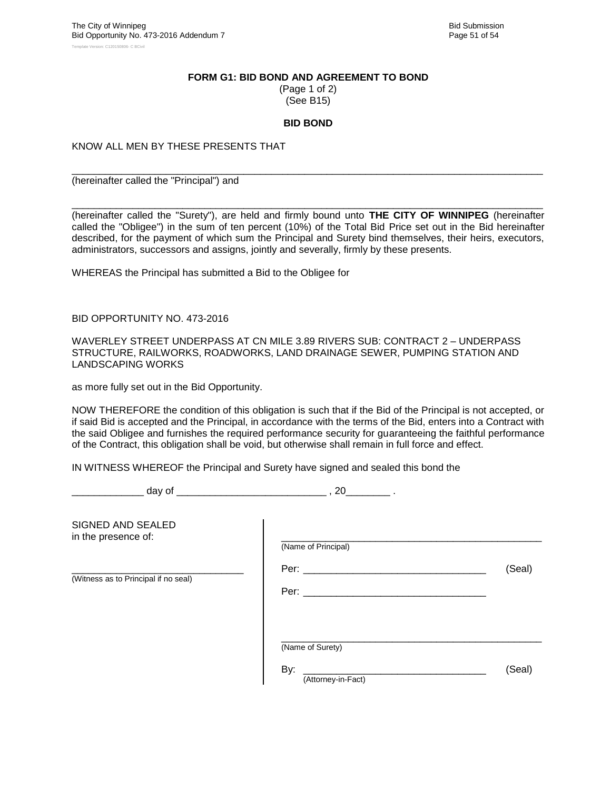#### **FORM G1: BID BOND AND AGREEMENT TO BOND**

(Page 1 of 2) (See B15)

#### **BID BOND**

\_\_\_\_\_\_\_\_\_\_\_\_\_\_\_\_\_\_\_\_\_\_\_\_\_\_\_\_\_\_\_\_\_\_\_\_\_\_\_\_\_\_\_\_\_\_\_\_\_\_\_\_\_\_\_\_\_\_\_\_\_\_\_\_\_\_\_\_\_\_\_\_\_\_\_\_\_\_\_\_\_\_\_\_\_

KNOW ALL MEN BY THESE PRESENTS THAT

(hereinafter called the "Principal") and

\_\_\_\_\_\_\_\_\_\_\_\_\_\_\_\_\_\_\_\_\_\_\_\_\_\_\_\_\_\_\_\_\_\_\_\_\_\_\_\_\_\_\_\_\_\_\_\_\_\_\_\_\_\_\_\_\_\_\_\_\_\_\_\_\_\_\_\_\_\_\_\_\_\_\_\_\_\_\_\_\_\_\_\_\_ (hereinafter called the "Surety"), are held and firmly bound unto **THE CITY OF WINNIPEG** (hereinafter called the "Obligee") in the sum of ten percent (10%) of the Total Bid Price set out in the Bid hereinafter described, for the payment of which sum the Principal and Surety bind themselves, their heirs, executors, administrators, successors and assigns, jointly and severally, firmly by these presents.

WHEREAS the Principal has submitted a Bid to the Obligee for

BID OPPORTUNITY NO. 473-2016

WAVERLEY STREET UNDERPASS AT CN MILE 3.89 RIVERS SUB: CONTRACT 2 – UNDERPASS STRUCTURE, RAILWORKS, ROADWORKS, LAND DRAINAGE SEWER, PUMPING STATION AND LANDSCAPING WORKS

as more fully set out in the Bid Opportunity.

NOW THEREFORE the condition of this obligation is such that if the Bid of the Principal is not accepted, or if said Bid is accepted and the Principal, in accordance with the terms of the Bid, enters into a Contract with the said Obligee and furnishes the required performance security for guaranteeing the faithful performance of the Contract, this obligation shall be void, but otherwise shall remain in full force and effect.

IN WITNESS WHEREOF the Principal and Surety have signed and sealed this bond the

day of  $\qquad \qquad \qquad 20 \qquad \qquad .$ 

| SIGNED AND SEALED<br>in the presence of: | (Name of Principal)                           |        |
|------------------------------------------|-----------------------------------------------|--------|
| (Witness as to Principal if no seal)     | Per: __________<br>Per: _________             | (Seal) |
|                                          | (Name of Surety)<br>By:<br>(Attorney-in-Fact) | (Seal) |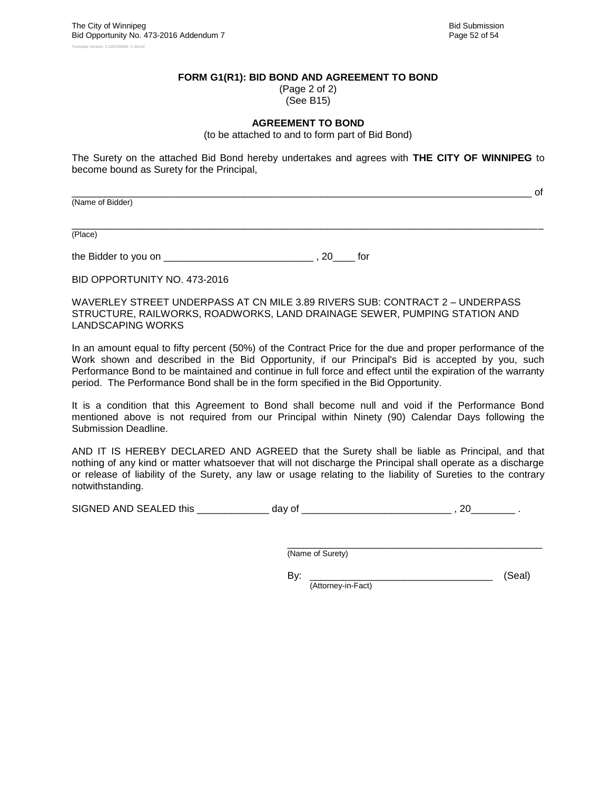\_\_\_\_\_\_\_\_\_\_\_\_\_\_\_\_\_\_\_\_\_\_\_\_\_\_\_\_\_\_\_\_\_\_\_\_\_\_\_\_\_\_\_\_\_\_\_\_\_\_\_\_\_\_\_\_\_\_\_\_\_\_\_\_\_\_\_\_\_\_\_\_\_\_\_\_\_\_\_\_\_\_\_ of

#### **FORM G1(R1): BID BOND AND AGREEMENT TO BOND**

(Page 2 of 2) (See B15)

#### **AGREEMENT TO BOND**

(to be attached to and to form part of Bid Bond)

The Surety on the attached Bid Bond hereby undertakes and agrees with **THE CITY OF WINNIPEG** to become bound as Surety for the Principal,

(Name of Bidder)

\_\_\_\_\_\_\_\_\_\_\_\_\_\_\_\_\_\_\_\_\_\_\_\_\_\_\_\_\_\_\_\_\_\_\_\_\_\_\_\_\_\_\_\_\_\_\_\_\_\_\_\_\_\_\_\_\_\_\_\_\_\_\_\_\_\_\_\_\_\_\_\_\_\_\_\_\_\_\_\_\_\_\_\_\_ (Place)

the Bidder to you on \_\_\_\_\_\_\_\_\_\_\_\_\_\_\_\_\_\_\_\_\_\_\_\_\_\_\_ , 20\_\_\_\_ for

BID OPPORTUNITY NO. 473-2016

WAVERLEY STREET UNDERPASS AT CN MILE 3.89 RIVERS SUB: CONTRACT 2 – UNDERPASS STRUCTURE, RAILWORKS, ROADWORKS, LAND DRAINAGE SEWER, PUMPING STATION AND LANDSCAPING WORKS

In an amount equal to fifty percent (50%) of the Contract Price for the due and proper performance of the Work shown and described in the Bid Opportunity, if our Principal's Bid is accepted by you, such Performance Bond to be maintained and continue in full force and effect until the expiration of the warranty period. The Performance Bond shall be in the form specified in the Bid Opportunity.

It is a condition that this Agreement to Bond shall become null and void if the Performance Bond mentioned above is not required from our Principal within Ninety (90) Calendar Days following the Submission Deadline.

AND IT IS HEREBY DECLARED AND AGREED that the Surety shall be liable as Principal, and that nothing of any kind or matter whatsoever that will not discharge the Principal shall operate as a discharge or release of liability of the Surety, any law or usage relating to the liability of Sureties to the contrary notwithstanding.

SIGNED AND SEALED this \_\_\_\_\_\_\_\_\_\_\_\_\_ day of \_\_\_\_\_\_\_\_\_\_\_\_\_\_\_\_\_\_\_\_\_\_\_\_\_\_\_ , 20\_\_\_\_\_\_\_\_ .

\_\_\_\_\_\_\_\_\_\_\_\_\_\_\_\_\_\_\_\_\_\_\_\_\_\_\_\_\_\_\_\_\_\_\_\_\_\_\_\_\_\_\_\_\_\_ (Name of Surety)

By: \_\_\_\_\_\_\_\_\_\_\_\_\_\_\_\_\_\_\_\_\_\_\_\_\_\_\_\_\_\_\_\_\_ (Seal) (Attorney-in-Fact)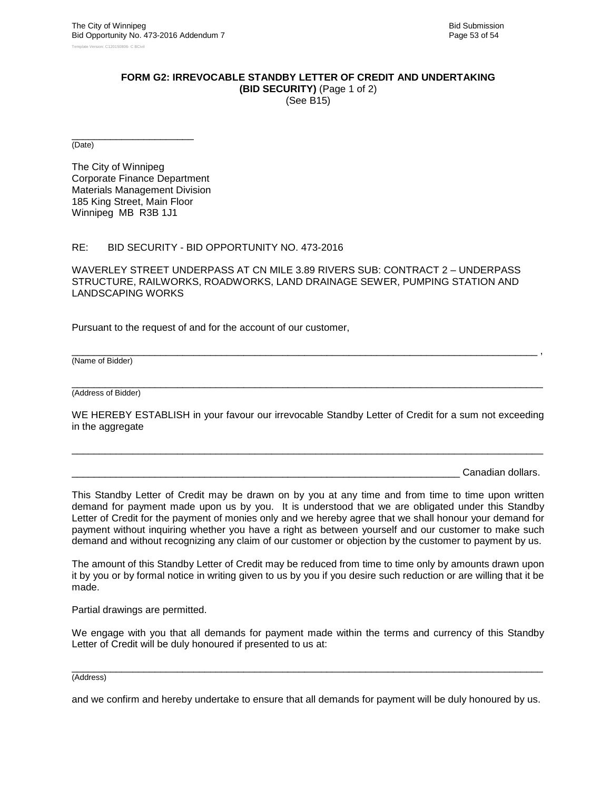#### **FORM G2: IRREVOCABLE STANDBY LETTER OF CREDIT AND UNDERTAKING**

**(BID SECURITY)** (Page 1 of 2) (See B15)

\_\_\_\_\_\_\_\_\_\_\_\_\_\_\_\_\_\_\_\_\_\_ (Date)

The City of Winnipeg Corporate Finance Department Materials Management Division 185 King Street, Main Floor Winnipeg MB R3B 1J1

#### RE: BID SECURITY - BID OPPORTUNITY NO. 473-2016

WAVERLEY STREET UNDERPASS AT CN MILE 3.89 RIVERS SUB: CONTRACT 2 – UNDERPASS STRUCTURE, RAILWORKS, ROADWORKS, LAND DRAINAGE SEWER, PUMPING STATION AND LANDSCAPING WORKS

Pursuant to the request of and for the account of our customer,

(Name of Bidder)

\_\_\_\_\_\_\_\_\_\_\_\_\_\_\_\_\_\_\_\_\_\_\_\_\_\_\_\_\_\_\_\_\_\_\_\_\_\_\_\_\_\_\_\_\_\_\_\_\_\_\_\_\_\_\_\_\_\_\_\_\_\_\_\_\_\_\_\_\_\_\_\_\_\_\_\_\_\_\_\_\_\_\_\_\_ (Address of Bidder)

WE HEREBY ESTABLISH in your favour our irrevocable Standby Letter of Credit for a sum not exceeding in the aggregate

\_\_\_\_\_\_\_\_\_\_\_\_\_\_\_\_\_\_\_\_\_\_\_\_\_\_\_\_\_\_\_\_\_\_\_\_\_\_\_\_\_\_\_\_\_\_\_\_\_\_\_\_\_\_\_\_\_\_\_\_\_\_\_\_\_\_\_\_\_\_\_\_\_\_\_\_\_\_\_\_\_\_\_\_\_

\_\_\_\_\_\_\_\_\_\_\_\_\_\_\_\_\_\_\_\_\_\_\_\_\_\_\_\_\_\_\_\_\_\_\_\_\_\_\_\_\_\_\_\_\_\_\_\_\_\_\_\_\_\_\_\_\_\_\_\_\_\_\_\_\_\_\_\_\_\_\_\_\_\_\_\_\_\_\_\_\_\_\_\_ ,

Canadian dollars.

This Standby Letter of Credit may be drawn on by you at any time and from time to time upon written demand for payment made upon us by you. It is understood that we are obligated under this Standby Letter of Credit for the payment of monies only and we hereby agree that we shall honour your demand for payment without inquiring whether you have a right as between yourself and our customer to make such demand and without recognizing any claim of our customer or objection by the customer to payment by us.

The amount of this Standby Letter of Credit may be reduced from time to time only by amounts drawn upon it by you or by formal notice in writing given to us by you if you desire such reduction or are willing that it be made.

Partial drawings are permitted.

We engage with you that all demands for payment made within the terms and currency of this Standby Letter of Credit will be duly honoured if presented to us at:

\_\_\_\_\_\_\_\_\_\_\_\_\_\_\_\_\_\_\_\_\_\_\_\_\_\_\_\_\_\_\_\_\_\_\_\_\_\_\_\_\_\_\_\_\_\_\_\_\_\_\_\_\_\_\_\_\_\_\_\_\_\_\_\_\_\_\_\_\_\_\_\_\_\_\_\_\_\_\_\_\_\_\_\_\_ (Address)

and we confirm and hereby undertake to ensure that all demands for payment will be duly honoured by us.